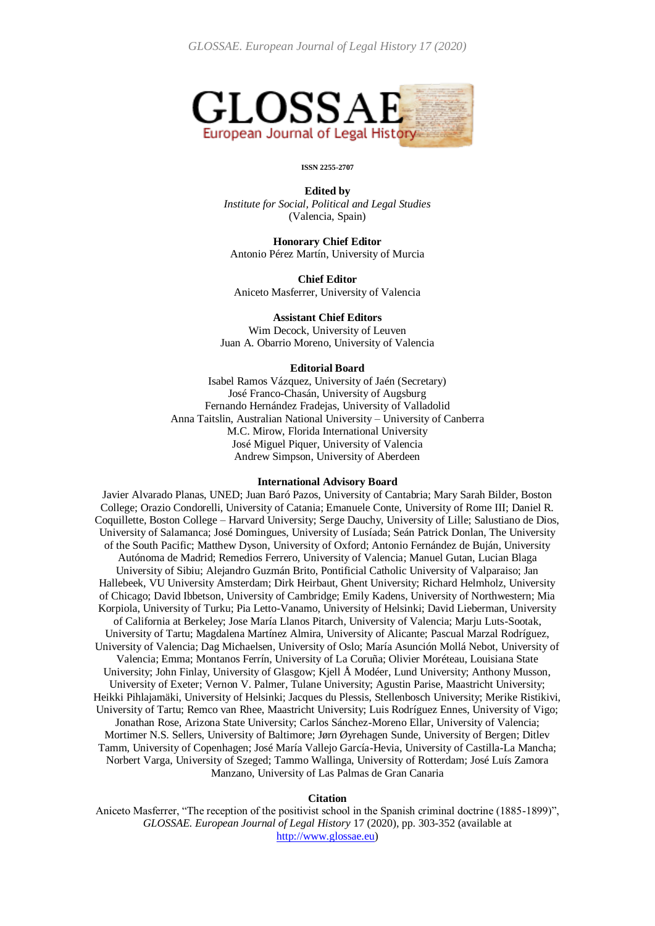

#### **ISSN 2255-2707**

**Edited by** *Institute for Social, Political and Legal Studies* (Valencia, Spain)

**Honorary Chief Editor** Antonio Pérez Martín, University of Murcia

**Chief Editor** Aniceto Masferrer, University of Valencia

**Assistant Chief Editors** Wim Decock, University of Leuven Juan A. Obarrio Moreno, University of Valencia

#### **Editorial Board**

Isabel Ramos Vázquez, University of Jaén (Secretary) José Franco-Chasán, University of Augsburg Fernando Hernández Fradejas, University of Valladolid Anna Taitslin, Australian National University – University of Canberra M.C. Mirow, Florida International University José Miguel Piquer, University of Valencia Andrew Simpson, University of Aberdeen

#### **International Advisory Board**

Javier Alvarado Planas, UNED; Juan Baró Pazos, University of Cantabria; Mary Sarah Bilder, Boston College; Orazio Condorelli, University of Catania; Emanuele Conte, University of Rome III; Daniel R. Coquillette, Boston College – Harvard University; Serge Dauchy, University of Lille; Salustiano de Dios, University of Salamanca; José Domingues, University of Lusíada; Seán Patrick Donlan, The University of the South Pacific; Matthew Dyson, University of Oxford; Antonio Fernández de Buján, University Autónoma de Madrid; Remedios Ferrero, University of Valencia; Manuel Gutan, Lucian Blaga University of Sibiu; Alejandro Guzmán Brito, Pontificial Catholic University of Valparaiso; Jan Hallebeek, VU University Amsterdam; Dirk Heirbaut, Ghent University; Richard Helmholz, University of Chicago; David Ibbetson, University of Cambridge; Emily Kadens, University of Northwestern; Mia Korpiola, University of Turku; Pia Letto-Vanamo, University of Helsinki; David Lieberman, University of California at Berkeley; Jose María Llanos Pitarch, University of Valencia; Marju Luts-Sootak, University of Tartu; Magdalena Martínez Almira, University of Alicante; Pascual Marzal Rodríguez, University of Valencia; Dag Michaelsen, University of Oslo; María Asunción Mollá Nebot, University of Valencia; Emma; Montanos Ferrín, University of La Coruña; Olivier Moréteau, Louisiana State University; John Finlay, University of Glasgow; Kjell Å Modéer, Lund University; Anthony Musson, University of Exeter; Vernon V. Palmer, Tulane University; Agustin Parise, Maastricht University; Heikki Pihlajamäki, University of Helsinki; Jacques du Plessis, Stellenbosch University; Merike Ristikivi, University of Tartu; Remco van Rhee, Maastricht University; Luis Rodríguez Ennes, University of Vigo; Jonathan Rose, Arizona State University; Carlos Sánchez-Moreno Ellar, University of Valencia; Mortimer N.S. Sellers, University of Baltimore; Jørn Øyrehagen Sunde, University of Bergen; Ditlev Tamm, University of Copenhagen; José María Vallejo García-Hevia, University of Castilla-La Mancha; Norbert Varga, University of Szeged; Tammo Wallinga, University of Rotterdam; José Luís Zamora Manzano, University of Las Palmas de Gran Canaria

#### **Citation**

Aniceto Masferrer, "The reception of the positivist school in the Spanish criminal doctrine (1885-1899)", *GLOSSAE. European Journal of Legal History* 17 (2020), pp. 303-352 (available at [http://www.glossae.eu\)](http://www.glossae.eu/)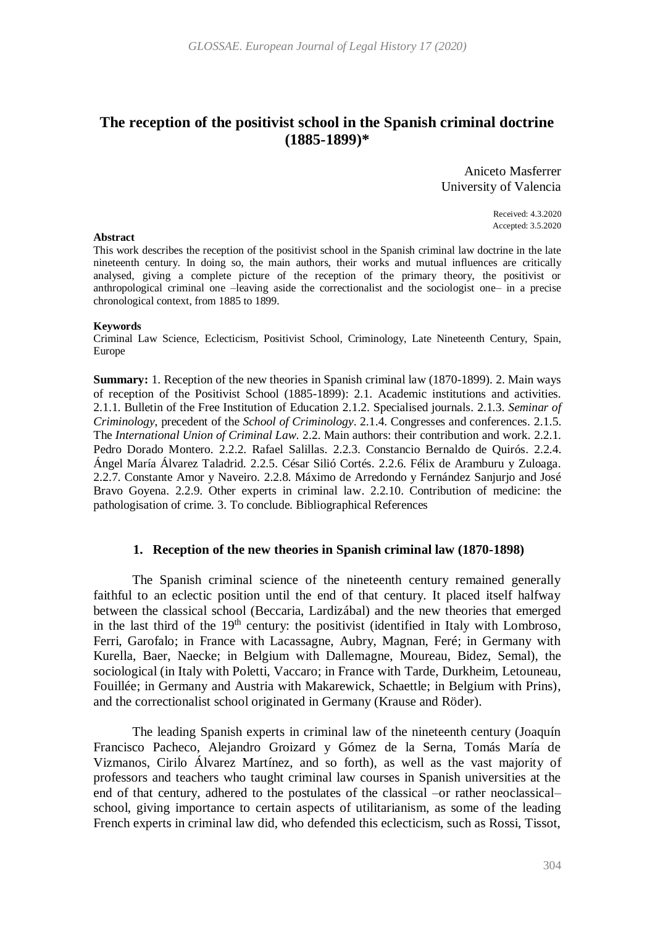# **The reception of the positivist school in the Spanish criminal doctrine (1885-1899)\***

Aniceto Masferrer University of Valencia

> Received: 4.3.2020 Accepted: 3.5.2020

This work describes the reception of the positivist school in the Spanish criminal law doctrine in the late nineteenth century. In doing so, the main authors, their works and mutual influences are critically analysed, giving a complete picture of the reception of the primary theory, the positivist or anthropological criminal one –leaving aside the correctionalist and the sociologist one– in a precise chronological context, from 1885 to 1899.

#### **Keywords**

Criminal Law Science, Eclecticism, Positivist School, Criminology, Late Nineteenth Century, Spain, Europe

**Summary:** 1. Reception of the new theories in Spanish criminal law (1870-1899). 2. Main ways of reception of the Positivist School (1885-1899): 2.1. Academic institutions and activities. 2.1.1. Bulletin of the Free Institution of Education 2.1.2. Specialised journals. 2.1.3. *Seminar of Criminology*, precedent of the *School of Criminology*. 2.1.4. Congresses and conferences. 2.1.5. The *International Union of Criminal Law*. 2.2. Main authors: their contribution and work. 2.2.1. Pedro Dorado Montero. 2.2.2. Rafael Salillas. 2.2.3. Constancio Bernaldo de Quirós. 2.2.4. Ángel María Álvarez Taladrid. 2.2.5. César Silió Cortés. 2.2.6. Félix de Aramburu y Zuloaga. 2.2.7. Constante Amor y Naveiro. 2.2.8. Máximo de Arredondo y Fernández Sanjurjo and José Bravo Goyena. 2.2.9. Other experts in criminal law. 2.2.10. Contribution of medicine: the pathologisation of crime. 3. To conclude. Bibliographical References

### **1. Reception of the new theories in Spanish criminal law (1870-1898)**

The Spanish criminal science of the nineteenth century remained generally faithful to an eclectic position until the end of that century. It placed itself halfway between the classical school (Beccaria, Lardizábal) and the new theories that emerged in the last third of the  $19<sup>th</sup>$  century: the positivist (identified in Italy with Lombroso, Ferri, Garofalo; in France with Lacassagne, Aubry, Magnan, Feré; in Germany with Kurella, Baer, Naecke; in Belgium with Dallemagne, Moureau, Bidez, Semal), the sociological (in Italy with Poletti, Vaccaro; in France with Tarde, Durkheim, Letouneau, Fouillée; in Germany and Austria with Makarewick, Schaettle; in Belgium with Prins), and the correctionalist school originated in Germany (Krause and Röder).

The leading Spanish experts in criminal law of the nineteenth century (Joaquín Francisco Pacheco, Alejandro Groizard y Gómez de la Serna, Tomás María de Vizmanos, Cirilo Álvarez Martínez, and so forth), as well as the vast majority of professors and teachers who taught criminal law courses in Spanish universities at the end of that century, adhered to the postulates of the classical –or rather neoclassical– school, giving importance to certain aspects of utilitarianism, as some of the leading French experts in criminal law did, who defended this eclecticism, such as Rossi, Tissot,

#### **Abstract**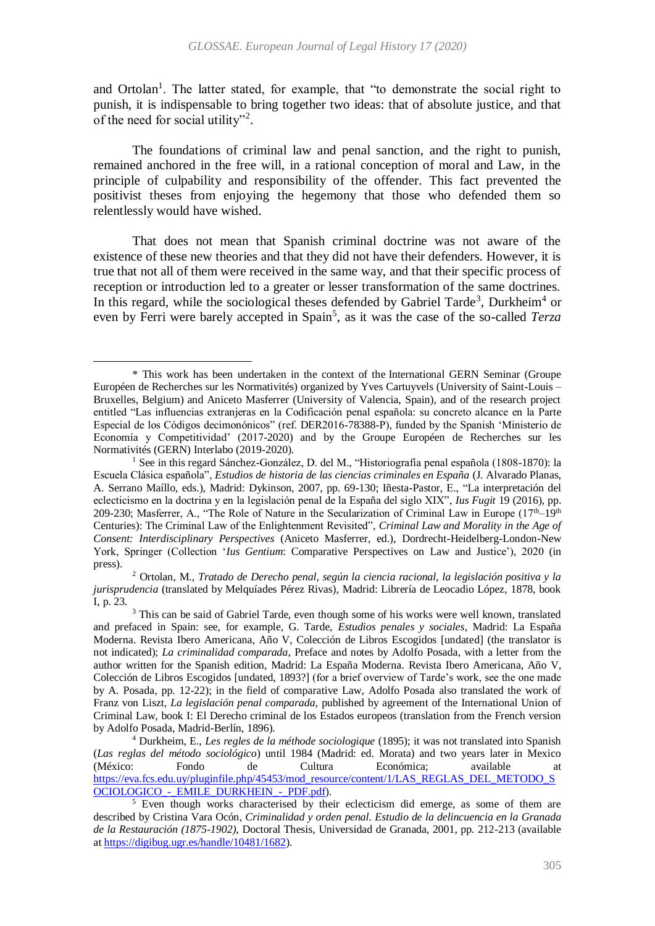and Ortolan<sup>1</sup>. The latter stated, for example, that "to demonstrate the social right to punish, it is indispensable to bring together two ideas: that of absolute justice, and that of the need for social utility"<sup>2</sup>.

The foundations of criminal law and penal sanction, and the right to punish, remained anchored in the free will, in a rational conception of moral and Law, in the principle of culpability and responsibility of the offender. This fact prevented the positivist theses from enjoying the hegemony that those who defended them so relentlessly would have wished.

That does not mean that Spanish criminal doctrine was not aware of the existence of these new theories and that they did not have their defenders. However, it is true that not all of them were received in the same way, and that their specific process of reception or introduction led to a greater or lesser transformation of the same doctrines. In this regard, while the sociological theses defended by Gabriel Tarde<sup>3</sup>, Durkheim<sup>4</sup> or even by Ferri were barely accepted in Spain<sup>5</sup>, as it was the case of the so-called *Terza* 

 $\ddot{\phantom{a}}$ 

<sup>\*</sup> This work has been undertaken in the context of the International GERN Seminar (Groupe Européen de Recherches sur les Normativités) organized by Yves Cartuyvels (University of Saint-Louis – Bruxelles, Belgium) and Aniceto Masferrer (University of Valencia, Spain), and of the research project entitled "Las influencias extranjeras en la Codificación penal española: su concreto alcance en la Parte Especial de los Códigos decimonónicos" (ref. DER2016-78388-P), funded by the Spanish 'Ministerio de Economía y Competitividad' (2017-2020) and by the Groupe Européen de Recherches sur les Normativités (GERN) Interlabo (2019-2020).

<sup>&</sup>lt;sup>1</sup> See in this regard Sánchez-González, D. del M., "Historiografía penal española (1808-1870): la Escuela Clásica española", *Estudios de historia de las ciencias criminales en España* (J. Alvarado Planas, A. Serrano Maíllo, eds.), Madrid: Dykinson, 2007, pp. 69-130; Iñesta-Pastor, E., "La interpretación del eclecticismo en la doctrina y en la legislación penal de la España del siglo XIX", *Ius Fugit* 19 (2016), pp. 209-230; Masferrer, A., "The Role of Nature in the Secularization of Criminal Law in Europe (17<sup>th</sup>–19<sup>th</sup> Centuries): The Criminal Law of the Enlightenment Revisited", *Criminal Law and Morality in the Age of Consent: Interdisciplinary Perspectives* (Aniceto Masferrer, ed.), Dordrecht-Heidelberg-London-New York, Springer (Collection '*Ius Gentium*: Comparative Perspectives on Law and Justice'), 2020 (in press).

<sup>2</sup> Ortolan, M., *Tratado de Derecho penal, según la ciencia racional, la legislación positiva y la jurisprudencia* (translated by Melquíades Pérez Rivas), Madrid: Librería de Leocadio López, 1878, book I, p. 23.

<sup>&</sup>lt;sup>3</sup> This can be said of Gabriel Tarde, even though some of his works were well known, translated and prefaced in Spain: see, for example, G. Tarde, *Estudios penales y sociales*, Madrid: La España Moderna. Revista Ibero Americana, Año V, Colección de Libros Escogidos [undated] (the translator is not indicated); *La criminalidad comparada*, Preface and notes by Adolfo Posada, with a letter from the author written for the Spanish edition, Madrid: La España Moderna. Revista Ibero Americana, Año V, Colección de Libros Escogidos [undated, 1893?] (for a brief overview of Tarde's work, see the one made by A. Posada, pp. 12-22); in the field of comparative Law, Adolfo Posada also translated the work of Franz von Liszt, *La legislación penal comparada*, published by agreement of the International Union of Criminal Law, book I: El Derecho criminal de los Estados europeos (translation from the French version by Adolfo Posada, Madrid-Berlín, 1896).

<sup>4</sup> Durkheim, E., *Les regles de la méthode sociologique* (1895); it was not translated into Spanish (*Las reglas del método sociológico*) until 1984 (Madrid: ed. Morata) and two years later in Mexico (México: Fondo de Cultura Económica; available at [https://eva.fcs.edu.uy/pluginfile.php/45453/mod\\_resource/content/1/LAS\\_REGLAS\\_DEL\\_METODO\\_S](https://eva.fcs.edu.uy/pluginfile.php/45453/mod_resource/content/1/LAS_REGLAS_DEL_METODO_SOCIOLOGICO_-_EMILE_DURKHEIN_-_PDF.pdf) [OCIOLOGICO\\_-\\_EMILE\\_DURKHEIN\\_-\\_PDF.pdf\)](https://eva.fcs.edu.uy/pluginfile.php/45453/mod_resource/content/1/LAS_REGLAS_DEL_METODO_SOCIOLOGICO_-_EMILE_DURKHEIN_-_PDF.pdf).

<sup>&</sup>lt;sup>5</sup> Even though works characterised by their eclecticism did emerge, as some of them are described by Cristina Vara Ocón, *Criminalidad y orden penal. Estudio de la delincuencia en la Granada de la Restauración (1875-1902)*, Doctoral Thesis, Universidad de Granada, 2001, pp. 212-213 (available at [https://digibug.ugr.es/handle/10481/1682\)](https://digibug.ugr.es/handle/10481/1682).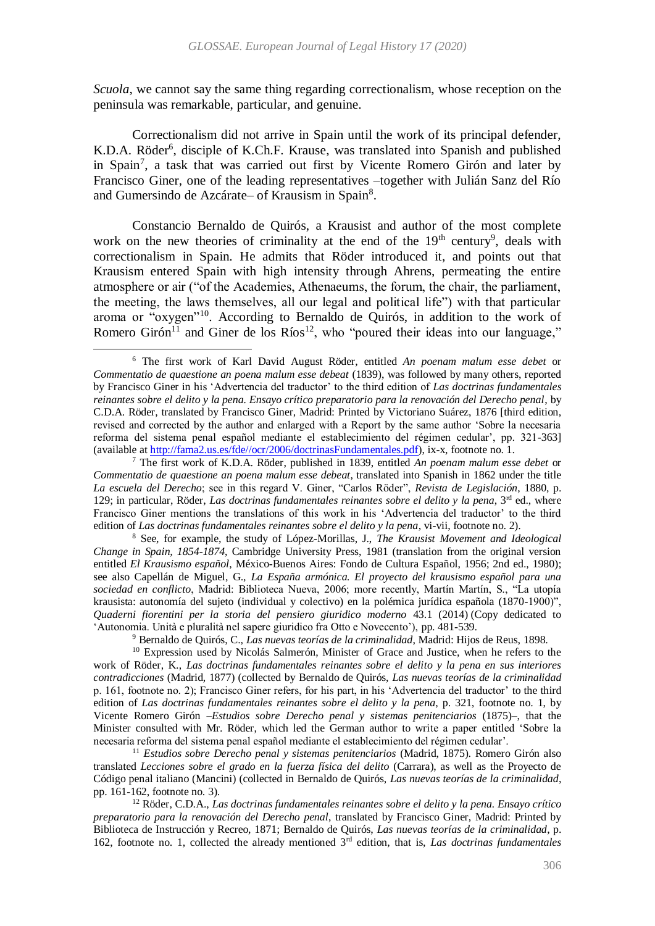*Scuola*, we cannot say the same thing regarding correctionalism, whose reception on the peninsula was remarkable, particular, and genuine.

<span id="page-3-0"></span>Correctionalism did not arrive in Spain until the work of its principal defender, K.D.A. Röder<sup>6</sup>, disciple of K.Ch.F. Krause, was translated into Spanish and published in Spain<sup>7</sup>, a task that was carried out first by Vicente Romero Girón and later by Francisco Giner, one of the leading representatives –together with Julián Sanz del Río and Gumersindo de Azcárate- of Krausism in Spain<sup>8</sup>.

Constancio Bernaldo de Quirós, a Krausist and author of the most complete work on the new theories of criminality at the end of the  $19<sup>th</sup>$  century<sup>9</sup>, deals with correctionalism in Spain. He admits that Röder introduced it, and points out that Krausism entered Spain with high intensity through Ahrens, permeating the entire atmosphere or air ("of the Academies, Athenaeums, the forum, the chair, the parliament, the meeting, the laws themselves, all our legal and political life") with that particular aroma or "oxygen"<sup>10</sup>. According to Bernaldo de Quirós, in addition to the work of Romero Girón<sup>11</sup> and Giner de los Ríos<sup>12</sup>, who "poured their ideas into our language,"

<span id="page-3-2"></span><span id="page-3-1"></span>1

<sup>8</sup> See, for example, the study of López-Morillas, J., *The Krausist Movement and Ideological Change in Spain, 1854-1874*, Cambridge University Press, 1981 (translation from the original version entitled *El Krausismo español*, México-Buenos Aires: Fondo de Cultura Español, 1956; 2nd ed., 1980); see also Capellán de Miguel, G., *La España armónica. El proyecto del krausismo español para una sociedad en conflicto*, Madrid: Biblioteca Nueva, 2006; more recently, Martín Martín, S., "La utopía krausista: autonomía del sujeto (individual y colectivo) en la polémica jurídica española (1870-1900)", *Quaderni fiorentini per la storia del pensiero giuridico moderno* 43.1 (2014) (Copy dedicated to 'Autonomia. Unità e pluralità nel sapere giuridico fra Otto e Novecento'), pp. 481-539.

<sup>9</sup> Bernaldo de Quirós, C., *Las nuevas teorías de la criminalidad*, Madrid: Hijos de Reus, 1898.

<sup>10</sup> Expression used by Nicolás Salmerón, Minister of Grace and Justice, when he refers to the work of Röder, K., *Las doctrinas fundamentales reinantes sobre el delito y la pena en sus interiores contradicciones* (Madrid, 1877) (collected by Bernaldo de Quirós, *Las nuevas teorías de la criminalidad* p. 161, footnote no. 2); Francisco Giner refers, for his part, in his 'Advertencia del traductor' to the third edition of *Las doctrinas fundamentales reinantes sobre el delito y la pena*, p. 321, footnote no. 1, by Vicente Romero Girón –*Estudios sobre Derecho penal y sistemas penitenciarios* (1875)–, that the Minister consulted with Mr. Röder, which led the German author to write a paper entitled 'Sobre la necesaria reforma del sistema penal español mediante el establecimiento del régimen cedular'.

<sup>11</sup> *Estudios sobre Derecho penal y sistemas penitenciarios* (Madrid, 1875). Romero Girón also translated *Lecciones sobre el grado en la fuerza física del delito* (Carrara), as well as the Proyecto de Código penal italiano (Mancini) (collected in Bernaldo de Quirós, *Las nuevas teorías de la criminalidad*, pp. 161-162, footnote no. 3).

<sup>12</sup> Röder, C.D.A., *Las doctrinas fundamentales reinantes sobre el delito y la pena. Ensayo crítico preparatorio para la renovación del Derecho penal*, translated by Francisco Giner, Madrid: Printed by Biblioteca de Instrucción y Recreo, 1871; Bernaldo de Quirós, *Las nuevas teorías de la criminalidad*, p. 162, footnote no. 1, collected the already mentioned 3rd edition, that is, *Las doctrinas fundamentales* 

<sup>6</sup> The first work of Karl David August Röder, entitled *An poenam malum esse debet* or *Commentatio de quaestione an poena malum esse debeat* (1839), was followed by many others, reported by Francisco Giner in his 'Advertencia del traductor' to the third edition of *Las doctrinas fundamentales reinantes sobre el delito y la pena. Ensayo crítico preparatorio para la renovación del Derecho penal*, by C.D.A. Röder, translated by Francisco Giner, Madrid: Printed by Victoriano Suárez, 1876 [third edition, revised and corrected by the author and enlarged with a Report by the same author 'Sobre la necesaria reforma del sistema penal español mediante el establecimiento del régimen cedular', pp. 321-363] (available a[t http://fama2.us.es/fde//ocr/2006/doctrinasFundamentales.pdf\)](http://fama2.us.es/fde/ocr/2006/doctrinasFundamentales.pdf), ix-x, footnote no. 1.

<sup>7</sup> The first work of K.D.A. Röder, published in 1839, entitled *An poenam malum esse debet* or *Commentatio de quaestione an poena malum esse debeat*, translated into Spanish in 1862 under the title *La escuela del Derecho*; see in this regard V. Giner, "Carlos Röder", *Revista de Legislación*, 1880, p. 129; in particular, Röder, *Las doctrinas fundamentales reinantes sobre el delito y la pena*, 3rd ed., where Francisco Giner mentions the translations of this work in his 'Advertencia del traductor' to the third edition of *Las doctrinas fundamentales reinantes sobre el delito y la pena*, vi-vii, footnote no. 2).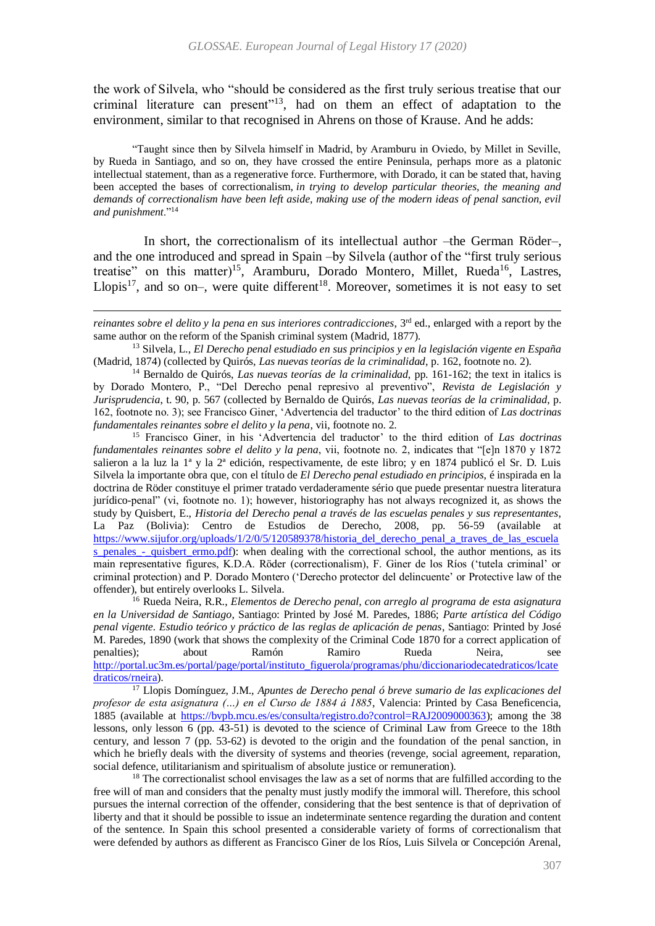<span id="page-4-0"></span>the work of Silvela, who "should be considered as the first truly serious treatise that our criminal literature can present"<sup>13</sup>, had on them an effect of adaptation to the environment, similar to that recognised in Ahrens on those of Krause. And he adds:

"Taught since then by Silvela himself in Madrid, by Aramburu in Oviedo, by Millet in Seville, by Rueda in Santiago, and so on, they have crossed the entire Peninsula, perhaps more as a platonic intellectual statement, than as a regenerative force. Furthermore, with Dorado, it can be stated that, having been accepted the bases of correctionalism, *in trying to develop particular theories, the meaning and demands of correctionalism have been left aside, making use of the modern ideas of penal sanction, evil and punishment*."<sup>14</sup>

In short, the correctionalism of its intellectual author –the German Röder–, and the one introduced and spread in Spain –by Silvela (author of the "first truly serious treatise" on this matter)<sup>15</sup>, Aramburu, Dorado Montero, Millet, Rueda<sup>16</sup>, Lastres, Llopis<sup>17</sup>, and so on–, were quite different<sup>18</sup>. Moreover, sometimes it is not easy to set

 $\ddot{\phantom{a}}$ 

<sup>15</sup> Francisco Giner, in his 'Advertencia del traductor' to the third edition of *Las doctrinas fundamentales reinantes sobre el delito y la pena*, vii, footnote no. 2, indicates that "[e]n 1870 y 1872 salieron a la luz la 1ª y la 2ª edición, respectivamente, de este libro; y en 1874 publicó el Sr. D. Luis Silvela la importante obra que, con el título de *El Derecho penal estudiado en principios*, é inspirada en la doctrina de Röder constituye el primer tratado verdaderamente sério que puede presentar nuestra literatura jurídico-penal" (vi, footnote no. 1); however, historiography has not always recognized it, as shows the study by Quisbert, E., *Historia del Derecho penal a través de las escuelas penales y sus representantes*, La Paz (Bolivia): Centro de Estudios de Derecho, 2008, pp. 56-59 (available at [https://www.sijufor.org/uploads/1/2/0/5/120589378/historia\\_del\\_derecho\\_penal\\_a\\_traves\\_de\\_las\\_escuela](https://www.sijufor.org/uploads/1/2/0/5/120589378/historia_del_derecho_penal_a_traves_de_las_escuelas_penales_-_quisbert_ermo.pdf) [s\\_penales\\_-\\_quisbert\\_ermo.pdf\)](https://www.sijufor.org/uploads/1/2/0/5/120589378/historia_del_derecho_penal_a_traves_de_las_escuelas_penales_-_quisbert_ermo.pdf): when dealing with the correctional school, the author mentions, as its main representative figures, K.D.A. Röder (correctionalism), F. Giner de los Ríos ('tutela criminal' or criminal protection) and P. Dorado Montero ('Derecho protector del delincuente' or Protective law of the offender), but entirely overlooks L. Silvela.

<sup>16</sup> Rueda Neira, R.R., *Elementos de Derecho penal, con arreglo al programa de esta asignatura en la Universidad de Santiago*, Santiago: Printed by José M. Paredes, 1886; *Parte artística del Código penal vigente. Estudio teórico y práctico de las reglas de aplicación de penas*, Santiago: Printed by José M. Paredes, 1890 (work that shows the complexity of the Criminal Code 1870 for a correct application of penalties); about Ramón Ramiro Rueda Neira, see [http://portal.uc3m.es/portal/page/portal/instituto\\_figuerola/programas/phu/diccionariodecatedraticos/lcate](http://portal.uc3m.es/portal/page/portal/instituto_figuerola/programas/phu/diccionariodecatedraticos/lcatedraticos/rneira) [draticos/rneira\)](http://portal.uc3m.es/portal/page/portal/instituto_figuerola/programas/phu/diccionariodecatedraticos/lcatedraticos/rneira).

<sup>17</sup> Llopis Domínguez, J.M., *Apuntes de Derecho penal ó breve sumario de las explicaciones del profesor de esta asignatura (…) en el Curso de 1884 á 1885*, Valencia: Printed by Casa Beneficencia, 1885 (available at [https://bvpb.mcu.es/es/consulta/registro.do?control=RAJ2009000363\)](https://bvpb.mcu.es/es/consulta/registro.do?control=RAJ2009000363); among the 38 lessons, only lesson 6 (pp. 43-51) is devoted to the science of Criminal Law from Greece to the 18th century, and lesson 7 (pp. 53-62) is devoted to the origin and the foundation of the penal sanction, in which he briefly deals with the diversity of systems and theories (revenge, social agreement, reparation, social defence, utilitarianism and spiritualism of absolute justice or remuneration).

<sup>18</sup> The correctionalist school envisages the law as a set of norms that are fulfilled according to the free will of man and considers that the penalty must justly modify the immoral will. Therefore, this school pursues the internal correction of the offender, considering that the best sentence is that of deprivation of liberty and that it should be possible to issue an indeterminate sentence regarding the duration and content of the sentence. In Spain this school presented a considerable variety of forms of correctionalism that were defended by authors as different as Francisco Giner de los Ríos, Luis Silvela or Concepción Arenal,

*reinantes sobre el delito y la pena en sus interiores contradicciones*, 3<sup>rd</sup> ed., enlarged with a report by the same author on the reform of the Spanish criminal system (Madrid, 1877).

<sup>13</sup> Silvela, L., *El Derecho penal estudiado en sus principios y en la legislación vigente en España* (Madrid, 1874) (collected by Quirós, *Las nuevas teorías de la criminalidad*, p. 162, footnote no. 2).

<sup>14</sup> Bernaldo de Quirós, *Las nuevas teorías de la criminalidad*, pp. 161-162; the text in italics is by Dorado Montero, P., "Del Derecho penal represivo al preventivo", *Revista de Legislación y Jurisprudencia*, t. 90, p. 567 (collected by Bernaldo de Quirós, *Las nuevas teorías de la criminalidad*, p. 162, footnote no. 3); see Francisco Giner, 'Advertencia del traductor' to the third edition of *Las doctrinas fundamentales reinantes sobre el delito y la pena*, vii, footnote no. 2.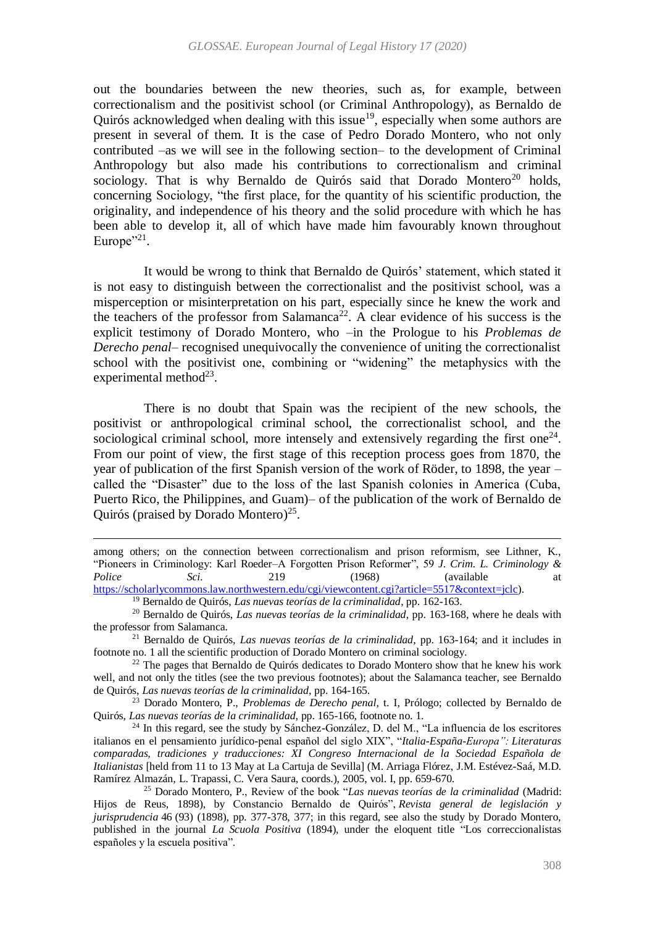out the boundaries between the new theories, such as, for example, between correctionalism and the positivist school (or Criminal Anthropology), as Bernaldo de Quirós acknowledged when dealing with this issue<sup>19</sup>, especially when some authors are present in several of them. It is the case of Pedro Dorado Montero, who not only contributed –as we will see in the following section– to the development of Criminal Anthropology but also made his contributions to correctionalism and criminal sociology. That is why Bernaldo de Quirós said that Dorado Montero<sup>20</sup> holds, concerning Sociology, "the first place, for the quantity of his scientific production, the originality, and independence of his theory and the solid procedure with which he has been able to develop it, all of which have made him favourably known throughout Europe $"^{21}$ .

It would be wrong to think that Bernaldo de Quirós' statement, which stated it is not easy to distinguish between the correctionalist and the positivist school, was a misperception or misinterpretation on his part, especially since he knew the work and the teachers of the professor from Salamanca<sup>22</sup>. A clear evidence of his success is the explicit testimony of Dorado Montero, who –in the Prologue to his *Problemas de Derecho penal*– recognised unequivocally the convenience of uniting the correctionalist school with the positivist one, combining or "widening" the metaphysics with the experimental method $^{23}$ .

<span id="page-5-1"></span>There is no doubt that Spain was the recipient of the new schools, the positivist or anthropological criminal school, the correctionalist school, and the sociological criminal school, more intensely and extensively regarding the first one $24$ . From our point of view, the first stage of this reception process goes from 1870, the year of publication of the first Spanish version of the work of Röder, to 1898, the year – called the "Disaster" due to the loss of the last Spanish colonies in America (Cuba, Puerto Rico, the Philippines, and Guam)– of the publication of the work of Bernaldo de Quirós (praised by Dorado Montero)<sup>25</sup>.

 $\overline{a}$ 

<sup>23</sup> Dorado Montero, P., *Problemas de Derecho penal*, t. I, Prólogo; collected by Bernaldo de Quirós, *Las nuevas teorías de la criminalidad*, pp. 165-166, footnote no. 1.

<sup>24</sup> In this regard, see the study by Sánchez-González, D. del M., "La influencia de los escritores italianos en el pensamiento jurídico-penal español del siglo XIX", "*Italia-España-Europa": Literaturas comparadas, tradiciones y traducciones: XI Congreso Internacional de la Sociedad Española de Italianistas* [held from 11 to 13 May at La Cartuja de Sevilla] (M. Arriaga Flórez, J.M. Estévez-Saá, M.D. Ramírez Almazán, L. Trapassi, C. Vera Saura, coords.), 2005, vol. I, pp. 659-670.

among others; on the connection between correctionalism and prison reformism, see Lithner, K., "Pioneers in Criminology: Karl Roeder–A Forgotten Prison Reformer", 59 *J. Crim. L. Criminology & Police* Sci. 219 (1968) (available at [https://scholarlycommons.law.northwestern.edu/cgi/viewcontent.cgi?article=5517&context=jclc\)](https://scholarlycommons.law.northwestern.edu/cgi/viewcontent.cgi?article=5517&context=jclc).

<span id="page-5-0"></span><sup>19</sup> Bernaldo de Quirós, *Las nuevas teorías de la criminalidad*, pp. 162-163.

<sup>20</sup> Bernaldo de Quirós, *Las nuevas teorías de la criminalidad*, pp. 163-168, where he deals with the professor from Salamanca.

<sup>21</sup> Bernaldo de Quirós, *Las nuevas teorías de la criminalidad*, pp. 163-164; and it includes in footnote no. 1 all the scientific production of Dorado Montero on criminal sociology.

<sup>&</sup>lt;sup>22</sup> The pages that Bernaldo de Quirós dedicates to Dorado Montero show that he knew his work well, and not only the titles (see the two previous footnotes); about the Salamanca teacher, see Bernaldo de Quirós, *Las nuevas teorías de la criminalidad*, pp. 164-165.

<sup>25</sup> Dorado Montero, P., Review of the book "*Las nuevas teorías de la criminalidad* (Madrid: Hijos de Reus, 1898), by Constancio Bernaldo de Quirós", *Revista general de legislación y jurisprudencia* 46 (93) (1898), pp. 377-378, 377; in this regard, see also the study by Dorado Montero, published in the journal *La Scuola Positiva* (1894), under the eloquent title "Los correccionalistas españoles y la escuela positiva".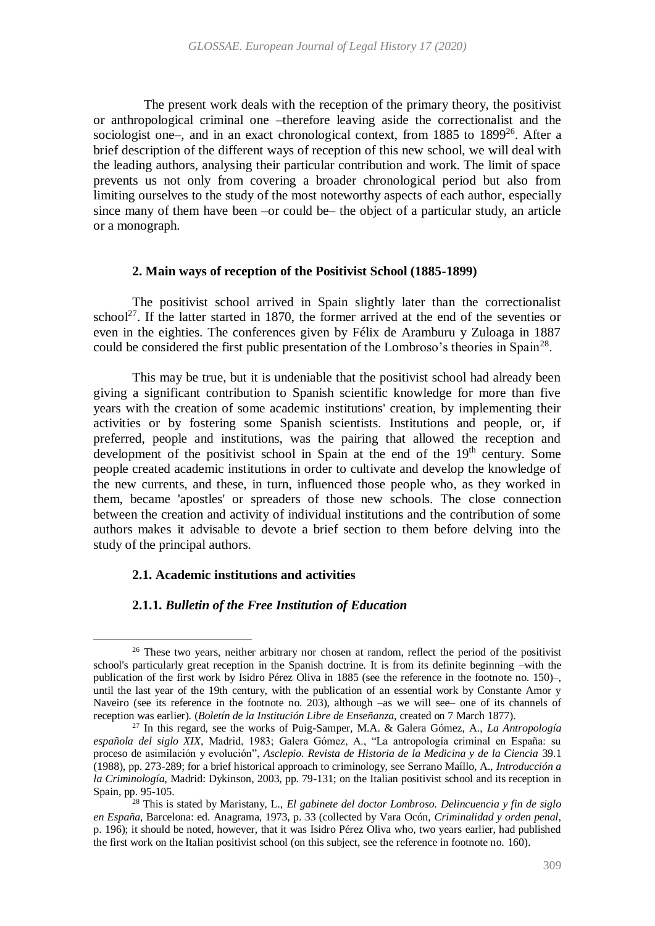The present work deals with the reception of the primary theory, the positivist or anthropological criminal one –therefore leaving aside the correctionalist and the sociologist one-, and in an exact chronological context, from 1885 to 1899<sup>26</sup>. After a brief description of the different ways of reception of this new school, we will deal with the leading authors, analysing their particular contribution and work. The limit of space prevents us not only from covering a broader chronological period but also from limiting ourselves to the study of the most noteworthy aspects of each author, especially since many of them have been –or could be– the object of a particular study, an article or a monograph.

### <span id="page-6-0"></span>**2. Main ways of reception of the Positivist School (1885-1899)**

The positivist school arrived in Spain slightly later than the correctionalist school<sup>27</sup>. If the latter started in 1870, the former arrived at the end of the seventies or even in the eighties. The conferences given by Félix de Aramburu y Zuloaga in 1887 could be considered the first public presentation of the Lombroso's theories in Spain<sup>28</sup>.

This may be true, but it is undeniable that the positivist school had already been giving a significant contribution to Spanish scientific knowledge for more than five years with the creation of some academic institutions' creation, by implementing their activities or by fostering some Spanish scientists. Institutions and people, or, if preferred, people and institutions, was the pairing that allowed the reception and development of the positivist school in Spain at the end of the  $19<sup>th</sup>$  century. Some people created academic institutions in order to cultivate and develop the knowledge of the new currents, and these, in turn, influenced those people who, as they worked in them, became 'apostles' or spreaders of those new schools. The close connection between the creation and activity of individual institutions and the contribution of some authors makes it advisable to devote a brief section to them before delving into the study of the principal authors.

## **2.1. Academic institutions and activities**

 $\ddot{\phantom{a}}$ 

### **2.1.1.** *Bulletin of the Free Institution of Education*

<sup>&</sup>lt;sup>26</sup> These two years, neither arbitrary nor chosen at random, reflect the period of the positivist school's particularly great reception in the Spanish doctrine. It is from its definite beginning –with the publication of the first work by Isidro Pérez Oliva in 1885 (see the reference in the footnote no. 150)–, until the last year of the 19th century, with the publication of an essential work by Constante Amor y Naveiro (see its reference in the footnote no. 203), although –as we will see– one of its channels of reception was earlier). (*Boletín de la Institución Libre de Enseñanza*, created on 7 March 1877).

<sup>27</sup> In this regard, see the works of Puig-Samper, M.A. & Galera Gómez, A., *La Antropología española del siglo XIX*, Madrid, 1983; Galera Gómez, A., "La antropología criminal en España: su proceso de asimilación y evolución", *Asclepio. Revista de Historia de la Medicina y de la Ciencia* 39.1 (1988), pp. 273-289; for a brief historical approach to criminology, see Serrano Maíllo, A., *Introducción a la Criminología*, Madrid: Dykinson, 2003, pp. 79-131; on the Italian positivist school and its reception in Spain, pp. 95-105.

<sup>28</sup> This is stated by Maristany, L., *El gabinete del doctor Lombroso. Delincuencia y fin de siglo en España*, Barcelona: ed. Anagrama, 1973, p. 33 (collected by Vara Ocón, *Criminalidad y orden penal*, p. 196); it should be noted, however, that it was Isidro Pérez Oliva who, two years earlier, had published the first work on the Italian positivist school (on this subject, see the reference in footnote no. [160\)](#page-25-0).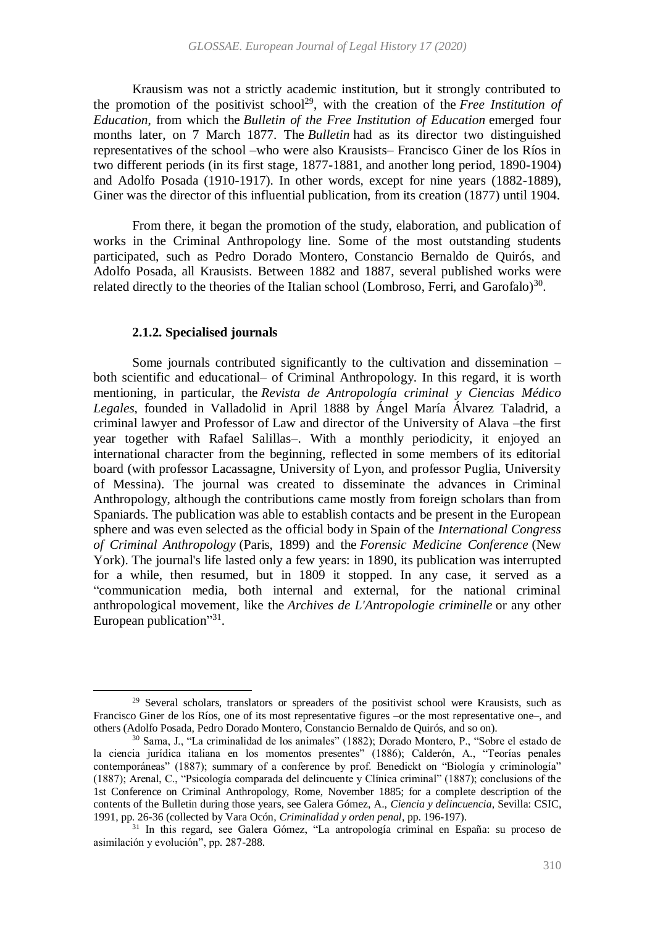Krausism was not a strictly academic institution, but it strongly contributed to the promotion of the positivist school<sup>29</sup>, with the creation of the *Free Institution of Education*, from which the *Bulletin of the Free Institution of Education* emerged four months later, on 7 March 1877. The *Bulletin* had as its director two distinguished representatives of the school –who were also Krausists– Francisco Giner de los Ríos in two different periods (in its first stage, 1877-1881, and another long period, 1890-1904) and Adolfo Posada (1910-1917). In other words, except for nine years (1882-1889), Giner was the director of this influential publication, from its creation (1877) until 1904.

From there, it began the promotion of the study, elaboration, and publication of works in the Criminal Anthropology line. Some of the most outstanding students participated, such as Pedro Dorado Montero, Constancio Bernaldo de Quirós, and Adolfo Posada, all Krausists. Between 1882 and 1887, several published works were related directly to the theories of the Italian school (Lombroso, Ferri, and Garofalo)<sup>30</sup>.

### <span id="page-7-0"></span>**2.1.2. Specialised journals**

 $\ddot{\phantom{a}}$ 

Some journals contributed significantly to the cultivation and dissemination – both scientific and educational– of Criminal Anthropology. In this regard, it is worth mentioning, in particular, the *Revista de Antropología criminal y Ciencias Médico Legales*, founded in Valladolid in April 1888 by Ángel María Álvarez Taladrid, a criminal lawyer and Professor of Law and director of the University of Alava –the first year together with Rafael Salillas–. With a monthly periodicity, it enjoyed an international character from the beginning, reflected in some members of its editorial board (with professor Lacassagne, University of Lyon, and professor Puglia, University of Messina). The journal was created to disseminate the advances in Criminal Anthropology, although the contributions came mostly from foreign scholars than from Spaniards. The publication was able to establish contacts and be present in the European sphere and was even selected as the official body in Spain of the *International Congress of Criminal Anthropology* (Paris, 1899) and the *Forensic Medicine Conference* (New York). The journal's life lasted only a few years: in 1890, its publication was interrupted for a while, then resumed, but in 1809 it stopped. In any case, it served as a "communication media, both internal and external, for the national criminal anthropological movement, like the *Archives de L'Antropologie criminelle* or any other European publication"<sup>31</sup>.

<sup>&</sup>lt;sup>29</sup> Several scholars, translators or spreaders of the positivist school were Krausists, such as Francisco Giner de los Ríos, one of its most representative figures –or the most representative one–, and others (Adolfo Posada, Pedro Dorado Montero, Constancio Bernaldo de Quirós, and so on).

<sup>30</sup> Sama, J., "La criminalidad de los animales" (1882); Dorado Montero, P., "Sobre el estado de la ciencia jurídica italiana en los momentos presentes" (1886); Calderón, A., "Teorías penales contemporáneas" (1887); summary of a conference by prof. Benedickt on "Biología y criminología" (1887); Arenal, C., "Psicología comparada del delincuente y Clínica criminal" (1887); conclusions of the 1st Conference on Criminal Anthropology, Rome, November 1885; for a complete description of the contents of the Bulletin during those years, see Galera Gómez, A., *Ciencia y delincuencia*, Sevilla: CSIC, 1991, pp. 26-36 (collected by Vara Ocón, *Criminalidad y orden penal*, pp. 196-197).

<sup>31</sup> In this regard, see Galera Gómez, "La antropología criminal en España: su proceso de asimilación y evolución", pp. 287-288.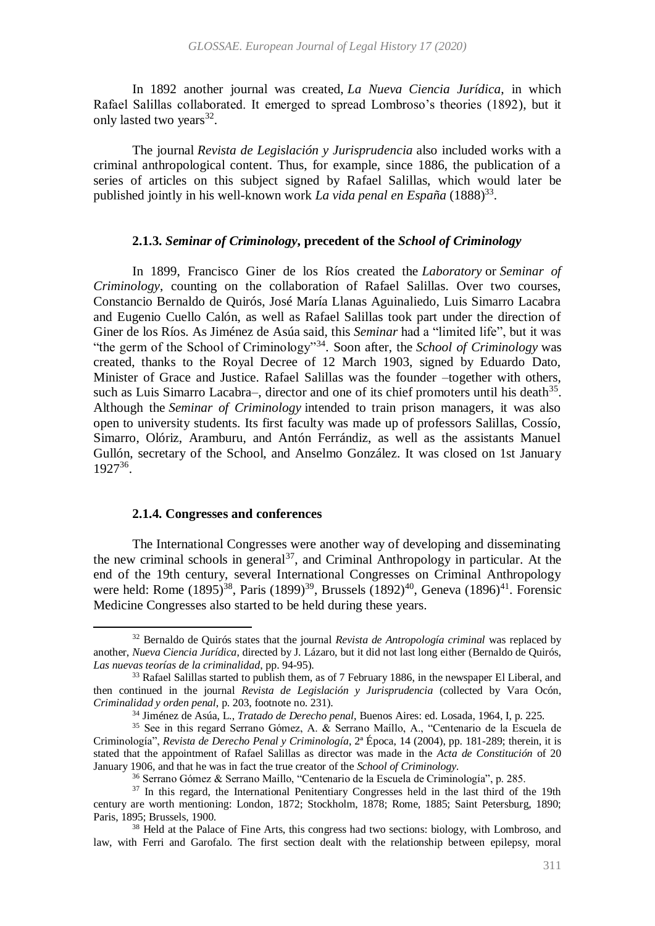In 1892 another journal was created, *La Nueva Ciencia Jurídica*, in which Rafael Salillas collaborated. It emerged to spread Lombroso's theories (1892), but it only lasted two years<sup>32</sup>.

The journal *Revista de Legislación y Jurisprudencia* also included works with a criminal anthropological content. Thus, for example, since 1886, the publication of a series of articles on this subject signed by Rafael Salillas, which would later be published jointly in his well-known work *La vida penal en España* (1888)<sup>33</sup>.

# **2.1.3.** *Seminar of Criminology***, precedent of the** *School of Criminology*

In 1899, Francisco Giner de los Ríos created the *Laboratory* or *Seminar of Criminology*, counting on the collaboration of Rafael Salillas. Over two courses, Constancio Bernaldo de Quirós, José María Llanas Aguinaliedo, Luis Simarro Lacabra and Eugenio Cuello Calón, as well as Rafael Salillas took part under the direction of Giner de los Ríos. As Jiménez de Asúa said, this *Seminar* had a "limited life", but it was "the germ of the School of Criminology"<sup>34</sup> . Soon after, the *School of Criminology* was created, thanks to the Royal Decree of 12 March 1903, signed by Eduardo Dato, Minister of Grace and Justice. Rafael Salillas was the founder –together with others, such as Luis Simarro Lacabra–, director and one of its chief promoters until his death $35$ . Although the *Seminar of Criminology* intended to train prison managers, it was also open to university students. Its first faculty was made up of professors Salillas, Cossío, Simarro, Olóriz, Aramburu, and Antón Ferrándiz, as well as the assistants Manuel Gullón, secretary of the School, and Anselmo González. It was closed on 1st January 1927<sup>36</sup> .

#### **2.1.4. Congresses and conferences**

 $\ddot{\phantom{a}}$ 

The International Congresses were another way of developing and disseminating the new criminal schools in general<sup>37</sup>, and Criminal Anthropology in particular. At the end of the 19th century, several International Congresses on Criminal Anthropology were held: Rome  $(1895)^{38}$ , Paris  $(1899)^{39}$ , Brussels  $(1892)^{40}$ , Geneva  $(1896)^{41}$ . Forensic Medicine Congresses also started to be held during these years.

<sup>32</sup> Bernaldo de Quirós states that the journal *Revista de Antropología criminal* was replaced by another, *Nueva Ciencia Jurídica*, directed by J. Lázaro, but it did not last long either (Bernaldo de Quirós, *Las nuevas teorías de la criminalidad*, pp. 94-95).

<sup>&</sup>lt;sup>33</sup> Rafael Salillas started to publish them, as of 7 February 1886, in the newspaper El Liberal, and then continued in the journal *Revista de Legislación y Jurisprudencia* (collected by Vara Ocón, *Criminalidad y orden penal*, p. 203, footnote no. 231).

<sup>34</sup> Jiménez de Asúa, L., *Tratado de Derecho penal*, Buenos Aires: ed. Losada, 1964, I, p. 225.

<sup>35</sup> See in this regard Serrano Gómez, A. & Serrano Maíllo, A., "Centenario de la Escuela de Criminología", *Revista de Derecho Penal y Criminología*, 2ª Época, 14 (2004), pp. 181-289; therein, it is stated that the appointment of Rafael Salillas as director was made in the *Acta de Constitución* of 20 January 1906, and that he was in fact the true creator of the *School of Criminology.*

<sup>36</sup> Serrano Gómez & Serrano Maíllo, "Centenario de la Escuela de Criminología", p. 285.

<sup>&</sup>lt;sup>37</sup> In this regard, the International Penitentiary Congresses held in the last third of the 19th century are worth mentioning: London, 1872; Stockholm, 1878; Rome, 1885; Saint Petersburg, 1890; Paris, 1895; Brussels, 1900.

<sup>38</sup> Held at the Palace of Fine Arts, this congress had two sections: biology, with Lombroso, and law, with Ferri and Garofalo. The first section dealt with the relationship between epilepsy, moral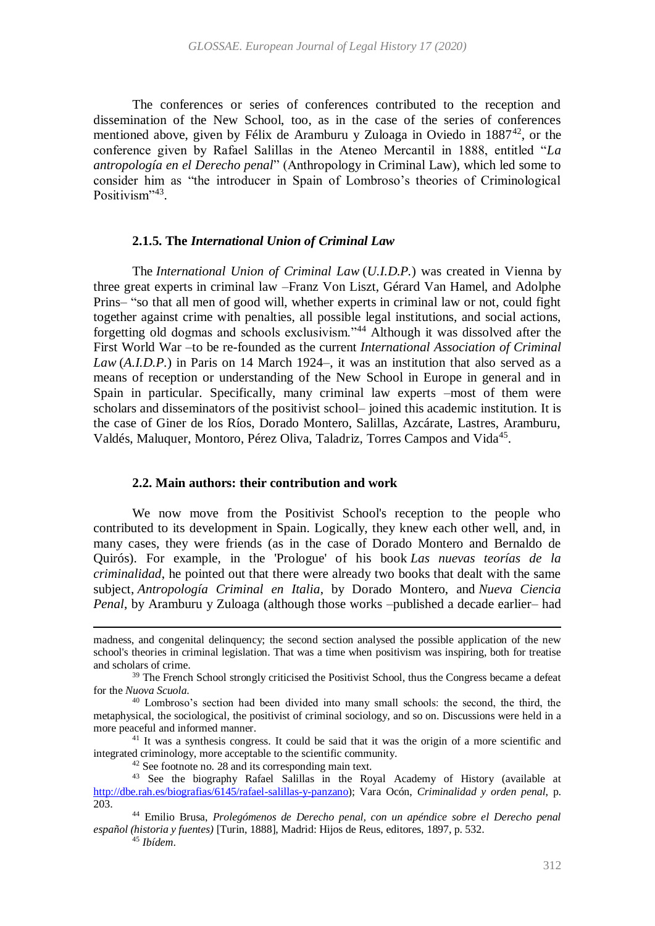The conferences or series of conferences contributed to the reception and dissemination of the New School, too, as in the case of the series of conferences mentioned above, given by Félix de Aramburu y Zuloaga in Oviedo in  $1887^{42}$ , or the conference given by Rafael Salillas in the Ateneo Mercantil in 1888, entitled "*La antropología en el Derecho penal*" (Anthropology in Criminal Law), which led some to consider him as "the introducer in Spain of Lombroso's theories of Criminological Positivism",43.

#### **2.1.5. The** *International Union of Criminal Law*

The *International Union of Criminal Law* (*U.I.D.P.*) was created in Vienna by three great experts in criminal law –Franz Von Liszt, Gérard Van Hamel, and Adolphe Prins– "so that all men of good will, whether experts in criminal law or not, could fight together against crime with penalties, all possible legal institutions, and social actions, forgetting old dogmas and schools exclusivism."<sup>44</sup> Although it was dissolved after the First World War –to be re-founded as the current *International Association of Criminal Law* (*A.I.D.P.*) in Paris on 14 March 1924–, it was an institution that also served as a means of reception or understanding of the New School in Europe in general and in Spain in particular. Specifically, many criminal law experts –most of them were scholars and disseminators of the positivist school– joined this academic institution. It is the case of Giner de los Ríos, Dorado Montero, Salillas, Azcárate, Lastres, Aramburu, Valdés, Maluquer, Montoro, Pérez Oliva, Taladriz, Torres Campos and Vida<sup>45</sup>.

#### **2.2. Main authors: their contribution and work**

We now move from the Positivist School's reception to the people who contributed to its development in Spain. Logically, they knew each other well, and, in many cases, they were friends (as in the case of Dorado Montero and Bernaldo de Quirós). For example, in the 'Prologue' of his book *Las nuevas teorías de la criminalidad*, he pointed out that there were already two books that dealt with the same subject, *Antropología Criminal en Italia*, by Dorado Montero, and *Nueva Ciencia Penal*, by Aramburu y Zuloaga (although those works –published a decade earlier– had

<sup>45</sup> *Ibídem*.

 $\ddot{\phantom{a}}$ 

madness, and congenital delinquency; the second section analysed the possible application of the new school's theories in criminal legislation. That was a time when positivism was inspiring, both for treatise and scholars of crime.

<sup>&</sup>lt;sup>39</sup> The French School strongly criticised the Positivist School, thus the Congress became a defeat for the *Nuova Scuola*.

<sup>40</sup> Lombroso's section had been divided into many small schools: the second, the third, the metaphysical, the sociological, the positivist of criminal sociology, and so on. Discussions were held in a more peaceful and informed manner.

<sup>&</sup>lt;sup>41</sup> It was a synthesis congress. It could be said that it was the origin of a more scientific and integrated criminology, more acceptable to the scientific community.

<sup>&</sup>lt;sup>42</sup> See footnote no. [28](#page-6-0) and its corresponding main text.

<sup>43</sup> See the biography Rafael Salillas in the Royal Academy of History (available at [http://dbe.rah.es/biografias/6145/rafael-salillas-y-panzano\)](http://dbe.rah.es/biografias/6145/rafael-salillas-y-panzano); Vara Ocón, *Criminalidad y orden penal*, p. 203.

<sup>44</sup> Emilio Brusa, *Prolegómenos de Derecho penal, con un apéndice sobre el Derecho penal español (historia y fuentes)* [Turin, 1888], Madrid: Hijos de Reus, editores, 1897, p. 532.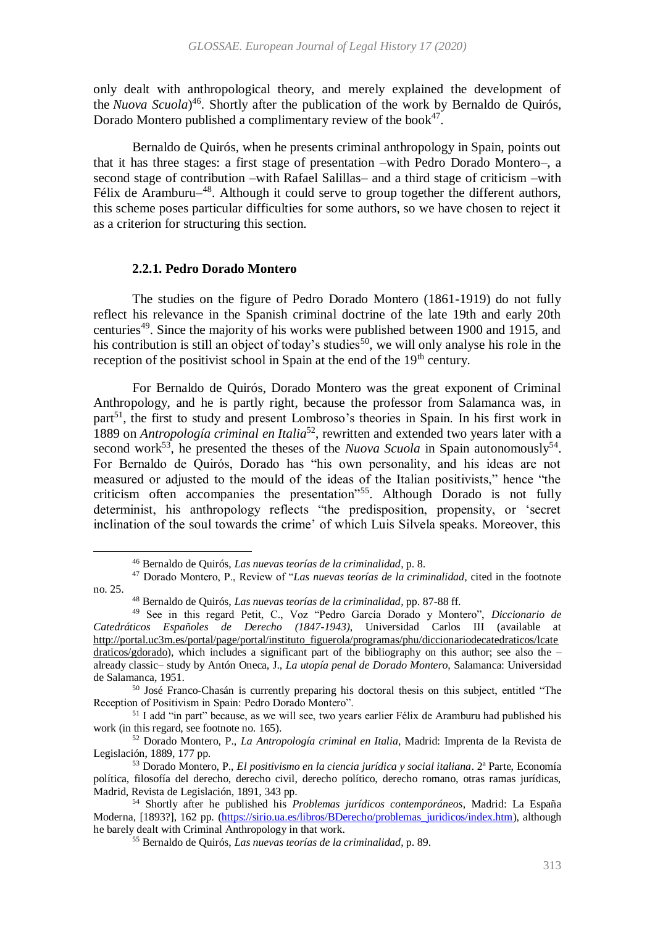only dealt with anthropological theory, and merely explained the development of the *Nuova Scuola*) 46 . Shortly after the publication of the work by Bernaldo de Quirós, Dorado Montero published a complimentary review of the book $47$ .

Bernaldo de Quirós, when he presents criminal anthropology in Spain, points out that it has three stages: a first stage of presentation –with Pedro Dorado Montero–, a second stage of contribution –with Rafael Salillas– and a third stage of criticism –with Félix de Aramburu $-48$ . Although it could serve to group together the different authors, this scheme poses particular difficulties for some authors, so we have chosen to reject it as a criterion for structuring this section.

#### <span id="page-10-0"></span>**2.2.1. Pedro Dorado Montero**

 $\overline{a}$ 

The studies on the figure of Pedro Dorado Montero (1861-1919) do not fully reflect his relevance in the Spanish criminal doctrine of the late 19th and early 20th centuries<sup>49</sup>. Since the majority of his works were published between 1900 and 1915, and his contribution is still an object of today's studies<sup>50</sup>, we will only analyse his role in the reception of the positivist school in Spain at the end of the  $19<sup>th</sup>$  century.

For Bernaldo de Quirós, Dorado Montero was the great exponent of Criminal Anthropology, and he is partly right, because the professor from Salamanca was, in part<sup>51</sup>, the first to study and present Lombroso's theories in Spain. In his first work in 1889 on *Antropología criminal en Italia*<sup>52</sup> , rewritten and extended two years later with a second work<sup>53</sup>, he presented the theses of the *Nuova Scuola* in Spain autonomously<sup>54</sup>. For Bernaldo de Quirós, Dorado has "his own personality, and his ideas are not measured or adjusted to the mould of the ideas of the Italian positivists," hence "the criticism often accompanies the presentation"<sup>55</sup>. Although Dorado is not fully determinist, his anthropology reflects "the predisposition, propensity, or 'secret inclination of the soul towards the crime' of which Luis Silvela speaks. Moreover, this

<sup>46</sup> Bernaldo de Quirós, *Las nuevas teorías de la criminalidad*, p. 8.

<sup>47</sup> Dorado Montero, P., Review of "*Las nuevas teorías de la criminalidad*, cited in the footnote no. [25.](#page-5-0)

<sup>48</sup> Bernaldo de Quirós, *Las nuevas teorías de la criminalidad*, pp. 87-88 ff.

<sup>49</sup> See in this regard Petit, C., Voz "Pedro García Dorado y Montero", *Diccionario de Catedráticos Españoles de Derecho (1847-1943)*, Universidad Carlos III (available at [http://portal.uc3m.es/portal/page/portal/instituto\\_figuerola/programas/phu/diccionariodecatedraticos/lcate](http://portal.uc3m.es/portal/page/portal/instituto_figuerola/programas/phu/diccionariodecatedraticos/lcatedraticos/gdorado) [draticos/gdorado\)](http://portal.uc3m.es/portal/page/portal/instituto_figuerola/programas/phu/diccionariodecatedraticos/lcatedraticos/gdorado), which includes a significant part of the bibliography on this author; see also the – already classic– study by Antón Oneca, J., *La utopía penal de Dorado Montero*, Salamanca: Universidad de Salamanca, 1951.

<sup>&</sup>lt;sup>50</sup> José Franco-Chasán is currently preparing his doctoral thesis on this subject, entitled "The Reception of Positivism in Spain: Pedro Dorado Montero".

<sup>&</sup>lt;sup>51</sup> I add "in part" because, as we will see, two years earlier Félix de Aramburu had published his work (in this regard, see footnote no. [165\)](#page-25-1).

<sup>52</sup> Dorado Montero, P., *La Antropología criminal en Italia*, Madrid: Imprenta de la Revista de Legislación, 1889, 177 pp.

<sup>53</sup> Dorado Montero, P., *El positivismo en la ciencia jurídica y social italiana*. 2ª Parte, Economía política, filosofía del derecho, derecho civil, derecho político, derecho romano, otras ramas jurídicas, Madrid, Revista de Legislación, 1891, 343 pp.

<sup>54</sup> Shortly after he published his *Problemas jurídicos contemporáneos*, Madrid: La España Moderna, [1893?], 162 pp. [\(https://sirio.ua.es/libros/BDerecho/problemas\\_juridicos/index.htm\)](https://sirio.ua.es/libros/BDerecho/problemas_juridicos/index.htm), although he barely dealt with Criminal Anthropology in that work.

<sup>55</sup> Bernaldo de Quirós, *Las nuevas teorías de la criminalidad*, p. 89.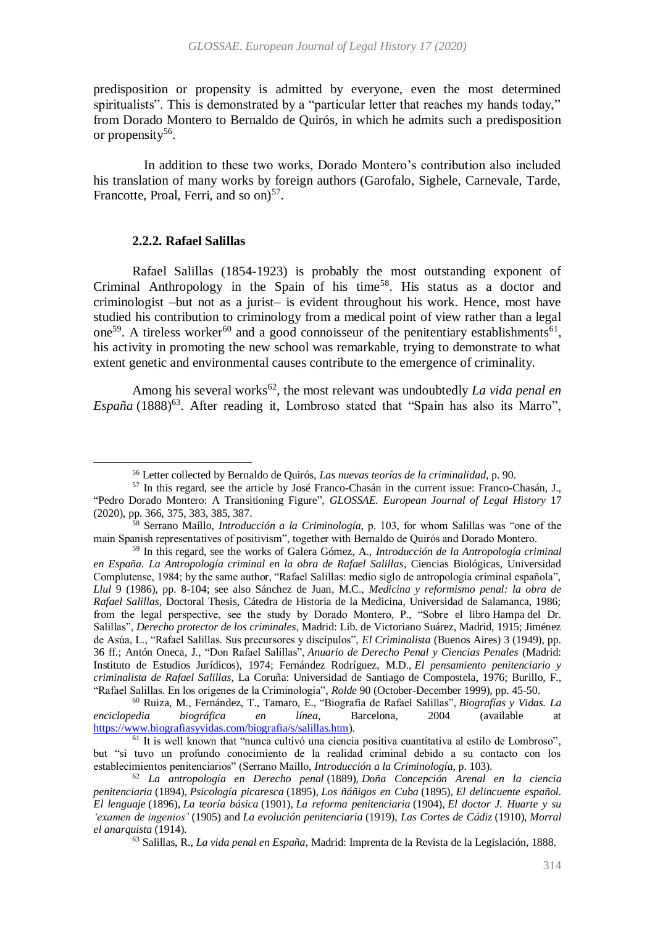predisposition or propensity is admitted by everyone, even the most determined spiritualists". This is demonstrated by a "particular letter that reaches my hands today," from Dorado Montero to Bernaldo de Quirós, in which he admits such a predisposition or propensity<sup>56</sup>.

In addition to these two works, Dorado Montero's contribution also included his translation of many works by foreign authors (Garofalo, Sighele, Carnevale, Tarde, Francotte, Proal, Ferri, and so on)<sup>57</sup>.

### **2.2.2. Rafael Salillas**

1

Rafael Salillas (1854-1923) is probably the most outstanding exponent of Criminal Anthropology in the Spain of his time<sup>58</sup>. His status as a doctor and criminologist –but not as a jurist– is evident throughout his work. Hence, most have studied his contribution to criminology from a medical point of view rather than a legal one<sup>59</sup>. A tireless worker<sup>60</sup> and a good connoisseur of the penitentiary establishments<sup>61</sup>, his activity in promoting the new school was remarkable, trying to demonstrate to what extent genetic and environmental causes contribute to the emergence of criminality.

Among his several works<sup>62</sup>, the most relevant was undoubtedly *La vida penal en* España<sup>(1888)<sup>63</sup>. After reading it, Lombroso stated that "Spain has also its Marro",</sup>

<sup>56</sup> Letter collected by Bernaldo de Quirós, *Las nuevas teorías de la criminalidad*, p. 90.

<sup>&</sup>lt;sup>57</sup> In this regard, see the article by José Franco-Chasán in the current issue: Franco-Chasán, J., "Pedro Dorado Montero: A Transitioning Figure", *GLOSSAE. European Journal of Legal History* 17 (2020), pp. 366, 375, 383, 385, 387.

<sup>58</sup> Serrano Maíllo, *Introducción a la Criminología*, p. 103, for whom Salillas was "one of the main Spanish representatives of positivism", together with Bernaldo de Quirós and Dorado Montero.

<sup>59</sup> In this regard, see the works of Galera Gómez, A., *Introducción de la Antropología criminal en España. La Antropología criminal en la obra de Rafael Salillas*, Ciencias Biológicas, Universidad Complutense, 1984; by the same author, "Rafael Salillas: medio siglo de antropología criminal española", *Llul* 9 (1986), pp. 8-104; see also Sánchez de Juan, M.C., *Medicina y reformismo penal: la obra de Rafael Salillas*, Doctoral Thesis, Cátedra de Historia de la Medicina, Universidad de Salamanca, 1986; from the legal perspective, see the study by Dorado Montero, P., "Sobre el libro Hampa del Dr. Salillas", *Derecho protector de los criminales*, Madrid: Lib. de Victoriano Suárez, Madrid, 1915; Jiménez de Asúa, L., "Rafael Salillas. Sus precursores y discípulos", *El Criminalista* (Buenos Aires) 3 (1949), pp. 36 ff.; Antón Oneca, J., "Don Rafael Salillas", *Anuario de Derecho Penal y Ciencias Penales* (Madrid: Instituto de Estudios Jurídicos), 1974; Fernández Rodríguez, M.D., *El pensamiento penitenciario y criminalista de Rafael Salillas*, La Coruña: Universidad de Santiago de Compostela, 1976; Burillo, F., "Rafael Salillas. En los orígenes de la Criminología", *Rolde* 90 (October-December 1999), pp. 45-50.

<sup>60</sup> Ruiza, M., Fernández, T., Tamaro, E., "Biografía de Rafael Salillas", *Biografías y Vidas. La enciclopedia biográfica en línea*, Barcelona, 2004 (available at [https://www.biografiasyvidas.com/biografia/s/salillas.htm\)](https://www.biografiasyvidas.com/biografia/s/salillas.htm).

 $<sup>61</sup>$  It is well known that "nunca cultivó una ciencia positiva cuantitativa al estilo de Lombroso",</sup> but "sí tuvo un profundo conocimiento de la realidad criminal debido a su contacto con los establecimientos penitenciarios" (Serrano Maíllo, *Introducción a la Criminología*, p. 103).

<sup>62</sup> *La antropología en Derecho penal* (1889), *Doña Concepción Arenal en la ciencia penitenciaria* (1894), *Psicología picaresca* (1895), *Los ñáñigos en Cuba* (1895), *El delincuente español. El lenguaje* (1896), *La teoría básica* (1901), *La reforma penitenciaria* (1904), *El doctor J. Huarte y su 'examen de ingenios'* (1905) and *La evolución penitenciaria* (1919), *Las Cortes de Cádiz* (1910), *Morral el anarquista* (1914).

<sup>63</sup> Salillas, R., *La vida penal en España*, Madrid: Imprenta de la Revista de la Legislación, 1888.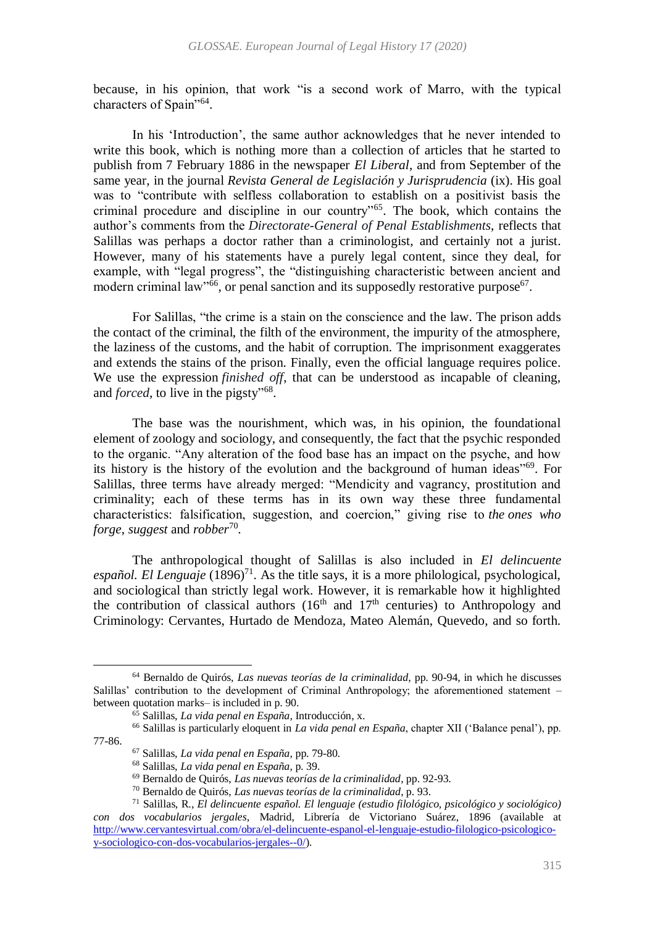because, in his opinion, that work "is a second work of Marro, with the typical characters of Spain"64.

In his 'Introduction', the same author acknowledges that he never intended to write this book, which is nothing more than a collection of articles that he started to publish from 7 February 1886 in the newspaper *El Liberal*, and from September of the same year, in the journal *Revista General de Legislación y Jurisprudencia* (ix). His goal was to "contribute with selfless collaboration to establish on a positivist basis the criminal procedure and discipline in our country"<sup>65</sup> . The book, which contains the author's comments from the *Directorate-General of Penal Establishments*, reflects that Salillas was perhaps a doctor rather than a criminologist, and certainly not a jurist. However, many of his statements have a purely legal content, since they deal, for example, with "legal progress", the "distinguishing characteristic between ancient and modern criminal law<sup>166</sup>, or penal sanction and its supposedly restorative purpose<sup>67</sup>.

For Salillas, "the crime is a stain on the conscience and the law. The prison adds the contact of the criminal, the filth of the environment, the impurity of the atmosphere, the laziness of the customs, and the habit of corruption. The imprisonment exaggerates and extends the stains of the prison. Finally, even the official language requires police. We use the expression *finished off*, that can be understood as incapable of cleaning, and *forced*, to live in the pigsty"<sup>68</sup>.

The base was the nourishment, which was, in his opinion, the foundational element of zoology and sociology, and consequently, the fact that the psychic responded to the organic. "Any alteration of the food base has an impact on the psyche, and how its history is the history of the evolution and the background of human ideas"<sup>69</sup>. For Salillas, three terms have already merged: "Mendicity and vagrancy, prostitution and criminality; each of these terms has in its own way these three fundamental characteristics: falsification, suggestion, and coercion," giving rise to *the ones who forge*, *suggest* and *robber*<sup>70</sup> *.*

The anthropological thought of Salillas is also included in *El delincuente español. El Lenguaje*  $(1896)^{71}$ . As the title says, it is a more philological, psychological, and sociological than strictly legal work. However, it is remarkable how it highlighted the contribution of classical authors  $(16<sup>th</sup>$  and  $17<sup>th</sup>$  centuries) to Anthropology and Criminology: Cervantes, Hurtado de Mendoza, Mateo Alemán, Quevedo, and so forth.

<sup>64</sup> Bernaldo de Quirós, *Las nuevas teorías de la criminalidad*, pp. 90-94, in which he discusses Salillas' contribution to the development of Criminal Anthropology; the aforementioned statement – between quotation marks– is included in p. 90.

<sup>65</sup> Salillas, *La vida penal en España*, Introducción, x.

<sup>66</sup> Salillas is particularly eloquent in *La vida penal en España*, chapter XII ('Balance penal'), pp. 77-86.

<sup>67</sup> Salillas, *La vida penal en España*, pp. 79-80.

<sup>68</sup> Salillas, *La vida penal en España*, p. 39.

<sup>69</sup> Bernaldo de Quirós, *Las nuevas teorías de la criminalidad*, pp. 92-93.

<sup>70</sup> Bernaldo de Quirós, *Las nuevas teorías de la criminalidad*, p. 93.

<sup>71</sup> Salillas, R., *El delincuente español. El lenguaje (estudio filológico, psicológico y sociológico) con dos vocabularios jergales*, Madrid, Librería de Victoriano Suárez, 1896 (available at [http://www.cervantesvirtual.com/obra/el-delincuente-espanol-el-lenguaje-estudio-filologico-psicologico](http://www.cervantesvirtual.com/obra/el-delincuente-espanol-el-lenguaje-estudio-filologico-psicologico-y-sociologico-con-dos-vocabularios-jergales--0/)[y-sociologico-con-dos-vocabularios-jergales--0/\)](http://www.cervantesvirtual.com/obra/el-delincuente-espanol-el-lenguaje-estudio-filologico-psicologico-y-sociologico-con-dos-vocabularios-jergales--0/).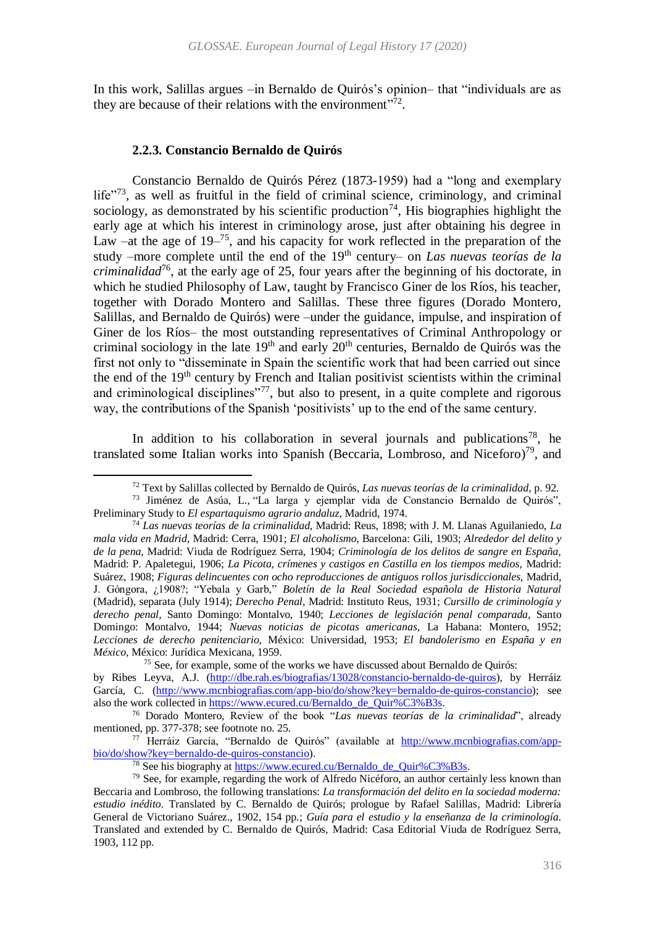In this work, Salillas argues –in Bernaldo de Quirós's opinion– that "individuals are as they are because of their relations with the environment"<sup>72</sup>.

#### **2.2.3. Constancio Bernaldo de Quirós**

 $\ddot{\phantom{a}}$ 

<span id="page-13-0"></span>Constancio Bernaldo de Quirós Pérez (1873-1959) had a "long and exemplary life"<sup>73</sup>, as well as fruitful in the field of criminal science, criminology, and criminal sociology, as demonstrated by his scientific production<sup>74</sup>, His biographies highlight the early age at which his interest in criminology arose, just after obtaining his degree in Law –at the age of  $19-^{75}$ , and his capacity for work reflected in the preparation of the study –more complete until the end of the 19th century– on *Las nuevas teorías de la criminalidad*<sup>76</sup>, at the early age of 25, four years after the beginning of his doctorate, in which he studied Philosophy of Law, taught by Francisco Giner de los Ríos, his teacher, together with Dorado Montero and Salillas. These three figures (Dorado Montero, Salillas, and Bernaldo de Quirós) were –under the guidance, impulse, and inspiration of Giner de los Ríos– the most outstanding representatives of Criminal Anthropology or criminal sociology in the late  $19<sup>th</sup>$  and early  $20<sup>th</sup>$  centuries, Bernaldo de Quirós was the first not only to "disseminate in Spain the scientific work that had been carried out since the end of the 19<sup>th</sup> century by French and Italian positivist scientists within the criminal and criminological disciplines"<sup>77</sup>, but also to present, in a quite complete and rigorous way, the contributions of the Spanish 'positivists' up to the end of the same century.

In addition to his collaboration in several journals and publications<sup>78</sup>, he translated some Italian works into Spanish (Beccaria, Lombroso, and Niceforo)<sup>79</sup>, and

<sup>72</sup> Text by Salillas collected by Bernaldo de Quirós, *Las nuevas teorías de la criminalidad*, p. 92.

<sup>73</sup> Jiménez de Asúa, L., "La larga y ejemplar vida de Constancio Bernaldo de Quirós", Preliminary Study to *El espartaquismo agrario andaluz*, Madrid, 1974.

<sup>74</sup> *Las nuevas teorías de la criminalidad,* Madrid: Reus, 1898; with J. M. Llanas Aguilaniedo, *La mala vida en Madrid,* Madrid: Cerra, 1901; *El alcoholismo,* Barcelona: Gili, 1903; *Alrededor del delito y de la pena,* Madrid: Viuda de Rodríguez Serra, 1904; *Criminología de los delitos de sangre en España,*  Madrid: P. Apaletegui, 1906; *La Picota, crímenes y castigos en Castilla en los tiempos medios,* Madrid: Suárez, 1908; *Figuras delincuentes con ocho reproducciones de antiguos rollos jurisdiccionales,* Madrid, J. Góngora, ¿1908?; "Yebala y Garb," *Boletín de la Real Sociedad española de Historia Natural*  (Madrid), separata (July 1914); *Derecho Penal,* Madrid: Instituto Reus, 1931; *Cursillo de criminología y derecho penal,* Santo Domingo: Montalvo, 1940; *Lecciones de legislación penal comparada,* Santo Domingo: Montalvo, 1944; *Nuevas noticias de picotas americanas,* La Habana: Montero, 1952; *Lecciones de derecho penitenciario,* México: Universidad, 1953; *El bandolerismo en España y en México,* México: Jurídica Mexicana, 1959.

<sup>75</sup> See, for example, some of the works we have discussed about Bernaldo de Quirós: by Ribes Leyva, A.J. [\(http://dbe.rah.es/biografias/13028/constancio-bernaldo-de-quiros\)](http://dbe.rah.es/biografias/13028/constancio-bernaldo-de-quiros), by Herráiz García, C. [\(http://www.mcnbiografias.com/app-bio/do/show?key=bernaldo-de-quiros-constancio\)](http://www.mcnbiografias.com/app-bio/do/show?key=bernaldo-de-quiros-constancio); see also the work collected in [https://www.ecured.cu/Bernaldo\\_de\\_Quir%C3%B3s.](https://www.ecured.cu/Bernaldo_de_Quirós)

<sup>76</sup> Dorado Montero, Review of the book "*Las nuevas teorías de la criminalidad*", already mentioned, pp. 377-378; see footnote no. [25.](#page-5-1)

<sup>77</sup> Herráiz García, "Bernaldo de Quirós" (available at [http://www.mcnbiografias.com/app](http://www.mcnbiografias.com/app-bio/do/show?key=bernaldo-de-quiros-constancio)[bio/do/show?key=bernaldo-de-quiros-constancio\)](http://www.mcnbiografias.com/app-bio/do/show?key=bernaldo-de-quiros-constancio).

<sup>&</sup>lt;sup>78</sup> See his biography at [https://www.ecured.cu/Bernaldo\\_de\\_Quir%C3%B3s.](https://www.ecured.cu/Bernaldo_de_Quirós)

<sup>79</sup> See, for example, regarding the work of Alfredo Nicéforo, an author certainly less known than Beccaria and Lombroso, the following translations: *La transformación del delito en la sociedad moderna: estudio inédito*. Translated by C. Bernaldo de Quirós; prologue by Rafael Salillas, Madrid: Librería General de Victoriano Suárez., 1902, 154 pp.; *Guía para el estudio y la enseñanza de la criminología*. Translated and extended by C. Bernaldo de Quirós, Madrid: Casa Editorial Viuda de Rodríguez Serra, 1903, 112 pp.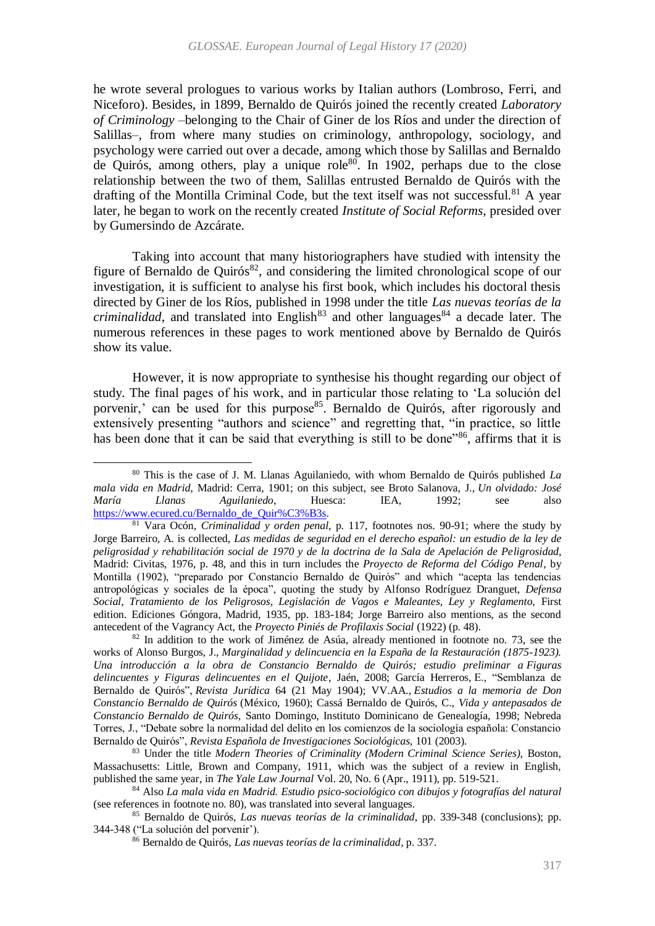<span id="page-14-0"></span>he wrote several prologues to various works by Italian authors (Lombroso, Ferri, and Niceforo). Besides, in 1899, Bernaldo de Quirós joined the recently created *Laboratory of Criminology* –belonging to the Chair of Giner de los Ríos and under the direction of Salillas–, from where many studies on criminology, anthropology, sociology, and psychology were carried out over a decade, among which those by Salillas and Bernaldo de Quirós, among others, play a unique role<sup>80</sup>. In 1902, perhaps due to the close relationship between the two of them, Salillas entrusted Bernaldo de Quirós with the drafting of the Montilla Criminal Code, but the text itself was not successful.<sup>81</sup> A year later, he began to work on the recently created *Institute of Social Reforms*, presided over by Gumersindo de Azcárate.

Taking into account that many historiographers have studied with intensity the figure of Bernaldo de Quirós $^{82}$ , and considering the limited chronological scope of our investigation, it is sufficient to analyse his first book, which includes his doctoral thesis directed by Giner de los Ríos, published in 1998 under the title *Las nuevas teorías de la criminalidad*, and translated into English<sup>83</sup> and other languages<sup>84</sup> a decade later. The numerous references in these pages to work mentioned above by Bernaldo de Quirós show its value.

However, it is now appropriate to synthesise his thought regarding our object of study. The final pages of his work, and in particular those relating to 'La solución del porvenir,' can be used for this purpose<sup>85</sup>. Bernaldo de Quirós, after rigorously and extensively presenting "authors and science" and regretting that, "in practice, so little has been done that it can be said that everything is still to be done"<sup>86</sup>, affirms that it is

1

<sup>80</sup> This is the case of J. M. Llanas Aguilaniedo, with whom Bernaldo de Quirós published *La mala vida en Madrid*, Madrid: Cerra, 1901; on this subject, see Broto Salanova, J., *Un olvidado: José María Llanas Aguilaniedo*, Huesca: IEA, 1992; see also [https://www.ecured.cu/Bernaldo\\_de\\_Quir%C3%B3s.](https://www.ecured.cu/Bernaldo_de_Quirós)

<sup>81</sup> Vara Ocón, *Criminalidad y orden penal*, p. 117, footnotes nos. 90-91; where the study by Jorge Barreiro, A. is collected, *Las medidas de seguridad en el derecho español: un estudio de la ley de peligrosidad y rehabilitación social de 1970 y de la doctrina de la Sala de Apelación de Peligrosidad*, Madrid: Civitas, 1976, p. 48, and this in turn includes the *Proyecto de Reforma del Código Penal*, by Montilla (1902), "preparado por Constancio Bernaldo de Quirós" and which "acepta las tendencias antropológicas y sociales de la época", quoting the study by Alfonso Rodríguez Dranguet, *Defensa Social, Tratamiento de los Peligrosos, Legislación de Vagos e Maleantes, Ley y Reglamento,* First edition. Ediciones Góngora, Madrid, 1935, pp. 183-184; Jorge Barreiro also mentions, as the second antecedent of the Vagrancy Act, the *Proyecto Piniés de Profilaxis Social* (1922) (p. 48).

 $82$  In addition to the work of Jiménez de Asúa, already mentioned in footnote no. [73,](#page-13-0) see the works of Alonso Burgos, J., *Marginalidad y delincuencia en la España de la Restauración (1875-1923). Una introducción a la obra de Constancio Bernaldo de Quirós; estudio preliminar a Figuras delincuentes y Figuras delincuentes en el Quijote*, Jaén, 2008; García Herreros, E., "Semblanza de Bernaldo de Quirós", *Revista Jurídica* 64 (21 May 1904); VV.AA., *Estudios a la memoria de Don Constancio Bernaldo de Quirós* (México, 1960); Cassá Bernaldo de Quirós, C., *Vida y antepasados de Constancio Bernaldo de Quirós,* Santo Domingo, Instituto Dominicano de Genealogía, 1998; Nebreda Torres, J., "Debate sobre la normalidad del delito en los comienzos de la sociología española: Constancio Bernaldo de Quirós", *Revista Española de Investigaciones Sociológicas,* 101 (2003).

<sup>83</sup> Under the title *Modern Theories of Criminality (Modern Criminal Science Series)*, Boston, Massachusetts: Little, Brown and Company, 1911, which was the subject of a review in English, published the same year, in *The Yale Law Journal* Vol. 20, No. 6 (Apr., 1911), pp. 519-521.

<sup>84</sup> Also *La mala vida en Madrid. Estudio psico-sociológico con dibujos y fotografías del natural* (see references in footnote no. [80\)](#page-14-0), was translated into several languages.

<sup>85</sup> Bernaldo de Quirós, *Las nuevas teorías de la criminalidad*, pp. 339-348 (conclusions); pp. 344-348 ("La solución del porvenir').

<sup>86</sup> Bernaldo de Quirós, *Las nuevas teorías de la criminalidad*, p. 337.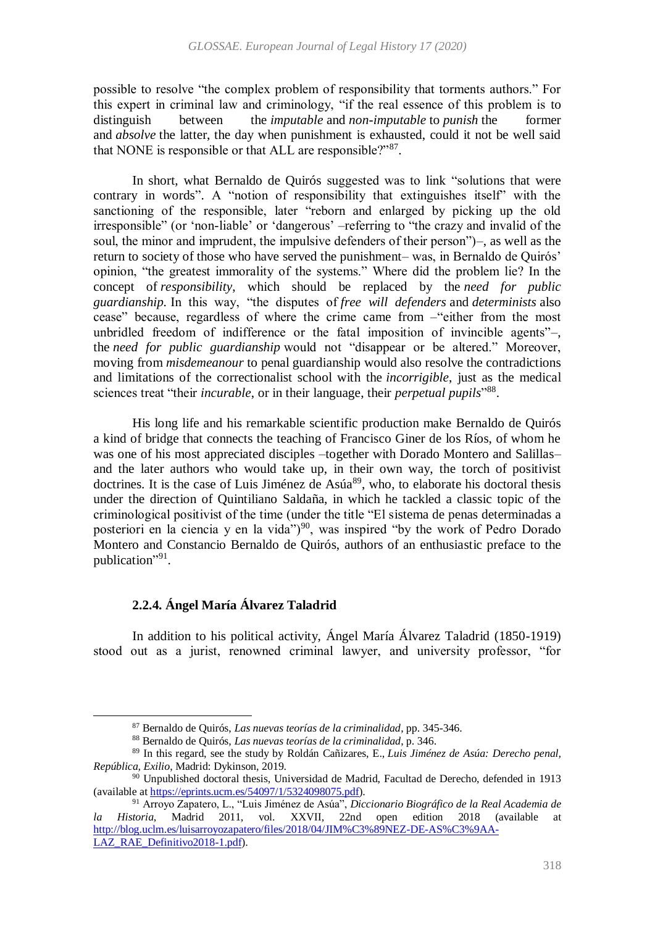possible to resolve "the complex problem of responsibility that torments authors." For this expert in criminal law and criminology, "if the real essence of this problem is to distinguish between the *imputable* and *non-imputable* to *punish* the former and *absolve* the latter, the day when punishment is exhausted, could it not be well said that NONE is responsible or that ALL are responsible?"<sup>87</sup>.

In short, what Bernaldo de Quirós suggested was to link "solutions that were contrary in words". A "notion of responsibility that extinguishes itself" with the sanctioning of the responsible, later "reborn and enlarged by picking up the old irresponsible" (or 'non-liable' or 'dangerous' –referring to "the crazy and invalid of the soul, the minor and imprudent, the impulsive defenders of their person")–, as well as the return to society of those who have served the punishment– was, in Bernaldo de Quirós' opinion, "the greatest immorality of the systems." Where did the problem lie? In the concept of *responsibility*, which should be replaced by the *need for public guardianship.* In this way, "the disputes of *free will defenders* and *determinists* also cease" because, regardless of where the crime came from –"either from the most unbridled freedom of indifference or the fatal imposition of invincible agents"–, the *need for public guardianship* would not "disappear or be altered." Moreover, moving from *misdemeanour* to penal guardianship would also resolve the contradictions and limitations of the correctionalist school with the *incorrigible*, just as the medical sciences treat "their *incurable*, or in their language, their *perpetual pupils*"88.

His long life and his remarkable scientific production make Bernaldo de Quirós a kind of bridge that connects the teaching of Francisco Giner de los Ríos, of whom he was one of his most appreciated disciples –together with Dorado Montero and Salillas– and the later authors who would take up, in their own way, the torch of positivist doctrines. It is the case of Luis Jiménez de Asúa<sup>89</sup>, who, to elaborate his doctoral thesis under the direction of Quintiliano Saldaña, in which he tackled a classic topic of the criminological positivist of the time (under the title "El sistema de penas determinadas a posteriori en la ciencia y en la vida")<sup>90</sup>, was inspired "by the work of Pedro Dorado" Montero and Constancio Bernaldo de Quirós, authors of an enthusiastic preface to the publication"<sup>91</sup>.

# **2.2.4. Ángel María Álvarez Taladrid**

1

In addition to his political activity, Ángel María Álvarez Taladrid (1850-1919) stood out as a jurist, renowned criminal lawyer, and university professor, "for

<sup>87</sup> Bernaldo de Quirós, *Las nuevas teorías de la criminalidad*, pp. 345-346.

<sup>88</sup> Bernaldo de Quirós, *Las nuevas teorías de la criminalidad*, p. 346.

<sup>89</sup> In this regard, see the study by Roldán Cañizares, E., *Luis Jiménez de Asúa: Derecho penal, República, Exilio*, Madrid: Dykinson, 2019.

 $90$  Unpublished doctoral thesis, Universidad de Madrid, Facultad de Derecho, defended in 1913 (available a[t https://eprints.ucm.es/54097/1/5324098075.pdf\)](https://eprints.ucm.es/54097/1/5324098075.pdf).

<sup>91</sup> Arroyo Zapatero, L., "Luis Jiménez de Asúa", *Diccionario Biográfico de la Real Academia de la Historia*, Madrid 2011, vol. XXVII, 22nd open edition 2018 (available at [http://blog.uclm.es/luisarroyozapatero/files/2018/04/JIM%C3%89NEZ-DE-AS%C3%9AA-](http://blog.uclm.es/luisarroyozapatero/files/2018/04/JIMÉNEZ-DE-ASÚA-LAZ_RAE_Definitivo2018-1.pdf)[LAZ\\_RAE\\_Definitivo2018-1.pdf\)](http://blog.uclm.es/luisarroyozapatero/files/2018/04/JIMÉNEZ-DE-ASÚA-LAZ_RAE_Definitivo2018-1.pdf).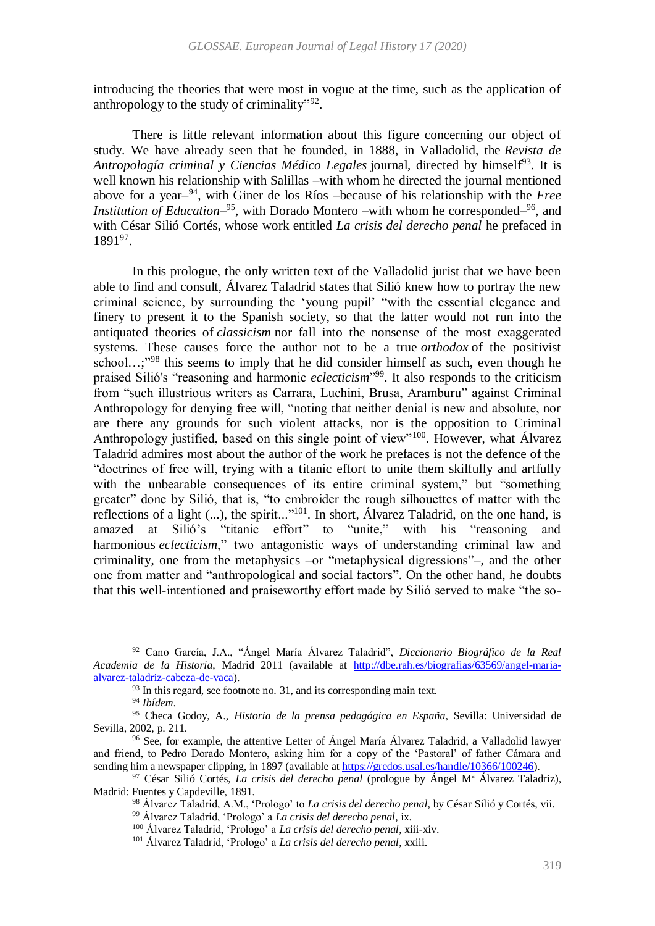introducing the theories that were most in vogue at the time, such as the application of anthropology to the study of criminality"?

There is little relevant information about this figure concerning our object of study. We have already seen that he founded, in 1888, in Valladolid, the *Revista de*  Antropología criminal y Ciencias Médico Legales journal, directed by himself<sup>93</sup>. It is well known his relationship with Salillas –with whom he directed the journal mentioned above for a year– <sup>94</sup>, with Giner de los Ríos –because of his relationship with the *Free*  Institution of Education<sup>-95</sup>, with Dorado Montero –with whom he corresponded<sup>-96</sup>, and with César Silió Cortés, whose work entitled *La crisis del derecho penal* he prefaced in 1891<sup>97</sup>.

<span id="page-16-1"></span><span id="page-16-0"></span>In this prologue, the only written text of the Valladolid jurist that we have been able to find and consult, Álvarez Taladrid states that Silió knew how to portray the new criminal science, by surrounding the 'young pupil' "with the essential elegance and finery to present it to the Spanish society, so that the latter would not run into the antiquated theories of *classicism* nor fall into the nonsense of the most exaggerated systems. These causes force the author not to be a true *orthodox* of the positivist school...;"<sup>98</sup> this seems to imply that he did consider himself as such, even though he praised Silió's "reasoning and harmonic *eclecticism*" 99 . It also responds to the criticism from "such illustrious writers as Carrara, Luchini, Brusa, Aramburu" against Criminal Anthropology for denying free will, "noting that neither denial is new and absolute, nor are there any grounds for such violent attacks, nor is the opposition to Criminal Anthropology justified, based on this single point of view"<sup>100</sup>. However, what Álvarez Taladrid admires most about the author of the work he prefaces is not the defence of the "doctrines of free will, trying with a titanic effort to unite them skilfully and artfully with the unbearable consequences of its entire criminal system," but "something greater" done by Silió, that is, "to embroider the rough silhouettes of matter with the reflections of a light (...), the spirit..."<sup>101</sup>. In short, Álvarez Taladrid, on the one hand, is amazed at Silió's "titanic effort" to "unite," with his "reasoning and harmonious *eclecticism*," two antagonistic ways of understanding criminal law and criminality, one from the metaphysics –or "metaphysical digressions"–, and the other one from matter and "anthropological and social factors". On the other hand, he doubts that this well-intentioned and praiseworthy effort made by Silió served to make "the so-

 $\ddot{\phantom{a}}$ 

<sup>99</sup> Álvarez Taladrid, 'Prologo' a *La crisis del derecho penal*, ix.

<sup>92</sup> Cano García, J.A., "Ángel María Álvarez Taladrid", *Diccionario Biográfico de la Real Academia de la Historia*, Madrid 2011 (available at [http://dbe.rah.es/biografias/63569/angel-maria](http://dbe.rah.es/biografias/63569/angel-maria-alvarez-taladriz-cabeza-de-vaca)[alvarez-taladriz-cabeza-de-vaca\)](http://dbe.rah.es/biografias/63569/angel-maria-alvarez-taladriz-cabeza-de-vaca).

<sup>&</sup>lt;sup>93</sup> In this regard, see footnote no. [31,](#page-7-0) and its corresponding main text.

<sup>94</sup> *Ibídem*.

<sup>95</sup> Checa Godoy, A., *Historia de la prensa pedagógica en España*, Sevilla: Universidad de Sevilla, 2002, p. 211.

<sup>96</sup> See, for example, the attentive Letter of Ángel María Álvarez Taladrid, a Valladolid lawyer and friend, to Pedro Dorado Montero, asking him for a copy of the 'Pastoral' of father Cámara and sending him a newspaper clipping, in 1897 (available at [https://gredos.usal.es/handle/10366/100246\)](https://gredos.usal.es/handle/10366/100246).

<sup>97</sup> César Silió Cortés, *La crisis del derecho penal* (prologue by Ángel Mª Álvarez Taladriz), Madrid: Fuentes y Capdeville, 1891.

<sup>98</sup> Álvarez Taladrid, A.M., 'Prologo' to *La crisis del derecho penal*, by César Silió y Cortés, vii.

<sup>100</sup> Álvarez Taladrid, 'Prologo' a *La crisis del derecho penal*, xiii-xiv.

<sup>101</sup> Álvarez Taladrid, 'Prologo' a *La crisis del derecho penal*, xxiii.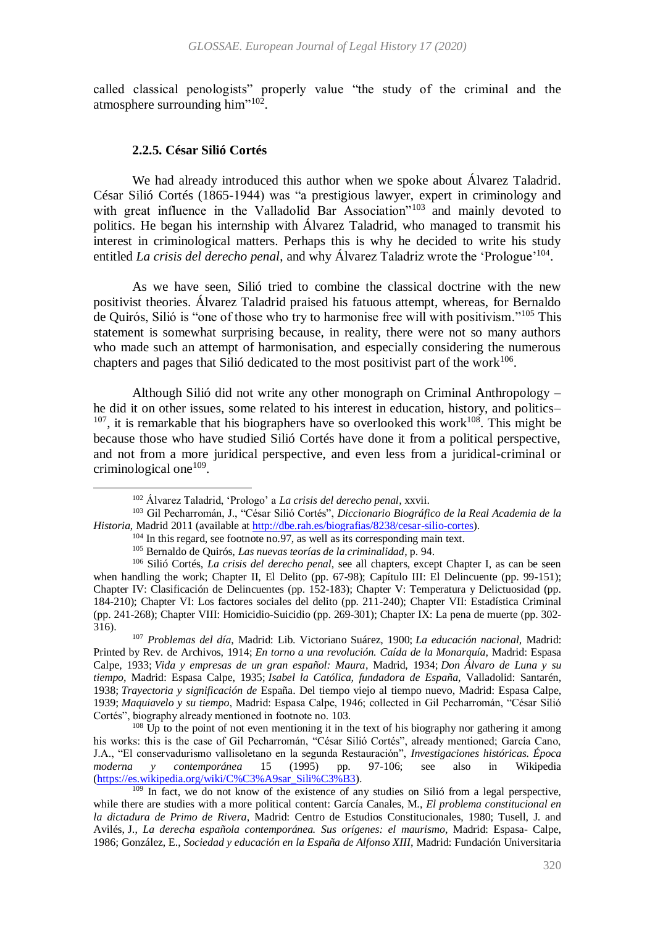called classical penologists" properly value "the study of the criminal and the atmosphere surrounding him"<sup>102</sup>.

#### <span id="page-17-0"></span>**2.2.5. César Silió Cortés**

 $\ddot{\phantom{a}}$ 

We had already introduced this author when we spoke about Álvarez Taladrid. César Silió Cortés (1865-1944) was "a prestigious lawyer, expert in criminology and with great influence in the Valladolid Bar Association"<sup>103</sup> and mainly devoted to politics. He began his internship with Álvarez Taladrid, who managed to transmit his interest in criminological matters. Perhaps this is why he decided to write his study entitled *La crisis del derecho penal*, and why Álvarez Taladriz wrote the 'Prologue'<sup>104</sup>.

As we have seen, Silió tried to combine the classical doctrine with the new positivist theories. Álvarez Taladrid praised his fatuous attempt, whereas, for Bernaldo de Quirós, Silió is "one of those who try to harmonise free will with positivism."<sup>105</sup> This statement is somewhat surprising because, in reality, there were not so many authors who made such an attempt of harmonisation, and especially considering the numerous chapters and pages that Silió dedicated to the most positivist part of the work $106$ .

Although Silió did not write any other monograph on Criminal Anthropology – he did it on other issues, some related to his interest in education, history, and politics–  $107$ , it is remarkable that his biographers have so overlooked this work $108$ . This might be because those who have studied Silió Cortés have done it from a political perspective, and not from a more juridical perspective, and even less from a juridical-criminal or criminological one<sup>109</sup>.

<sup>107</sup> *Problemas del día*, Madrid: Lib. Victoriano Suárez, 1900; *La educación nacional*, Madrid: Printed by Rev. de Archivos, 1914; *En torno a una revolución. Caída de la Monarquía*, Madrid: Espasa Calpe, 1933; *Vida y empresas de un gran español: Maura*, Madrid, 1934; *Don Álvaro de Luna y su tiempo*, Madrid: Espasa Calpe, 1935; *Isabel la Católica, fundadora de España*, Valladolid: Santarén, 1938; *Trayectoria y significación de* España. Del tiempo viejo al tiempo nuevo, Madrid: Espasa Calpe, 1939; *Maquiavelo y su tiempo*, Madrid: Espasa Calpe, 1946; collected in Gil Pecharromán, "César Silió Cortés", biography already mentioned in footnote no. [103.](#page-17-0)

 $108$  Up to the point of not even mentioning it in the text of his biography nor gathering it among his works: this is the case of Gil Pecharromán, "César Silió Cortés", already mentioned; García Cano, J.A., "El conservadurismo vallisoletano en la segunda Restauración", *Investigaciones históricas. Época moderna y contemporánea* 15 (1995) pp. 97-106; see also in Wikipedia [\(https://es.wikipedia.org/wiki/C%C3%A9sar\\_Sili%C3%B3\)](https://es.wikipedia.org/wiki/César_Silió).

<sup>109</sup> In fact, we do not know of the existence of any studies on Silió from a legal perspective, while there are studies with a more political content: García Canales, M., *El problema constitucional en la dictadura de Primo de Rivera*, Madrid: Centro de Estudios Constitucionales, 1980; Tusell, J. and Avilés, J., *La derecha española contemporánea. Sus orígenes: el maurismo*, Madrid: Espasa- Calpe, 1986; González, E., *Sociedad y educación en la España de Alfonso XIII*, Madrid: Fundación Universitaria

<span id="page-17-1"></span><sup>102</sup> Álvarez Taladrid, 'Prologo' a *La crisis del derecho penal*, xxvii.

<sup>103</sup> Gil Pecharromán, J., "César Silió Cortés", *Diccionario Biográfico de la Real Academia de la Historia*, Madrid 2011 (available at [http://dbe.rah.es/biografias/8238/cesar-silio-cortes\)](http://dbe.rah.es/biografias/8238/cesar-silio-cortes).

<sup>&</sup>lt;sup>104</sup> In this regard, see footnote n[o.97,](#page-16-0) as well as its corresponding main text.

<sup>105</sup> Bernaldo de Quirós, *Las nuevas teorías de la criminalidad*, p. 94.

<sup>106</sup> Silió Cortés, *La crisis del derecho penal*, see all chapters, except Chapter I, as can be seen when handling the work; Chapter II, El Delito (pp. 67-98); Capítulo III: El Delincuente (pp. 99-151); Chapter IV: Clasificación de Delincuentes (pp. 152-183); Chapter V: Temperatura y Delictuosidad (pp. 184-210); Chapter VI: Los factores sociales del delito (pp. 211-240); Chapter VII: Estadística Criminal (pp. 241-268); Chapter VIII: Homicidio-Suicidio (pp. 269-301); Chapter IX: La pena de muerte (pp. 302- 316).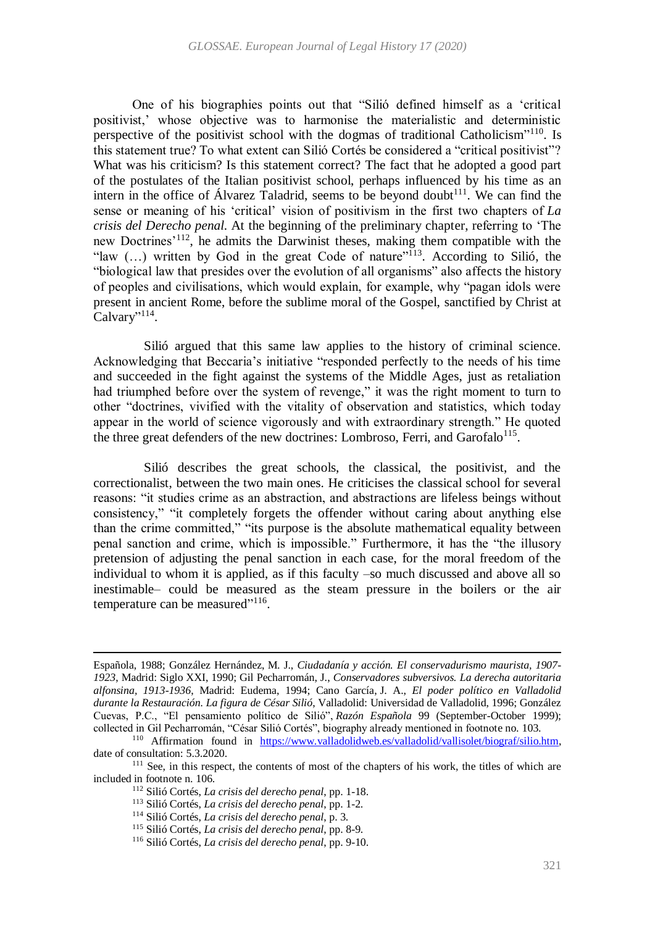One of his biographies points out that "Silió defined himself as a 'critical positivist,' whose objective was to harmonise the materialistic and deterministic perspective of the positivist school with the dogmas of traditional Catholicism<sup>"110</sup>. Is this statement true? To what extent can Silió Cortés be considered a "critical positivist"? What was his criticism? Is this statement correct? The fact that he adopted a good part of the postulates of the Italian positivist school, perhaps influenced by his time as an intern in the office of Álvarez Taladrid, seems to be beyond doubt<sup>111</sup>. We can find the sense or meaning of his 'critical' vision of positivism in the first two chapters of *La crisis del Derecho penal.* At the beginning of the preliminary chapter, referring to 'The new Doctrines'<sup>112</sup>, he admits the Darwinist theses, making them compatible with the "law  $(...)$  written by God in the great Code of nature"<sup>113</sup>. According to Silió, the "biological law that presides over the evolution of all organisms" also affects the history of peoples and civilisations, which would explain, for example, why "pagan idols were present in ancient Rome, before the sublime moral of the Gospel, sanctified by Christ at Calvary"<sup>114</sup>.

Silió argued that this same law applies to the history of criminal science. Acknowledging that Beccaria's initiative "responded perfectly to the needs of his time and succeeded in the fight against the systems of the Middle Ages, just as retaliation had triumphed before over the system of revenge." it was the right moment to turn to other "doctrines, vivified with the vitality of observation and statistics, which today appear in the world of science vigorously and with extraordinary strength." He quoted the three great defenders of the new doctrines: Lombroso, Ferri, and Garofalo<sup>115</sup>.

Silió describes the great schools, the classical, the positivist, and the correctionalist, between the two main ones. He criticises the classical school for several reasons: "it studies crime as an abstraction, and abstractions are lifeless beings without consistency," "it completely forgets the offender without caring about anything else than the crime committed," "its purpose is the absolute mathematical equality between penal sanction and crime, which is impossible." Furthermore, it has the "the illusory pretension of adjusting the penal sanction in each case, for the moral freedom of the individual to whom it is applied, as if this faculty –so much discussed and above all so inestimable– could be measured as the steam pressure in the boilers or the air temperature can be measured"<sup>116</sup>.

Española, 1988; González Hernández, M. J., *Ciudadanía y acción. El conservadurismo maurista, 1907- 1923*, Madrid: Siglo XXI, 1990; Gil Pecharromán, J., *Conservadores subversivos. La derecha autoritaria alfonsina, 1913-1936*, Madrid: Eudema, 1994; Cano García, J. A., *El poder político en Valladolid durante la Restauración. La figura de César Silió*, Valladolid: Universidad de Valladolid, 1996; González Cuevas, P.C., "El pensamiento político de Silió", *Razón Española* 99 (September-October 1999); collected in Gil Pecharromán, "César Silió Cortés", biography already mentioned in footnote no. [103.](#page-17-0)

<sup>&</sup>lt;sup>110</sup> Affirmation found in [https://www.valladolidweb.es/valladolid/vallisolet/biograf/silio.htm,](https://www.valladolidweb.es/valladolid/vallisolet/biograf/silio.htm) date of consultation: 5.3.2020.

<sup>&</sup>lt;sup>111</sup> See, in this respect, the contents of most of the chapters of his work, the titles of which are included in footnote n. [106.](#page-17-1)

<sup>112</sup> Silió Cortés, *La crisis del derecho penal*, pp. 1-18.

<sup>113</sup> Silió Cortés, *La crisis del derecho penal*, pp. 1-2.

<sup>114</sup> Silió Cortés, *La crisis del derecho penal*, p. 3.

<sup>115</sup> Silió Cortés, *La crisis del derecho penal*, pp. 8-9.

<sup>116</sup> Silió Cortés, *La crisis del derecho penal*, pp. 9-10.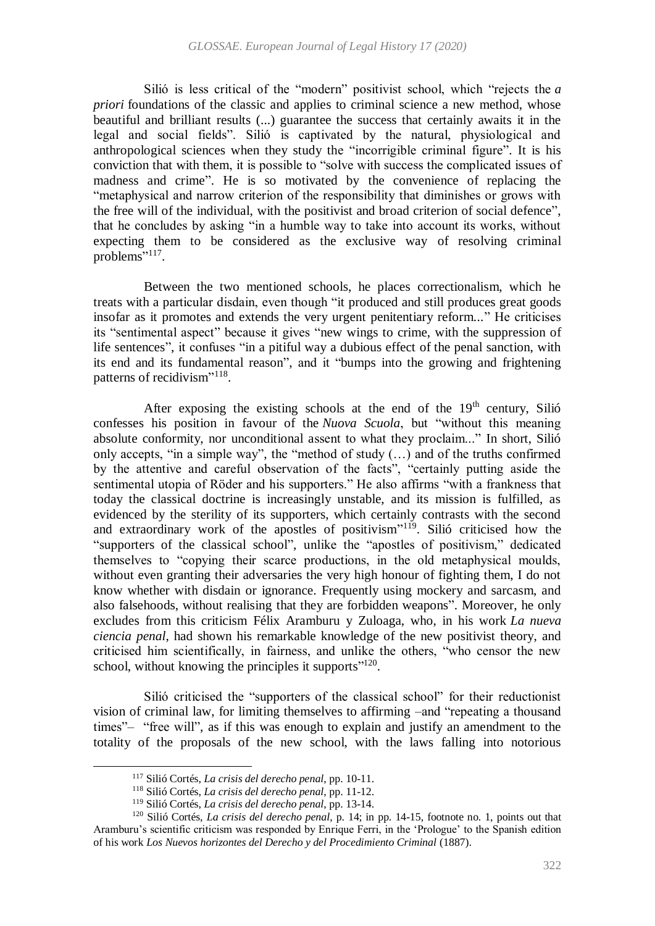Silió is less critical of the "modern" positivist school, which "rejects the *a priori* foundations of the classic and applies to criminal science a new method, whose beautiful and brilliant results (...) guarantee the success that certainly awaits it in the legal and social fields". Silió is captivated by the natural, physiological and anthropological sciences when they study the "incorrigible criminal figure". It is his conviction that with them, it is possible to "solve with success the complicated issues of madness and crime". He is so motivated by the convenience of replacing the "metaphysical and narrow criterion of the responsibility that diminishes or grows with the free will of the individual, with the positivist and broad criterion of social defence", that he concludes by asking "in a humble way to take into account its works, without expecting them to be considered as the exclusive way of resolving criminal problems"<sup>117</sup>.

Between the two mentioned schools, he places correctionalism, which he treats with a particular disdain, even though "it produced and still produces great goods insofar as it promotes and extends the very urgent penitentiary reform..." He criticises its "sentimental aspect" because it gives "new wings to crime, with the suppression of life sentences", it confuses "in a pitiful way a dubious effect of the penal sanction, with its end and its fundamental reason", and it "bumps into the growing and frightening patterns of recidivism"<sup>118</sup>.

<span id="page-19-1"></span><span id="page-19-0"></span>After exposing the existing schools at the end of the  $19<sup>th</sup>$  century, Silió confesses his position in favour of the *Nuova Scuola*, but "without this meaning absolute conformity, nor unconditional assent to what they proclaim..." In short, Silió only accepts, "in a simple way", the "method of study (…) and of the truths confirmed by the attentive and careful observation of the facts", "certainly putting aside the sentimental utopia of Röder and his supporters." He also affirms "with a frankness that today the classical doctrine is increasingly unstable, and its mission is fulfilled, as evidenced by the sterility of its supporters, which certainly contrasts with the second and extraordinary work of the apostles of positivism"<sup>119</sup>. Silió criticised how the "supporters of the classical school", unlike the "apostles of positivism," dedicated themselves to "copying their scarce productions, in the old metaphysical moulds, without even granting their adversaries the very high honour of fighting them, I do not know whether with disdain or ignorance. Frequently using mockery and sarcasm, and also falsehoods, without realising that they are forbidden weapons". Moreover, he only excludes from this criticism Félix Aramburu y Zuloaga, who, in his work *La nueva ciencia penal*, had shown his remarkable knowledge of the new positivist theory, and criticised him scientifically, in fairness, and unlike the others, "who censor the new school, without knowing the principles it supports"<sup>120</sup>.

Silió criticised the "supporters of the classical school" for their reductionist vision of criminal law, for limiting themselves to affirming –and "repeating a thousand times"– "free will", as if this was enough to explain and justify an amendment to the totality of the proposals of the new school, with the laws falling into notorious

<sup>117</sup> Silió Cortés, *La crisis del derecho penal*, pp. 10-11.

<sup>118</sup> Silió Cortés, *La crisis del derecho penal*, pp. 11-12.

<sup>119</sup> Silió Cortés, *La crisis del derecho penal*, pp. 13-14.

<sup>120</sup> Silió Cortés, *La crisis del derecho penal*, p. 14; in pp. 14-15, footnote no. 1, points out that Aramburu's scientific criticism was responded by Enrique Ferri, in the 'Prologue' to the Spanish edition of his work *Los Nuevos horizontes del Derecho y del Procedimiento Criminal* (1887).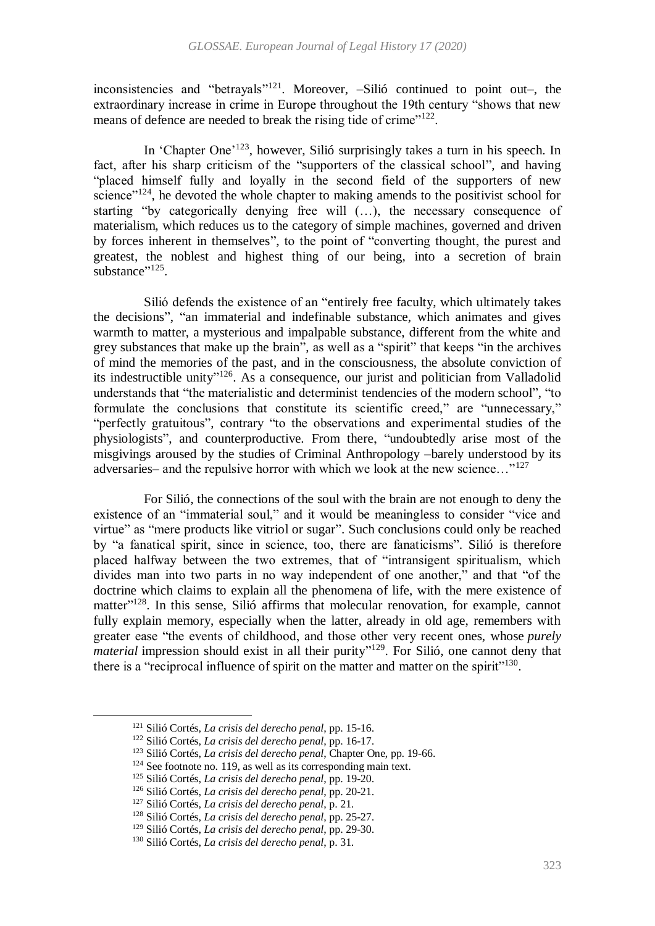inconsistencies and "betrayals"<sup>121</sup>. Moreover, -Silió continued to point out-, the extraordinary increase in crime in Europe throughout the 19th century "shows that new means of defence are needed to break the rising tide of crime"<sup>122</sup>.

In 'Chapter One'<sup>123</sup>, however, Silió surprisingly takes a turn in his speech. In fact, after his sharp criticism of the "supporters of the classical school", and having "placed himself fully and loyally in the second field of the supporters of new science"<sup>124</sup>, he devoted the whole chapter to making amends to the positivist school for starting "by categorically denying free will (…), the necessary consequence of materialism, which reduces us to the category of simple machines, governed and driven by forces inherent in themselves", to the point of "converting thought, the purest and greatest, the noblest and highest thing of our being, into a secretion of brain substance"<sup>125</sup>.

Silió defends the existence of an "entirely free faculty, which ultimately takes the decisions", "an immaterial and indefinable substance, which animates and gives warmth to matter, a mysterious and impalpable substance, different from the white and grey substances that make up the brain", as well as a "spirit" that keeps "in the archives of mind the memories of the past, and in the consciousness, the absolute conviction of its indestructible unity"<sup>126</sup>. As a consequence, our jurist and politician from Valladolid understands that "the materialistic and determinist tendencies of the modern school", "to formulate the conclusions that constitute its scientific creed," are "unnecessary," "perfectly gratuitous", contrary "to the observations and experimental studies of the physiologists", and counterproductive. From there, "undoubtedly arise most of the misgivings aroused by the studies of Criminal Anthropology –barely understood by its adversaries– and the repulsive horror with which we look at the new science…"<sup>127</sup>

For Silió, the connections of the soul with the brain are not enough to deny the existence of an "immaterial soul," and it would be meaningless to consider "vice and virtue" as "mere products like vitriol or sugar". Such conclusions could only be reached by "a fanatical spirit, since in science, too, there are fanaticisms". Silió is therefore placed halfway between the two extremes, that of "intransigent spiritualism, which divides man into two parts in no way independent of one another," and that "of the doctrine which claims to explain all the phenomena of life, with the mere existence of matter"<sup>128</sup>. In this sense, Silió affirms that molecular renovation, for example, cannot fully explain memory, especially when the latter, already in old age, remembers with greater ease "the events of childhood, and those other very recent ones, whose *purely material* impression should exist in all their purity"<sup>129</sup>. For Silió, one cannot deny that there is a "reciprocal influence of spirit on the matter and matter on the spirit"<sup>130</sup>.

1

<sup>121</sup> Silió Cortés, *La crisis del derecho penal*, pp. 15-16.

<sup>122</sup> Silió Cortés, *La crisis del derecho penal*, pp. 16-17.

<sup>123</sup> Silió Cortés, *La crisis del derecho penal*, Chapter One, pp. 19-66.

 $124$  See footnote no[. 119,](#page-19-0) as well as its corresponding main text.

<sup>125</sup> Silió Cortés, *La crisis del derecho penal*, pp. 19-20.

<sup>126</sup> Silió Cortés, *La crisis del derecho penal*, pp. 20-21.

<sup>127</sup> Silió Cortés, *La crisis del derecho penal*, p. 21.

<sup>128</sup> Silió Cortés, *La crisis del derecho penal*, pp. 25-27.

<sup>129</sup> Silió Cortés, *La crisis del derecho penal*, pp. 29-30.

<sup>130</sup> Silió Cortés, *La crisis del derecho penal*, p. 31.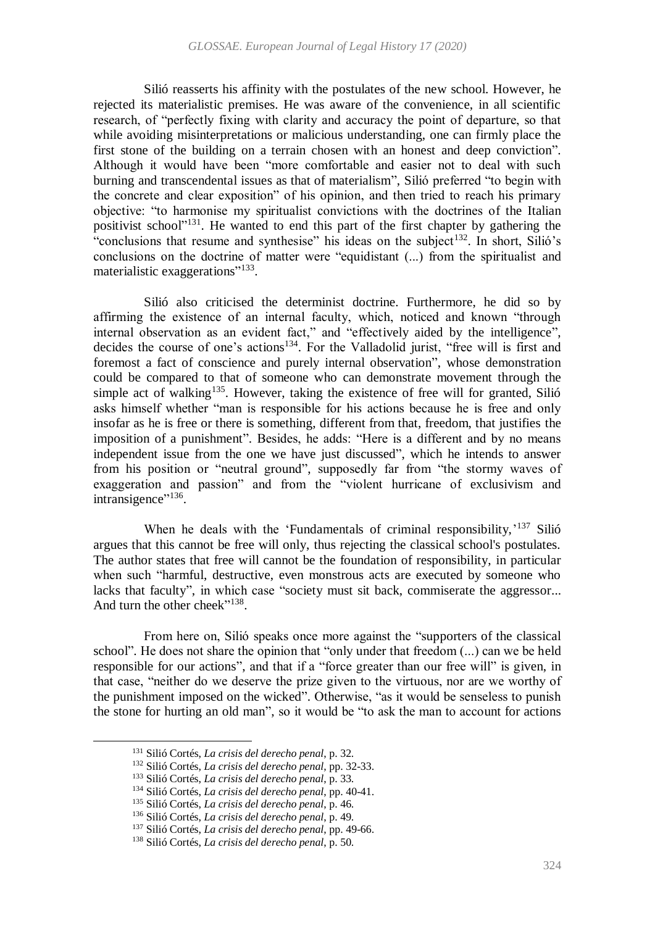Silió reasserts his affinity with the postulates of the new school. However, he rejected its materialistic premises. He was aware of the convenience, in all scientific research, of "perfectly fixing with clarity and accuracy the point of departure, so that while avoiding misinterpretations or malicious understanding, one can firmly place the first stone of the building on a terrain chosen with an honest and deep conviction". Although it would have been "more comfortable and easier not to deal with such burning and transcendental issues as that of materialism", Silió preferred "to begin with the concrete and clear exposition" of his opinion, and then tried to reach his primary objective: "to harmonise my spiritualist convictions with the doctrines of the Italian positivist school"<sup>131</sup>. He wanted to end this part of the first chapter by gathering the "conclusions that resume and synthesise" his ideas on the subject<sup>132</sup>. In short, Silió's conclusions on the doctrine of matter were "equidistant (...) from the spiritualist and materialistic exaggerations"<sup>133</sup>.

Silió also criticised the determinist doctrine. Furthermore, he did so by affirming the existence of an internal faculty, which, noticed and known "through internal observation as an evident fact," and "effectively aided by the intelligence", decides the course of one's actions<sup>134</sup>. For the Valladolid jurist, "free will is first and foremost a fact of conscience and purely internal observation", whose demonstration could be compared to that of someone who can demonstrate movement through the simple act of walking<sup>135</sup>. However, taking the existence of free will for granted, Silió asks himself whether "man is responsible for his actions because he is free and only insofar as he is free or there is something, different from that, freedom, that justifies the imposition of a punishment". Besides, he adds: "Here is a different and by no means independent issue from the one we have just discussed", which he intends to answer from his position or "neutral ground", supposedly far from "the stormy waves of exaggeration and passion" and from the "violent hurricane of exclusivism and intransigence"<sup>136</sup>.

When he deals with the 'Fundamentals of criminal responsibility,'<sup>137</sup> Silió argues that this cannot be free will only, thus rejecting the classical school's postulates. The author states that free will cannot be the foundation of responsibility, in particular when such "harmful, destructive, even monstrous acts are executed by someone who lacks that faculty", in which case "society must sit back, commiserate the aggressor... And turn the other cheek"<sup>138</sup>.

From here on, Silió speaks once more against the "supporters of the classical school". He does not share the opinion that "only under that freedom (...) can we be held responsible for our actions", and that if a "force greater than our free will" is given, in that case, "neither do we deserve the prize given to the virtuous, nor are we worthy of the punishment imposed on the wicked". Otherwise, "as it would be senseless to punish the stone for hurting an old man", so it would be "to ask the man to account for actions

1

<sup>131</sup> Silió Cortés, *La crisis del derecho penal*, p. 32.

<sup>132</sup> Silió Cortés, *La crisis del derecho penal*, pp. 32-33.

<sup>133</sup> Silió Cortés, *La crisis del derecho penal*, p. 33.

<sup>134</sup> Silió Cortés, *La crisis del derecho penal*, pp. 40-41.

<sup>135</sup> Silió Cortés, *La crisis del derecho penal*, p. 46.

<sup>136</sup> Silió Cortés, *La crisis del derecho penal*, p. 49.

<sup>137</sup> Silió Cortés, *La crisis del derecho penal*, pp. 49-66.

<sup>138</sup> Silió Cortés, *La crisis del derecho penal*, p. 50.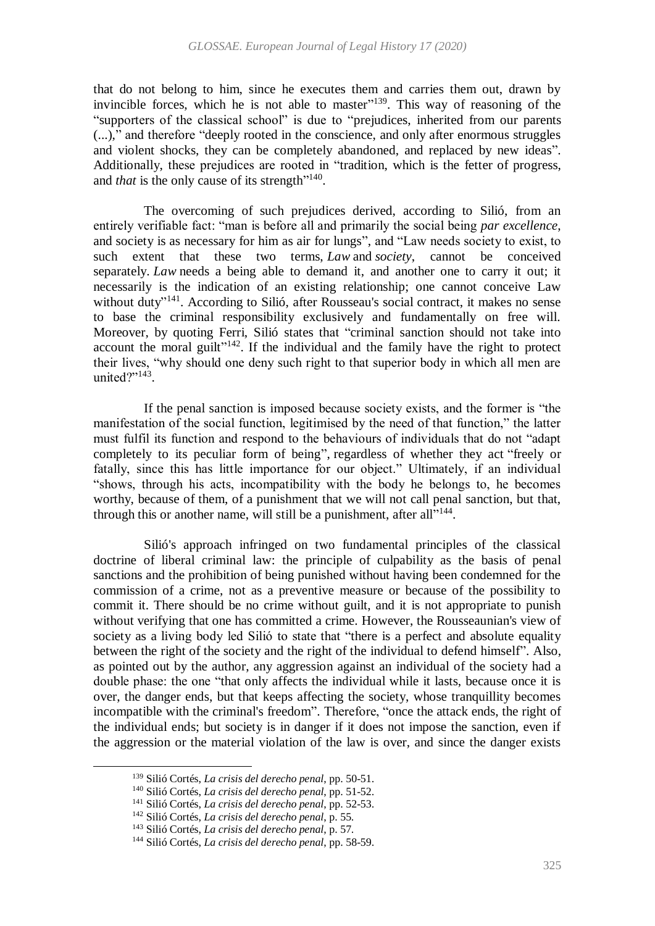that do not belong to him, since he executes them and carries them out, drawn by invincible forces, which he is not able to master"<sup>139</sup>. This way of reasoning of the "supporters of the classical school" is due to "prejudices, inherited from our parents (...)," and therefore "deeply rooted in the conscience, and only after enormous struggles and violent shocks, they can be completely abandoned, and replaced by new ideas". Additionally, these prejudices are rooted in "tradition, which is the fetter of progress, and *that* is the only cause of its strength"<sup>140</sup>.

The overcoming of such prejudices derived, according to Silió, from an entirely verifiable fact: "man is before all and primarily the social being *par excellence*, and society is as necessary for him as air for lungs", and "Law needs society to exist, to such extent that these two terms, *Law* and *society*, cannot be conceived separately. *Law* needs a being able to demand it, and another one to carry it out; it necessarily is the indication of an existing relationship; one cannot conceive Law without duty"<sup>141</sup>. According to Silió, after Rousseau's social contract, it makes no sense to base the criminal responsibility exclusively and fundamentally on free will. Moreover, by quoting Ferri, Silió states that "criminal sanction should not take into account the moral guilt" $142$ . If the individual and the family have the right to protect their lives, "why should one deny such right to that superior body in which all men are united?"<sup>143</sup>.

If the penal sanction is imposed because society exists, and the former is "the manifestation of the social function, legitimised by the need of that function," the latter must fulfil its function and respond to the behaviours of individuals that do not "adapt completely to its peculiar form of being", regardless of whether they act "freely or fatally, since this has little importance for our object." Ultimately, if an individual "shows, through his acts, incompatibility with the body he belongs to, he becomes worthy, because of them, of a punishment that we will not call penal sanction, but that, through this or another name, will still be a punishment, after all"<sup>144</sup>.

Silió's approach infringed on two fundamental principles of the classical doctrine of liberal criminal law: the principle of culpability as the basis of penal sanctions and the prohibition of being punished without having been condemned for the commission of a crime, not as a preventive measure or because of the possibility to commit it. There should be no crime without guilt, and it is not appropriate to punish without verifying that one has committed a crime. However, the Rousseaunian's view of society as a living body led Silió to state that "there is a perfect and absolute equality between the right of the society and the right of the individual to defend himself". Also, as pointed out by the author, any aggression against an individual of the society had a double phase: the one "that only affects the individual while it lasts, because once it is over, the danger ends, but that keeps affecting the society, whose tranquillity becomes incompatible with the criminal's freedom". Therefore, "once the attack ends, the right of the individual ends; but society is in danger if it does not impose the sanction, even if the aggression or the material violation of the law is over, and since the danger exists

<sup>139</sup> Silió Cortés, *La crisis del derecho penal*, pp. 50-51.

<sup>140</sup> Silió Cortés, *La crisis del derecho penal*, pp. 51-52.

<sup>141</sup> Silió Cortés, *La crisis del derecho penal*, pp. 52-53.

<sup>142</sup> Silió Cortés, *La crisis del derecho penal*, p. 55.

<sup>143</sup> Silió Cortés, *La crisis del derecho penal*, p. 57.

<sup>144</sup> Silió Cortés, *La crisis del derecho penal*, pp. 58-59.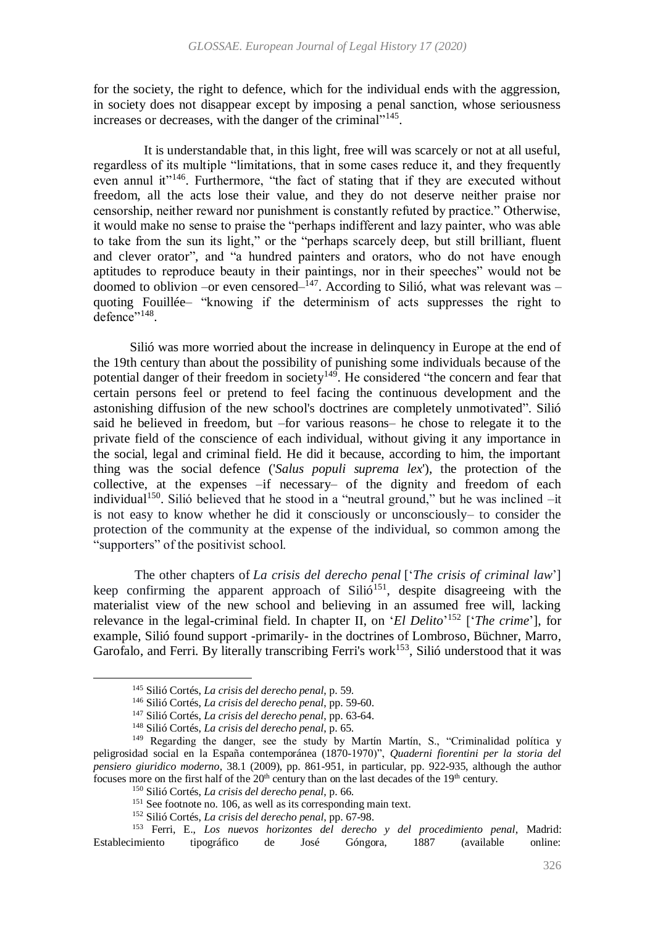for the society, the right to defence, which for the individual ends with the aggression, in society does not disappear except by imposing a penal sanction, whose seriousness increases or decreases, with the danger of the criminal"<sup>145</sup>.

It is understandable that, in this light, free will was scarcely or not at all useful, regardless of its multiple "limitations, that in some cases reduce it, and they frequently even annul it"<sup>146</sup>. Furthermore, "the fact of stating that if they are executed without freedom, all the acts lose their value, and they do not deserve neither praise nor censorship, neither reward nor punishment is constantly refuted by practice." Otherwise, it would make no sense to praise the "perhaps indifferent and lazy painter, who was able to take from the sun its light," or the "perhaps scarcely deep, but still brilliant, fluent and clever orator", and "a hundred painters and orators, who do not have enough aptitudes to reproduce beauty in their paintings, nor in their speeches" would not be doomed to oblivion –or even censored– $147$ . According to Silió, what was relevant was – quoting Fouillée– "knowing if the determinism of acts suppresses the right to defence"<sup>148</sup>.

 Silió was more worried about the increase in delinquency in Europe at the end of the 19th century than about the possibility of punishing some individuals because of the potential danger of their freedom in society<sup>149</sup>. He considered "the concern and fear that certain persons feel or pretend to feel facing the continuous development and the astonishing diffusion of the new school's doctrines are completely unmotivated". Silió said he believed in freedom, but –for various reasons– he chose to relegate it to the private field of the conscience of each individual, without giving it any importance in the social, legal and criminal field. He did it because, according to him, the important thing was the social defence ('*Salus populi suprema lex*'), the protection of the collective, at the expenses –if necessary– of the dignity and freedom of each individual<sup>150</sup>. Silió believed that he stood in a "neutral ground," but he was inclined -it is not easy to know whether he did it consciously or unconsciously– to consider the protection of the community at the expense of the individual, so common among the "supporters" of the positivist school.

The other chapters of *La crisis del derecho penal* ['*The crisis of criminal law*'] keep confirming the apparent approach of Silió<sup>151</sup>, despite disagreeing with the materialist view of the new school and believing in an assumed free will, lacking relevance in the legal-criminal field. In chapter II, on '*El Delito*' <sup>152</sup> ['*The crime*'], for example, Silió found support -primarily- in the doctrines of Lombroso, Büchner, Marro, Garofalo, and Ferri. By literally transcribing Ferri's work<sup>153</sup>, Silió understood that it was

 $\overline{a}$ 

<sup>153</sup> Ferri, E., *Los nuevos horizontes del derecho y del procedimiento penal*, Madrid: Establecimiento tipográfico de José Góngora, 1887 (available online:

<sup>145</sup> Silió Cortés, *La crisis del derecho penal*, p. 59.

<sup>146</sup> Silió Cortés, *La crisis del derecho penal*, pp. 59-60.

<sup>147</sup> Silió Cortés, *La crisis del derecho penal*, pp. 63-64.

<sup>148</sup> Silió Cortés, *La crisis del derecho penal*, p. 65.

<sup>&</sup>lt;sup>149</sup> Regarding the danger, see the study by Martín Martín, S., "Criminalidad política y peligrosidad social en la España contemporánea (1870-1970)", *Quaderni fiorentini per la storia del pensiero giuridico moderno*, 38.1 (2009), pp. 861-951, in particular, pp. 922-935, although the author focuses more on the first half of the 20<sup>th</sup> century than on the last decades of the 19<sup>th</sup> century.

<sup>150</sup> Silió Cortés, *La crisis del derecho penal*, p. 66.

<sup>&</sup>lt;sup>151</sup> See footnote no[. 106,](#page-17-1) as well as its corresponding main text.

<sup>152</sup> Silió Cortés, *La crisis del derecho penal*, pp. 67-98.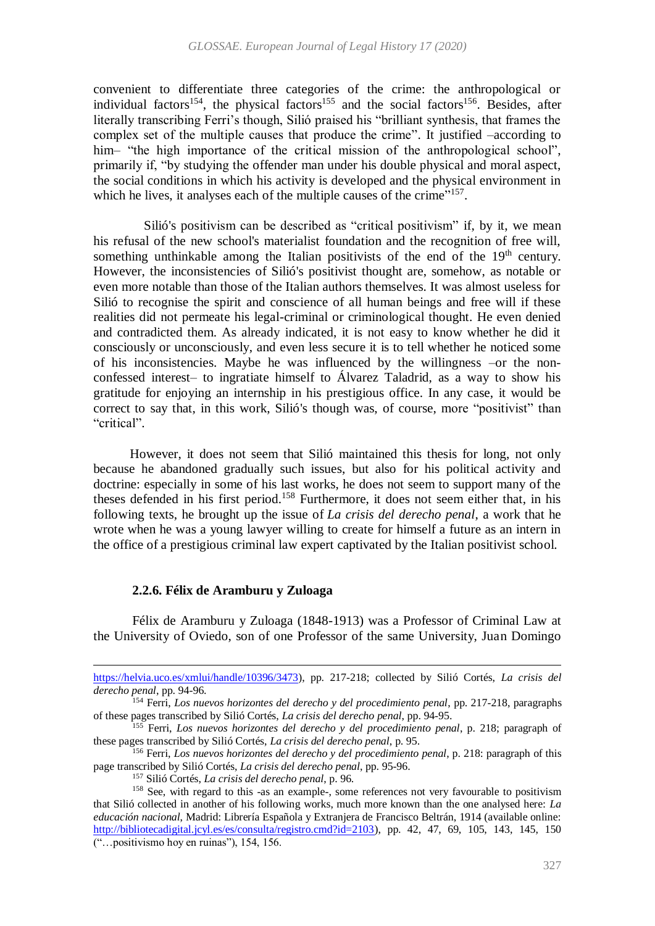convenient to differentiate three categories of the crime: the anthropological or individual factors<sup>154</sup>, the physical factors<sup>155</sup> and the social factors<sup>156</sup>. Besides, after literally transcribing Ferri's though, Silió praised his "brilliant synthesis, that frames the complex set of the multiple causes that produce the crime". It justified –according to him– "the high importance of the critical mission of the anthropological school", primarily if, "by studying the offender man under his double physical and moral aspect, the social conditions in which his activity is developed and the physical environment in which he lives, it analyses each of the multiple causes of the crime"<sup>157</sup>.

Silió's positivism can be described as "critical positivism" if, by it, we mean his refusal of the new school's materialist foundation and the recognition of free will, something unthinkable among the Italian positivists of the end of the  $19<sup>th</sup>$  century. However, the inconsistencies of Silió's positivist thought are, somehow, as notable or even more notable than those of the Italian authors themselves. It was almost useless for Silió to recognise the spirit and conscience of all human beings and free will if these realities did not permeate his legal-criminal or criminological thought. He even denied and contradicted them. As already indicated, it is not easy to know whether he did it consciously or unconsciously, and even less secure it is to tell whether he noticed some of his inconsistencies. Maybe he was influenced by the willingness –or the nonconfessed interest– to ingratiate himself to Álvarez Taladrid, as a way to show his gratitude for enjoying an internship in his prestigious office. In any case, it would be correct to say that, in this work, Silió's though was, of course, more "positivist" than "critical".

 However, it does not seem that Silió maintained this thesis for long, not only because he abandoned gradually such issues, but also for his political activity and doctrine: especially in some of his last works, he does not seem to support many of the theses defended in his first period.<sup>158</sup> Furthermore, it does not seem either that, in his following texts, he brought up the issue of *La crisis del derecho penal*, a work that he wrote when he was a young lawyer willing to create for himself a future as an intern in the office of a prestigious criminal law expert captivated by the Italian positivist school.

## **2.2.6. Félix de Aramburu y Zuloaga**

 $\overline{a}$ 

Félix de Aramburu y Zuloaga (1848-1913) was a Professor of Criminal Law at the University of Oviedo, son of one Professor of the same University, Juan Domingo

[https://helvia.uco.es/xmlui/handle/10396/3473\)](https://helvia.uco.es/xmlui/handle/10396/3473), pp. 217-218; collected by Silió Cortés, *La crisis del derecho penal*, pp. 94-96.

<sup>154</sup> Ferri, *Los nuevos horizontes del derecho y del procedimiento penal*, pp. 217-218, paragraphs of these pages transcribed by Silió Cortés, *La crisis del derecho penal*, pp. 94-95.

<sup>155</sup> Ferri, *Los nuevos horizontes del derecho y del procedimiento penal*, p. 218; paragraph of these pages transcribed by Silió Cortés, *La crisis del derecho penal*, p. 95.

<sup>156</sup> Ferri, *Los nuevos horizontes del derecho y del procedimiento penal*, p. 218: paragraph of this page transcribed by Silió Cortés, *La crisis del derecho penal*, pp. 95-96.

<sup>157</sup> Silió Cortés, *La crisis del derecho penal*, p. 96.

<sup>&</sup>lt;sup>158</sup> See, with regard to this -as an example-, some references not very favourable to positivism that Silió collected in another of his following works, much more known than the one analysed here: *La educación nacional*, Madrid: Librería Española y Extranjera de Francisco Beltrán, 1914 (available online: [http://bibliotecadigital.jcyl.es/es/consulta/registro.cmd?id=2103\)](http://bibliotecadigital.jcyl.es/es/consulta/registro.cmd?id=2103), pp. 42, 47, 69, 105, 143, 145, 150 ("…positivismo hoy en ruinas"), 154, 156.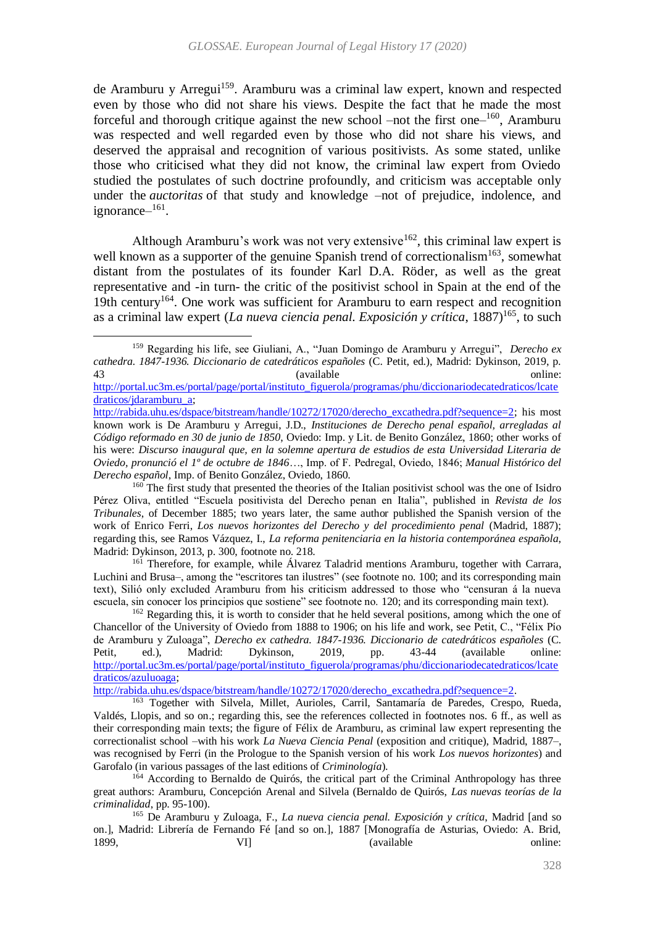<span id="page-25-0"></span>de Aramburu y Arregui<sup>159</sup>. Aramburu was a criminal law expert, known and respected even by those who did not share his views. Despite the fact that he made the most forceful and thorough critique against the new school –not the first one– $160$ , Aramburu was respected and well regarded even by those who did not share his views, and deserved the appraisal and recognition of various positivists. As some stated, unlike those who criticised what they did not know, the criminal law expert from Oviedo studied the postulates of such doctrine profoundly, and criticism was acceptable only under the *auctoritas* of that study and knowledge –not of prejudice, indolence, and ignorance-<sup>161</sup>.

Although Aramburu's work was not very extensive<sup>162</sup>, this criminal law expert is well known as a supporter of the genuine Spanish trend of correctionalism<sup>163</sup>, somewhat distant from the postulates of its founder Karl D.A. Röder, as well as the great representative and -in turn- the critic of the positivist school in Spain at the end of the 19th century<sup>164</sup>. One work was sufficient for Aramburu to earn respect and recognition as a criminal law expert (*La nueva ciencia penal. Exposición y crítica*, 1887)<sup>165</sup>, to such

<span id="page-25-1"></span><sup>159</sup> Regarding his life, see Giuliani, A., "Juan Domingo de Aramburu y Arregui", *Derecho ex cathedra. 1847-1936. Diccionario de catedráticos españoles* (C. Petit, ed.), Madrid: Dykinson, 2019, p. 43 (available online: [http://portal.uc3m.es/portal/page/portal/instituto\\_figuerola/programas/phu/diccionariodecatedraticos/lcate](http://portal.uc3m.es/portal/page/portal/instituto_figuerola/programas/phu/diccionariodecatedraticos/lcatedraticos/jdaramburu_a)

[draticos/jdaramburu\\_a;](http://portal.uc3m.es/portal/page/portal/instituto_figuerola/programas/phu/diccionariodecatedraticos/lcatedraticos/jdaramburu_a) [http://rabida.uhu.es/dspace/bitstream/handle/10272/17020/derecho\\_excathedra.pdf?sequence=2;](http://rabida.uhu.es/dspace/bitstream/handle/10272/17020/derecho_excathedra.pdf?sequence=2) his most

known work is De Aramburu y Arregui, J.D., *Instituciones de Derecho penal español, arregladas al Código reformado en 30 de junio de 1850*, Oviedo: Imp. y Lit. de Benito González, 1860; other works of his were: *Discurso inaugural que, en la solemne apertura de estudios de esta Universidad Literaria de Oviedo, pronunció el 1º de octubre de 1846*…, Imp. of F. Pedregal, Oviedo, 1846; *Manual Histórico del Derecho español*, Imp. of Benito González, Oviedo, 1860.

<sup>&</sup>lt;sup>160</sup> The first study that presented the theories of the Italian positivist school was the one of Isidro Pérez Oliva, entitled "Escuela positivista del Derecho penan en Italia", published in *Revista de los Tribunales*, of December 1885; two years later, the same author published the Spanish version of the work of Enrico Ferri, *Los nuevos horizontes del Derecho y del procedimiento penal* (Madrid, 1887); regarding this, see Ramos Vázquez, I., *La reforma penitenciaria en la historia contemporánea española*, Madrid: Dykinson, 2013, p. 300, footnote no. 218.

<sup>&</sup>lt;sup>161</sup> Therefore, for example, while Álvarez Taladrid mentions Aramburu, together with Carrara, Luchini and Brusa–, among the "escritores tan ilustres" (see footnote no[. 100;](#page-16-1) and its corresponding main text), Silió only excluded Aramburu from his criticism addressed to those who "censuran á la nueva escuela, sin conocer los principios que sostiene" see footnote no. [120;](#page-19-1) and its corresponding main text).

<sup>&</sup>lt;sup>162</sup> Regarding this, it is worth to consider that he held several positions, among which the one of Chancellor of the University of Oviedo from 1888 to 1906; on his life and work, see Petit, C., "Félix Pío de Aramburu y Zuloaga", *Derecho ex cathedra. 1847-1936. Diccionario de catedráticos españoles* (C. Petit, ed.), Madrid: Dykinson, 2019, pp. 43-44 (available online: [http://portal.uc3m.es/portal/page/portal/instituto\\_figuerola/programas/phu/diccionariodecatedraticos/lcate](http://portal.uc3m.es/portal/page/portal/instituto_figuerola/programas/phu/diccionariodecatedraticos/lcatedraticos/azuluoaga) [draticos/azuluoaga;](http://portal.uc3m.es/portal/page/portal/instituto_figuerola/programas/phu/diccionariodecatedraticos/lcatedraticos/azuluoaga)

[http://rabida.uhu.es/dspace/bitstream/handle/10272/17020/derecho\\_excathedra.pdf?sequence=2.](http://rabida.uhu.es/dspace/bitstream/handle/10272/17020/derecho_excathedra.pdf?sequence=2)

<sup>163</sup> Together with Silvela, Millet, Aurioles, Carril, Santamaría de Paredes, Crespo, Rueda, Valdés, Llopis, and so on.; regarding this, see the references collected in footnotes nos. [6](#page-3-0) ff., as well as their corresponding main texts; the figure of Félix de Aramburu, as criminal law expert representing the correctionalist school –with his work *La Nueva Ciencia Penal* (exposition and critique), Madrid, 1887–, was recognised by Ferri (in the Prologue to the Spanish version of his work *Los nuevos horizontes*) and Garofalo (in various passages of the last editions of *Criminología*).

 $164$  According to Bernaldo de Quirós, the critical part of the Criminal Anthropology has three great authors: Aramburu, Concepción Arenal and Silvela (Bernaldo de Quirós, *Las nuevas teorías de la criminalidad*, pp. 95-100).

<sup>165</sup> De Aramburu y Zuloaga, F., *La nueva ciencia penal. Exposición y crítica*, Madrid [and so on.], Madrid: Librería de Fernando Fé [and so on.], 1887 [Monografía de Asturias, Oviedo: A. Brid, 1899, Cassett VI] (available online:  $\alpha$  available online: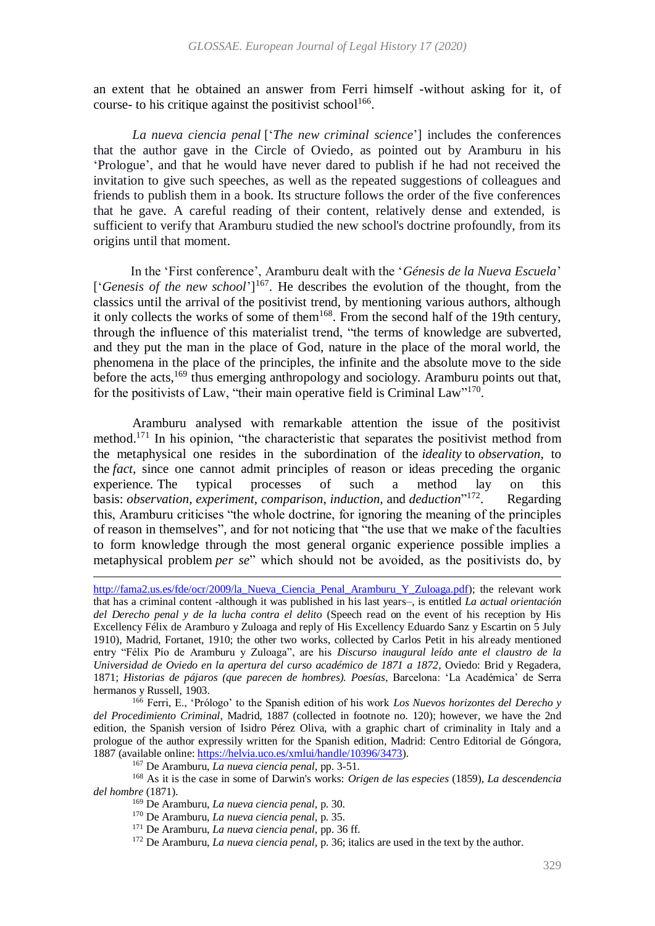an extent that he obtained an answer from Ferri himself -without asking for it, of course- to his critique against the positivist school $1^{166}$ .

*La nueva ciencia penal* ['*The new criminal science*'] includes the conferences that the author gave in the Circle of Oviedo, as pointed out by Aramburu in his 'Prologue', and that he would have never dared to publish if he had not received the invitation to give such speeches, as well as the repeated suggestions of colleagues and friends to publish them in a book. Its structure follows the order of the five conferences that he gave. A careful reading of their content, relatively dense and extended, is sufficient to verify that Aramburu studied the new school's doctrine profoundly, from its origins until that moment.

In the 'First conference', Aramburu dealt with the '*Génesis de la Nueva Escuela*' ['*Genesis of the new school*']<sup>167</sup>. He describes the evolution of the thought, from the classics until the arrival of the positivist trend, by mentioning various authors, although it only collects the works of some of them<sup>168</sup>. From the second half of the 19th century, through the influence of this materialist trend, "the terms of knowledge are subverted, and they put the man in the place of God, nature in the place of the moral world, the phenomena in the place of the principles, the infinite and the absolute move to the side before the acts,  $169$  thus emerging anthropology and sociology. Aramburu points out that, for the positivists of Law, "their main operative field is Criminal Law"<sup>170</sup>.

Aramburu analysed with remarkable attention the issue of the positivist method.<sup>171</sup> In his opinion, "the characteristic that separates the positivist method from the metaphysical one resides in the subordination of the *ideality* to *observation*, to the *fact*, since one cannot admit principles of reason or ideas preceding the organic experience*.* The typical processes of such a method lay on this basis: *observation*, *experiment*, *comparison*, *induction,* and *deduction*" 172 . Regarding this, Aramburu criticises "the whole doctrine, for ignoring the meaning of the principles of reason in themselves", and for not noticing that "the use that we make of the faculties to form knowledge through the most general organic experience possible implies a metaphysical problem *per se*" which should not be avoided, as the positivists do, by

[http://fama2.us.es/fde/ocr/2009/la\\_Nueva\\_Ciencia\\_Penal\\_Aramburu\\_Y\\_Zuloaga.pdf\)](http://fama2.us.es/fde/ocr/2009/la_Nueva_Ciencia_Penal_Aramburu_Y_Zuloaga.pdf); the relevant work that has a criminal content -although it was published in his last years–, is entitled *La actual orientación del Derecho penal y de la lucha contra el delito* (Speech read on the event of his reception by His Excellency Félix de Aramburo y Zuloaga and reply of His Excellency Eduardo Sanz y Escartin on 5 July 1910), Madrid, Fortanet, 1910; the other two works, collected by Carlos Petit in his already mentioned entry "Félix Pío de Aramburu y Zuloaga", are his *Discurso inaugural leído ante el claustro de la Universidad de Oviedo en la apertura del curso académico de 1871 a 1872*, Oviedo: Brid y Regadera, 1871; *Historias de pájaros (que parecen de hombres). Poesías*, Barcelona: 'La Académica' de Serra hermanos y Russell, 1903.

<sup>166</sup> Ferri, E., 'Prólogo' to the Spanish edition of his work *Los Nuevos horizontes del Derecho y del Procedimiento Criminal*, Madrid, 1887 (collected in footnote no. [120\)](#page-19-1); however, we have the 2nd edition, the Spanish version of Isidro Pérez Oliva, with a graphic chart of criminality in Italy and a prologue of the author expressily written for the Spanish edition, Madrid: Centro Editorial de Góngora, 1887 (available online[: https://helvia.uco.es/xmlui/handle/10396/3473\)](https://helvia.uco.es/xmlui/handle/10396/3473).

<sup>167</sup> De Aramburu, *La nueva ciencia penal*, pp. 3-51.

<sup>168</sup> As it is the case in some of Darwin's works: *Origen de las especies* (1859), *La descendencia del hombre* (1871).

<sup>169</sup> De Aramburu, *La nueva ciencia penal*, p. 30.

 $\overline{a}$ 

<sup>170</sup> De Aramburu, *La nueva ciencia penal*, p. 35.

<sup>171</sup> De Aramburu, *La nueva ciencia penal*, pp. 36 ff.

<sup>172</sup> De Aramburu, *La nueva ciencia penal*, p. 36; italics are used in the text by the author.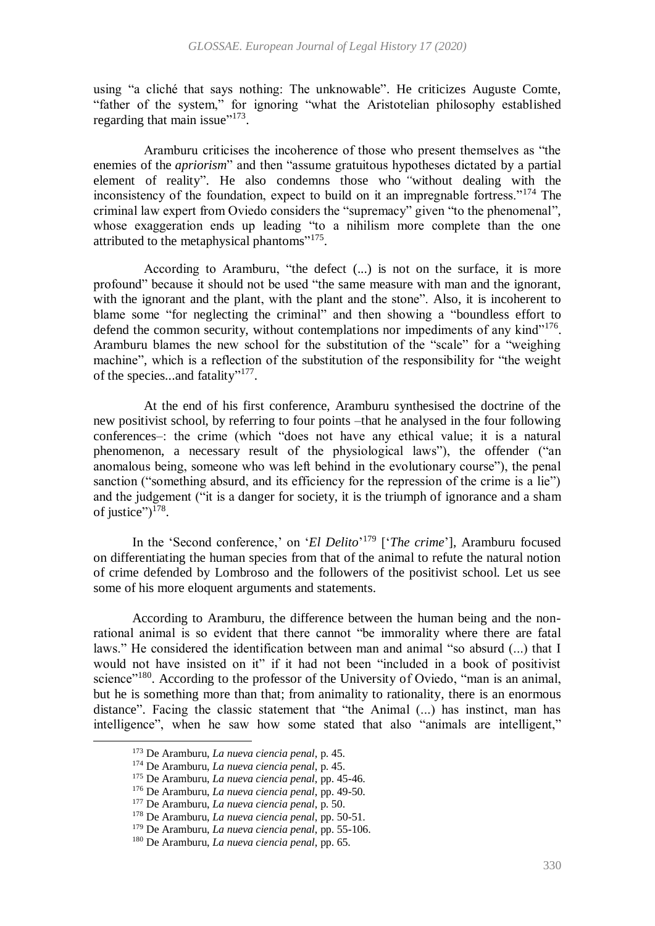using "a cliché that says nothing: The unknowable". He criticizes Auguste Comte, "father of the system," for ignoring "what the Aristotelian philosophy established regarding that main issue"<sup>173</sup>.

Aramburu criticises the incoherence of those who present themselves as "the enemies of the *apriorism*" and then "assume gratuitous hypotheses dictated by a partial element of reality". He also condemns those who *"*without dealing with the inconsistency of the foundation, expect to build on it an impregnable fortress."<sup>174</sup> The criminal law expert from Oviedo considers the "supremacy" given "to the phenomenal", whose exaggeration ends up leading "to a nihilism more complete than the one attributed to the metaphysical phantoms"<sup>175</sup>.

According to Aramburu, "the defect (...) is not on the surface, it is more profound" because it should not be used "the same measure with man and the ignorant, with the ignorant and the plant, with the plant and the stone". Also, it is incoherent to blame some "for neglecting the criminal" and then showing a "boundless effort to defend the common security, without contemplations nor impediments of any kind"<sup>176</sup>. Aramburu blames the new school for the substitution of the "scale" for a "weighing machine", which is a reflection of the substitution of the responsibility for "the weight of the species...and fatality"<sup>177</sup>.

At the end of his first conference, Aramburu synthesised the doctrine of the new positivist school, by referring to four points –that he analysed in the four following conferences–: the crime (which "does not have any ethical value; it is a natural phenomenon, a necessary result of the physiological laws"), the offender ("an anomalous being, someone who was left behind in the evolutionary course"), the penal sanction ("something absurd, and its efficiency for the repression of the crime is a lie") and the judgement ("it is a danger for society, it is the triumph of ignorance and a sham of justice") $178$ .

In the 'Second conference,' on '*El Delito*' <sup>179</sup> ['*The crime*'], Aramburu focused on differentiating the human species from that of the animal to refute the natural notion of crime defended by Lombroso and the followers of the positivist school. Let us see some of his more eloquent arguments and statements.

According to Aramburu, the difference between the human being and the nonrational animal is so evident that there cannot "be immorality where there are fatal laws." He considered the identification between man and animal "so absurd (...) that I would not have insisted on it" if it had not been "included in a book of positivist science"<sup>180</sup>. According to the professor of the University of Oviedo, "man is an animal, but he is something more than that; from animality to rationality, there is an enormous distance". Facing the classic statement that "the Animal (...) has instinct, man has intelligence", when he saw how some stated that also "animals are intelligent,"

1

<sup>173</sup> De Aramburu, *La nueva ciencia penal*, p. 45.

<sup>174</sup> De Aramburu, *La nueva ciencia penal*, p. 45.

<sup>175</sup> De Aramburu, *La nueva ciencia penal*, pp. 45-46.

<sup>176</sup> De Aramburu, *La nueva ciencia penal*, pp. 49-50.

<sup>177</sup> De Aramburu, *La nueva ciencia penal*, p. 50.

<sup>178</sup> De Aramburu, *La nueva ciencia penal*, pp. 50-51.

<sup>179</sup> De Aramburu, *La nueva ciencia penal*, pp. 55-106.

<sup>180</sup> De Aramburu, *La nueva ciencia penal*, pp. 65.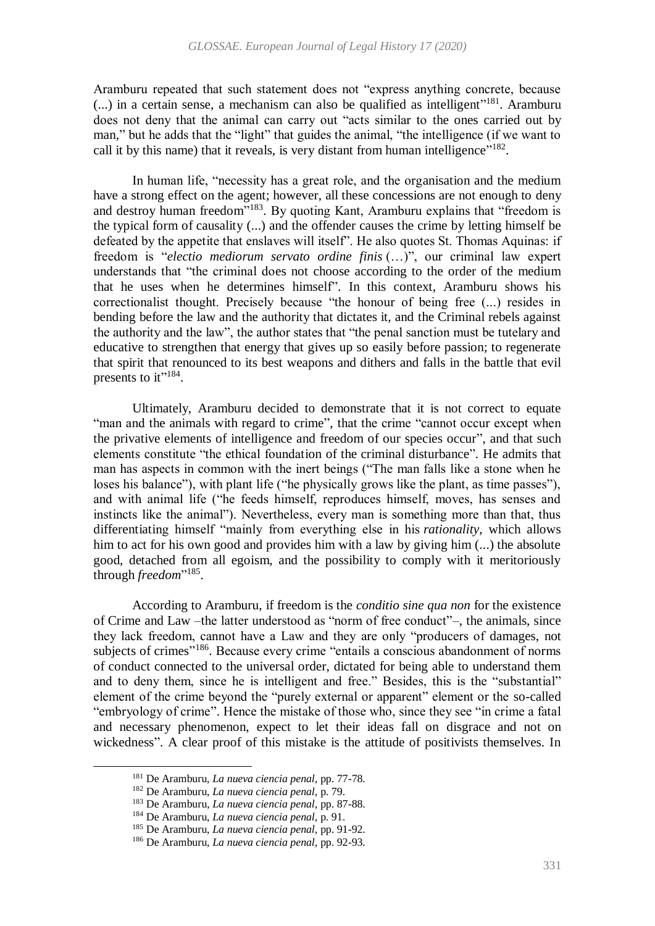Aramburu repeated that such statement does not "express anything concrete, because  $(...)$  in a certain sense, a mechanism can also be qualified as intelligent"<sup>181</sup>. Aramburu does not deny that the animal can carry out "acts similar to the ones carried out by man," but he adds that the "light" that guides the animal, "the intelligence (if we want to call it by this name) that it reveals, is very distant from human intelligence"<sup>182</sup>.

In human life, "necessity has a great role, and the organisation and the medium have a strong effect on the agent; however, all these concessions are not enough to deny and destroy human freedom"<sup>183</sup>. By quoting Kant, Aramburu explains that "freedom is the typical form of causality (...) and the offender causes the crime by letting himself be defeated by the appetite that enslaves will itself". He also quotes St. Thomas Aquinas: if freedom is "*electio mediorum servato ordine finis* (…)", our criminal law expert understands that "the criminal does not choose according to the order of the medium that he uses when he determines himself". In this context, Aramburu shows his correctionalist thought. Precisely because "the honour of being free (...) resides in bending before the law and the authority that dictates it, and the Criminal rebels against the authority and the law", the author states that "the penal sanction must be tutelary and educative to strengthen that energy that gives up so easily before passion; to regenerate that spirit that renounced to its best weapons and dithers and falls in the battle that evil presents to it"<sup>184</sup>.

Ultimately, Aramburu decided to demonstrate that it is not correct to equate "man and the animals with regard to crime", that the crime "cannot occur except when the privative elements of intelligence and freedom of our species occur", and that such elements constitute "the ethical foundation of the criminal disturbance". He admits that man has aspects in common with the inert beings ("The man falls like a stone when he loses his balance"), with plant life ("he physically grows like the plant, as time passes"), and with animal life ("he feeds himself, reproduces himself, moves, has senses and instincts like the animal"). Nevertheless, every man is something more than that, thus differentiating himself "mainly from everything else in his *rationality*, which allows him to act for his own good and provides him with a law by giving him  $(...)$  the absolute good, detached from all egoism, and the possibility to comply with it meritoriously through *freedom*"<sup>185</sup>.

According to Aramburu, if freedom is the *conditio sine qua non* for the existence of Crime and Law –the latter understood as "norm of free conduct"–, the animals, since they lack freedom, cannot have a Law and they are only "producers of damages, not subjects of crimes"<sup>186</sup>. Because every crime "entails a conscious abandonment of norms of conduct connected to the universal order, dictated for being able to understand them and to deny them, since he is intelligent and free." Besides, this is the "substantial" element of the crime beyond the "purely external or apparent" element or the so-called "embryology of crime". Hence the mistake of those who, since they see "in crime a fatal and necessary phenomenon, expect to let their ideas fall on disgrace and not on wickedness". A clear proof of this mistake is the attitude of positivists themselves. In

<sup>181</sup> De Aramburu, *La nueva ciencia penal*, pp. 77-78.

<sup>182</sup> De Aramburu, *La nueva ciencia penal*, p. 79.

<sup>183</sup> De Aramburu, *La nueva ciencia penal*, pp. 87-88.

<sup>184</sup> De Aramburu, *La nueva ciencia penal*, p. 91.

<sup>185</sup> De Aramburu, *La nueva ciencia penal*, pp. 91-92.

<sup>186</sup> De Aramburu, *La nueva ciencia penal*, pp. 92-93.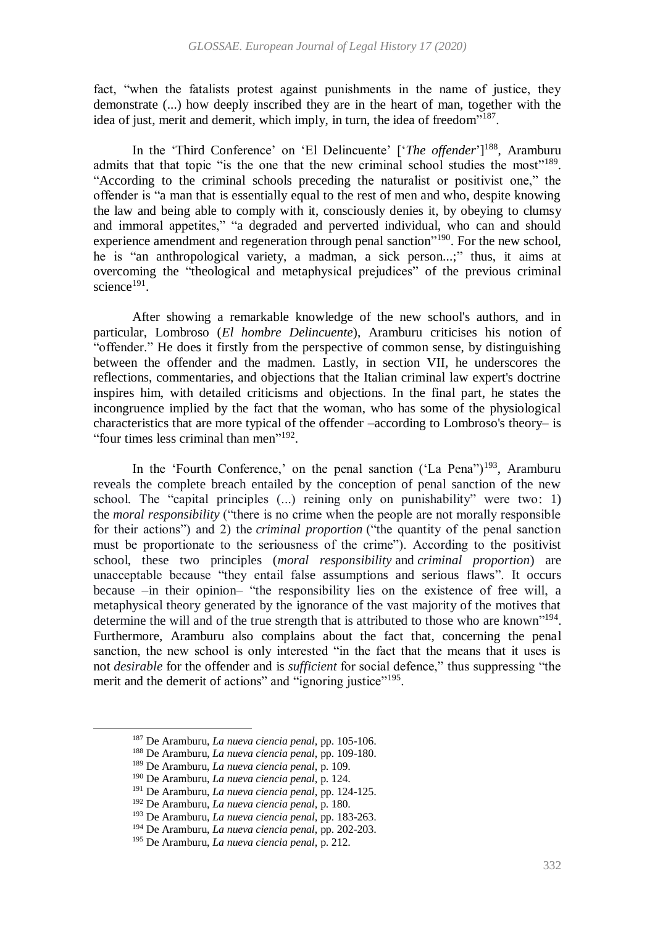fact, "when the fatalists protest against punishments in the name of justice, they demonstrate (...) how deeply inscribed they are in the heart of man, together with the idea of just, merit and demerit, which imply, in turn, the idea of freedom"<sup>187</sup>.

In the 'Third Conference' on 'El Delincuente' ['*The offender*'] <sup>188</sup>, Aramburu admits that that topic "is the one that the new criminal school studies the most"<sup>189</sup>. "According to the criminal schools preceding the naturalist or positivist one," the offender is "a man that is essentially equal to the rest of men and who, despite knowing the law and being able to comply with it, consciously denies it, by obeying to clumsy and immoral appetites," "a degraded and perverted individual, who can and should experience amendment and regeneration through penal sanction<sup>"190</sup>. For the new school, he is "an anthropological variety, a madman, a sick person...;" thus, it aims at overcoming the "theological and metaphysical prejudices" of the previous criminal science<sup>191</sup>.

After showing a remarkable knowledge of the new school's authors, and in particular, Lombroso (*El hombre Delincuente*), Aramburu criticises his notion of "offender." He does it firstly from the perspective of common sense, by distinguishing between the offender and the madmen. Lastly, in section VII, he underscores the reflections, commentaries, and objections that the Italian criminal law expert's doctrine inspires him, with detailed criticisms and objections. In the final part, he states the incongruence implied by the fact that the woman, who has some of the physiological characteristics that are more typical of the offender –according to Lombroso's theory– is "four times less criminal than men"<sup>192</sup>.

In the 'Fourth Conference,' on the penal sanction ('La Pena'')<sup>193</sup>, Aramburu reveals the complete breach entailed by the conception of penal sanction of the new school. The "capital principles (...) reining only on punishability" were two: 1) the *moral responsibility* ("there is no crime when the people are not morally responsible for their actions") and 2) the *criminal proportion* ("the quantity of the penal sanction must be proportionate to the seriousness of the crime"). According to the positivist school, these two principles (*moral responsibility* and *criminal proportion*) are unacceptable because "they entail false assumptions and serious flaws". It occurs because –in their opinion– "the responsibility lies on the existence of free will, a metaphysical theory generated by the ignorance of the vast majority of the motives that determine the will and of the true strength that is attributed to those who are known"<sup>194</sup>. Furthermore, Aramburu also complains about the fact that, concerning the penal sanction, the new school is only interested "in the fact that the means that it uses is not *desirable* for the offender and is *sufficient* for social defence," thus suppressing "the merit and the demerit of actions" and "ignoring justice"<sup>195</sup>.

<sup>187</sup> De Aramburu, *La nueva ciencia penal*, pp. 105-106.

<sup>188</sup> De Aramburu, *La nueva ciencia penal*, pp. 109-180.

<sup>189</sup> De Aramburu, *La nueva ciencia penal*, p. 109.

<sup>190</sup> De Aramburu, *La nueva ciencia penal*, p. 124.

<sup>191</sup> De Aramburu, *La nueva ciencia penal*, pp. 124-125.

<sup>192</sup> De Aramburu, *La nueva ciencia penal*, p. 180.

<sup>193</sup> De Aramburu, *La nueva ciencia penal*, pp. 183-263.

<sup>194</sup> De Aramburu, *La nueva ciencia penal*, pp. 202-203.

<sup>195</sup> De Aramburu, *La nueva ciencia penal*, p. 212.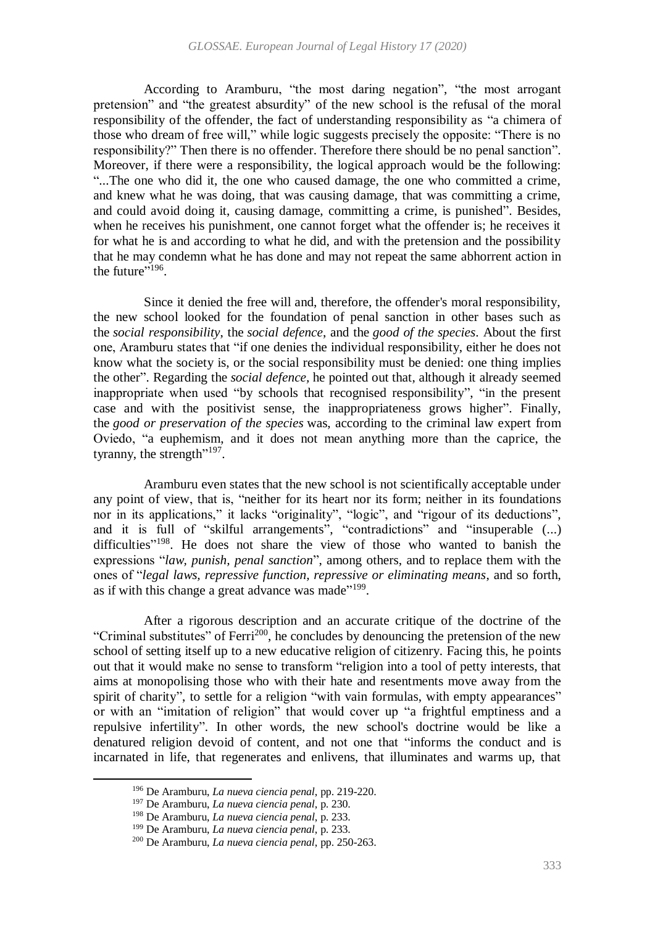According to Aramburu, "the most daring negation", "the most arrogant pretension" and "the greatest absurdity" of the new school is the refusal of the moral responsibility of the offender, the fact of understanding responsibility as "a chimera of those who dream of free will," while logic suggests precisely the opposite: "There is no responsibility?" Then there is no offender. Therefore there should be no penal sanction". Moreover, if there were a responsibility, the logical approach would be the following: "...The one who did it, the one who caused damage, the one who committed a crime, and knew what he was doing, that was causing damage, that was committing a crime, and could avoid doing it, causing damage, committing a crime, is punished". Besides, when he receives his punishment, one cannot forget what the offender is; he receives it for what he is and according to what he did, and with the pretension and the possibility that he may condemn what he has done and may not repeat the same abhorrent action in the future"<sup> $196$ </sup>.

Since it denied the free will and, therefore, the offender's moral responsibility, the new school looked for the foundation of penal sanction in other bases such as the *social responsibility*, the *social defence*, and the *good of the species*. About the first one, Aramburu states that "if one denies the individual responsibility, either he does not know what the society is, or the social responsibility must be denied: one thing implies the other". Regarding the *social defence,* he pointed out that, although it already seemed inappropriate when used "by schools that recognised responsibility", "in the present case and with the positivist sense, the inappropriateness grows higher". Finally, the *good or preservation of the species* was, according to the criminal law expert from Oviedo, "a euphemism, and it does not mean anything more than the caprice, the tyranny, the strength $"^{197}$ .

Aramburu even states that the new school is not scientifically acceptable under any point of view, that is, "neither for its heart nor its form; neither in its foundations nor in its applications," it lacks "originality", "logic", and "rigour of its deductions", and it is full of "skilful arrangements", "contradictions" and "insuperable (...) difficulties"<sup>198</sup>. He does not share the view of those who wanted to banish the expressions "*law, punish, penal sanction*", among others, and to replace them with the ones of "*legal laws, repressive function, repressive or eliminating means*, and so forth, as if with this change a great advance was made"<sup>199</sup>.

After a rigorous description and an accurate critique of the doctrine of the "Criminal substitutes" of Ferri<sup>200</sup>, he concludes by denouncing the pretension of the new school of setting itself up to a new educative religion of citizenry. Facing this, he points out that it would make no sense to transform "religion into a tool of petty interests, that aims at monopolising those who with their hate and resentments move away from the spirit of charity", to settle for a religion "with vain formulas, with empty appearances" or with an "imitation of religion" that would cover up "a frightful emptiness and a repulsive infertility". In other words, the new school's doctrine would be like a denatured religion devoid of content, and not one that "informs the conduct and is incarnated in life, that regenerates and enlivens, that illuminates and warms up, that

<sup>196</sup> De Aramburu, *La nueva ciencia penal*, pp. 219-220.

<sup>197</sup> De Aramburu, *La nueva ciencia penal*, p. 230.

<sup>198</sup> De Aramburu, *La nueva ciencia penal*, p. 233.

<sup>199</sup> De Aramburu, *La nueva ciencia penal*, p. 233.

<sup>200</sup> De Aramburu, *La nueva ciencia penal*, pp. 250-263.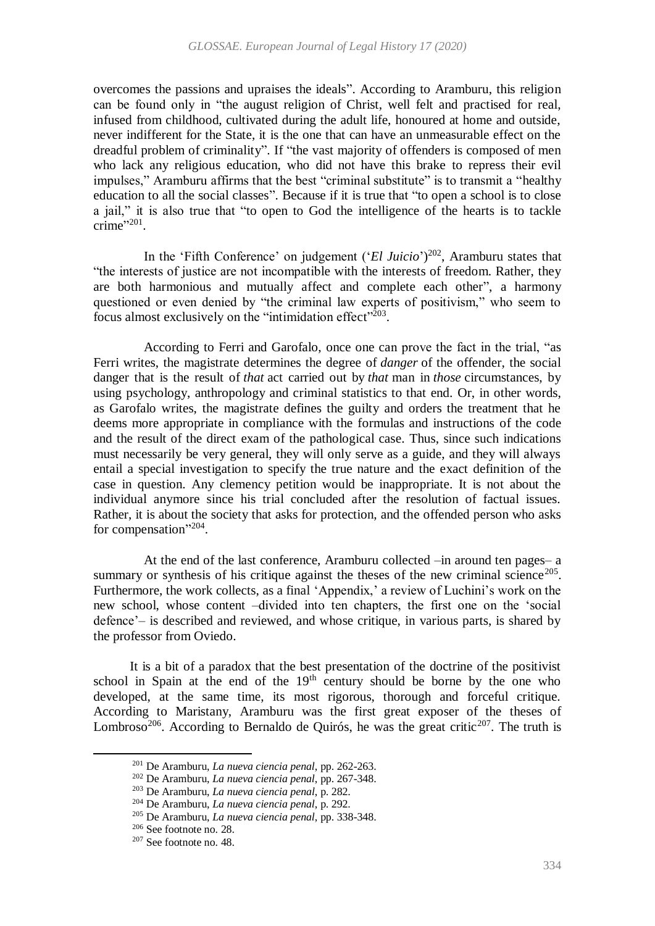overcomes the passions and upraises the ideals". According to Aramburu, this religion can be found only in "the august religion of Christ, well felt and practised for real, infused from childhood, cultivated during the adult life, honoured at home and outside, never indifferent for the State, it is the one that can have an unmeasurable effect on the dreadful problem of criminality". If "the vast majority of offenders is composed of men who lack any religious education, who did not have this brake to repress their evil impulses," Aramburu affirms that the best "criminal substitute" is to transmit a "healthy education to all the social classes". Because if it is true that "to open a school is to close a jail," it is also true that "to open to God the intelligence of the hearts is to tackle crime"<sup>201</sup>.

In the 'Fifth Conference' on judgement ('*El Juicio*') 202 , Aramburu states that "the interests of justice are not incompatible with the interests of freedom. Rather, they are both harmonious and mutually affect and complete each other", a harmony questioned or even denied by "the criminal law experts of positivism," who seem to focus almost exclusively on the "intimidation effect"<sup>203</sup>.

According to Ferri and Garofalo, once one can prove the fact in the trial, "as Ferri writes, the magistrate determines the degree of *danger* of the offender, the social danger that is the result of *that* act carried out by *that* man in *those* circumstances, by using psychology, anthropology and criminal statistics to that end. Or, in other words, as Garofalo writes, the magistrate defines the guilty and orders the treatment that he deems more appropriate in compliance with the formulas and instructions of the code and the result of the direct exam of the pathological case. Thus, since such indications must necessarily be very general, they will only serve as a guide, and they will always entail a special investigation to specify the true nature and the exact definition of the case in question. Any clemency petition would be inappropriate. It is not about the individual anymore since his trial concluded after the resolution of factual issues. Rather, it is about the society that asks for protection, and the offended person who asks for compensation"<sup>204</sup>.

At the end of the last conference, Aramburu collected –in around ten pages– a summary or synthesis of his critique against the theses of the new criminal science<sup>205</sup>. Furthermore, the work collects, as a final 'Appendix,' a review of Luchini's work on the new school, whose content –divided into ten chapters, the first one on the 'social defence'– is described and reviewed, and whose critique, in various parts, is shared by the professor from Oviedo.

 It is a bit of a paradox that the best presentation of the doctrine of the positivist school in Spain at the end of the  $19<sup>th</sup>$  century should be borne by the one who developed, at the same time, its most rigorous, thorough and forceful critique. According to Maristany, Aramburu was the first great exposer of the theses of Lombroso<sup>206</sup>. According to Bernaldo de Quirós, he was the great critic<sup>207</sup>. The truth is

<sup>201</sup> De Aramburu, *La nueva ciencia penal*, pp. 262-263.

<sup>202</sup> De Aramburu, *La nueva ciencia penal*, pp. 267-348.

<sup>203</sup> De Aramburu, *La nueva ciencia penal*, p. 282.

<sup>204</sup> De Aramburu, *La nueva ciencia penal*, p. 292.

<sup>205</sup> De Aramburu, *La nueva ciencia penal*, pp. 338-348.

<sup>206</sup> See footnote no[. 28.](#page-6-0)

<sup>207</sup> See footnote no[. 48.](#page-10-0)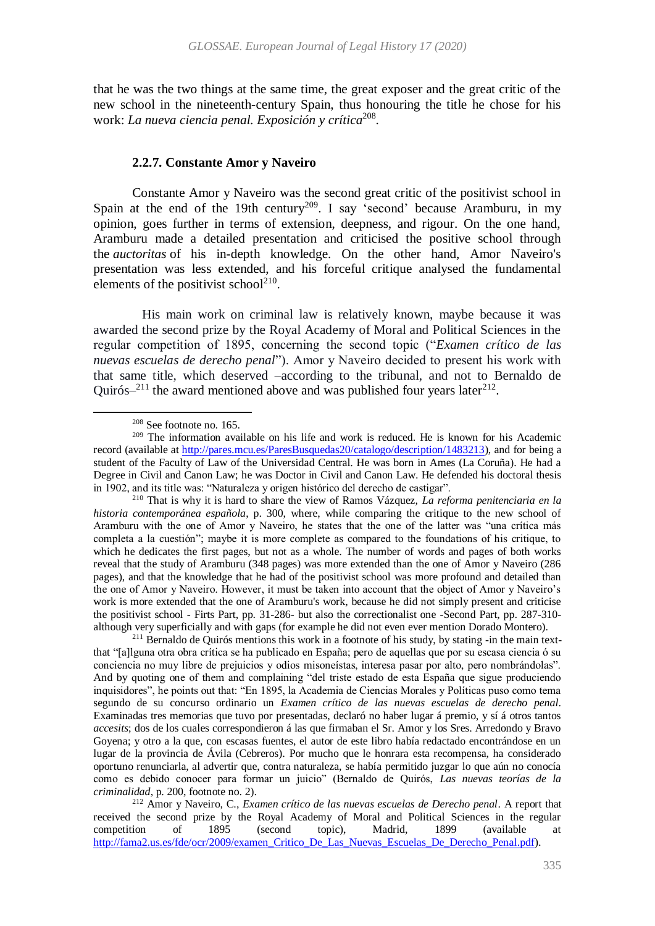that he was the two things at the same time, the great exposer and the great critic of the new school in the nineteenth-century Spain, thus honouring the title he chose for his work: *La nueva ciencia penal. Exposición y crítica*<sup>208</sup> *.*

#### <span id="page-32-0"></span>**2.2.7. Constante Amor y Naveiro**

Constante Amor y Naveiro was the second great critic of the positivist school in Spain at the end of the 19th century<sup>209</sup>. I say 'second' because Aramburu, in my opinion, goes further in terms of extension, deepness, and rigour. On the one hand, Aramburu made a detailed presentation and criticised the positive school through the *auctoritas* of his in-depth knowledge. On the other hand, Amor Naveiro's presentation was less extended, and his forceful critique analysed the fundamental elements of the positivist school<sup>210</sup>.

<span id="page-32-1"></span>His main work on criminal law is relatively known, maybe because it was awarded the second prize by the Royal Academy of Moral and Political Sciences in the regular competition of 1895, concerning the second topic ("*Examen crítico de las nuevas escuelas de derecho penal*"). Amor y Naveiro decided to present his work with that same title, which deserved –according to the tribunal, and not to Bernaldo de Quirós $-$ <sup>211</sup> the award mentioned above and was published four years later<sup>212</sup>.

 $\overline{a}$ 

<sup>211</sup> Bernaldo de Quirós mentions this work in a footnote of his study, by stating -in the main textthat "[a]lguna otra obra crítica se ha publicado en España; pero de aquellas que por su escasa ciencia ó su conciencia no muy libre de prejuicios y odios misoneístas, interesa pasar por alto, pero nombrándolas". And by quoting one of them and complaining "del triste estado de esta España que sigue produciendo inquisidores", he points out that: "En 1895, la Academia de Ciencias Morales y Políticas puso como tema segundo de su concurso ordinario un *Examen crítico de las nuevas escuelas de derecho penal*. Examinadas tres memorias que tuvo por presentadas, declaró no haber lugar á premio, y sí á otros tantos *accesits*; dos de los cuales correspondieron á las que firmaban el Sr. Amor y los Sres. Arredondo y Bravo Goyena; y otro a la que, con escasas fuentes, el autor de este libro había redactado encontrándose en un lugar de la provincia de Ávila (Cebreros). Por mucho que le honrara esta recompensa, ha considerado oportuno renunciarla, al advertir que, contra naturaleza, se había permitido juzgar lo que aún no conocía como es debido conocer para formar un juicio" (Bernaldo de Quirós, *Las nuevas teorías de la criminalidad*, p. 200, footnote no. 2).

<sup>208</sup> See footnote no[. 165.](#page-25-1)

<sup>209</sup> The information available on his life and work is reduced. He is known for his Academic record (available at [http://pares.mcu.es/ParesBusquedas20/catalogo/description/1483213\)](http://pares.mcu.es/ParesBusquedas20/catalogo/description/1483213), and for being a student of the Faculty of Law of the Universidad Central. He was born in Ames (La Coruña). He had a Degree in Civil and Canon Law; he was Doctor in Civil and Canon Law. He defended his doctoral thesis in 1902, and its title was: "Naturaleza y origen histórico del derecho de castigar".

<sup>210</sup> That is why it is hard to share the view of Ramos Vázquez, *La reforma penitenciaria en la historia contemporánea española*, p. 300, where, while comparing the critique to the new school of Aramburu with the one of Amor y Naveiro, he states that the one of the latter was "una crítica más completa a la cuestión"; maybe it is more complete as compared to the foundations of his critique, to which he dedicates the first pages, but not as a whole. The number of words and pages of both works reveal that the study of Aramburu (348 pages) was more extended than the one of Amor y Naveiro (286 pages), and that the knowledge that he had of the positivist school was more profound and detailed than the one of Amor y Naveiro. However, it must be taken into account that the object of Amor y Naveiro's work is more extended that the one of Aramburu's work, because he did not simply present and criticise the positivist school - Firts Part, pp. 31-286- but also the correctionalist one -Second Part, pp. 287-310 although very superficially and with gaps (for example he did not even ever mention Dorado Montero).

<sup>212</sup> Amor y Naveiro, C., *Examen crítico de las nuevas escuelas de Derecho penal*. A report that received the second prize by the Royal Academy of Moral and Political Sciences in the regular competition of 1895 (second topic), Madrid, 1899 (available at [http://fama2.us.es/fde/ocr/2009/examen\\_Critico\\_De\\_Las\\_Nuevas\\_Escuelas\\_De\\_Derecho\\_Penal.pdf\)](http://fama2.us.es/fde/ocr/2009/examen_Critico_De_Las_Nuevas_Escuelas_De_Derecho_Penal.pdf).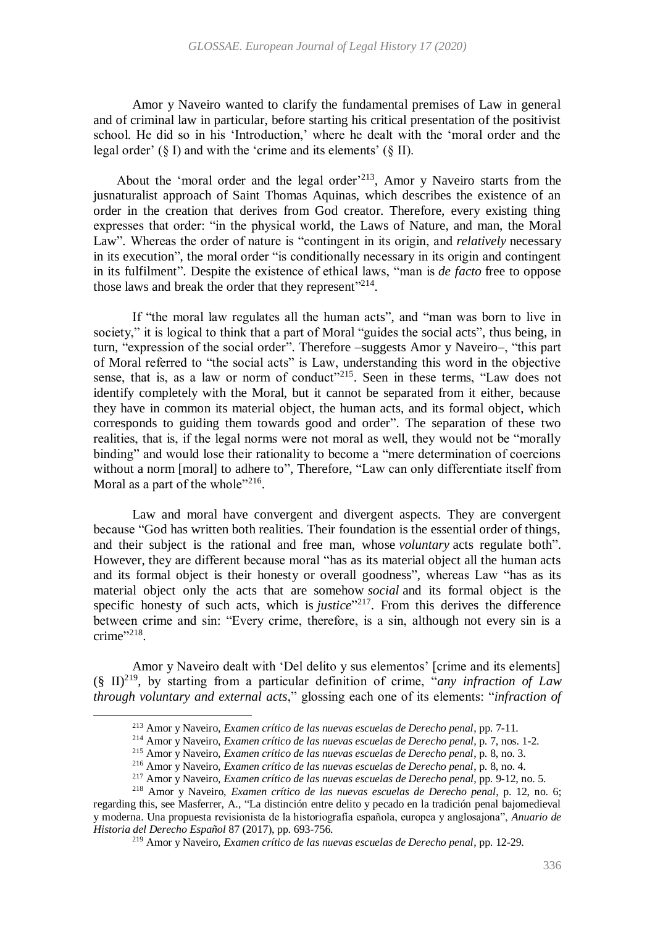Amor y Naveiro wanted to clarify the fundamental premises of Law in general and of criminal law in particular, before starting his critical presentation of the positivist school. He did so in his 'Introduction,' where he dealt with the 'moral order and the legal order'  $(\S$  I) and with the 'crime and its elements'  $(\S$  II).

About the 'moral order and the legal order<sup> $213$ </sup>, Amor y Naveiro starts from the jusnaturalist approach of Saint Thomas Aquinas, which describes the existence of an order in the creation that derives from God creator. Therefore, every existing thing expresses that order: "in the physical world, the Laws of Nature, and man, the Moral Law". Whereas the order of nature is "contingent in its origin, and *relatively* necessary in its execution", the moral order "is conditionally necessary in its origin and contingent in its fulfilment". Despite the existence of ethical laws, "man is *de facto* free to oppose those laws and break the order that they represent"<sup>214</sup>.

If "the moral law regulates all the human acts", and "man was born to live in society," it is logical to think that a part of Moral "guides the social acts", thus being, in turn, "expression of the social order". Therefore –suggests Amor y Naveiro–, "this part of Moral referred to "the social acts" is Law, understanding this word in the objective sense, that is, as a law or norm of conduct"<sup>215</sup>. Seen in these terms, "Law does not identify completely with the Moral, but it cannot be separated from it either, because they have in common its material object, the human acts, and its formal object, which corresponds to guiding them towards good and order". The separation of these two realities, that is, if the legal norms were not moral as well, they would not be "morally binding" and would lose their rationality to become a "mere determination of coercions without a norm [moral] to adhere to", Therefore, "Law can only differentiate itself from Moral as a part of the whole" $2^{16}$ .

Law and moral have convergent and divergent aspects. They are convergent because "God has written both realities. Their foundation is the essential order of things, and their subject is the rational and free man, whose *voluntary* acts regulate both". However, they are different because moral "has as its material object all the human acts and its formal object is their honesty or overall goodness", whereas Law "has as its material object only the acts that are somehow *social* and its formal object is the specific honesty of such acts, which is *justice*<sup>"217</sup>. From this derives the difference between crime and sin: "Every crime, therefore, is a sin, although not every sin is a  $\text{ crime}$ ".

Amor y Naveiro dealt with 'Del delito y sus elementos' [crime and its elements] (§ II)<sup>219</sup> , by starting from a particular definition of crime, "*any infraction of Law through voluntary and external acts*," glossing each one of its elements: "*infraction of* 

1

<sup>213</sup> Amor y Naveiro, *Examen crítico de las nuevas escuelas de Derecho penal*, pp. 7-11.

<sup>214</sup> Amor y Naveiro, *Examen crítico de las nuevas escuelas de Derecho penal*, p. 7, nos. 1-2.

<sup>215</sup> Amor y Naveiro, *Examen crítico de las nuevas escuelas de Derecho penal*, p. 8, no. 3.

<sup>216</sup> Amor y Naveiro, *Examen crítico de las nuevas escuelas de Derecho penal*, p. 8, no. 4.

<sup>217</sup> Amor y Naveiro, *Examen crítico de las nuevas escuelas de Derecho penal*, pp. 9-12, no. 5.

<sup>218</sup> Amor y Naveiro, *Examen crítico de las nuevas escuelas de Derecho penal*, p. 12, no. 6; regarding this, see Masferrer, A., "La distinción entre delito y pecado en la tradición penal bajomedieval y moderna. Una propuesta revisionista de la historiografía española, europea y anglosajona", *Anuario de Historia del Derecho Español* 87 (2017), pp. 693-756.

<sup>219</sup> Amor y Naveiro, *Examen crítico de las nuevas escuelas de Derecho penal*, pp. 12-29.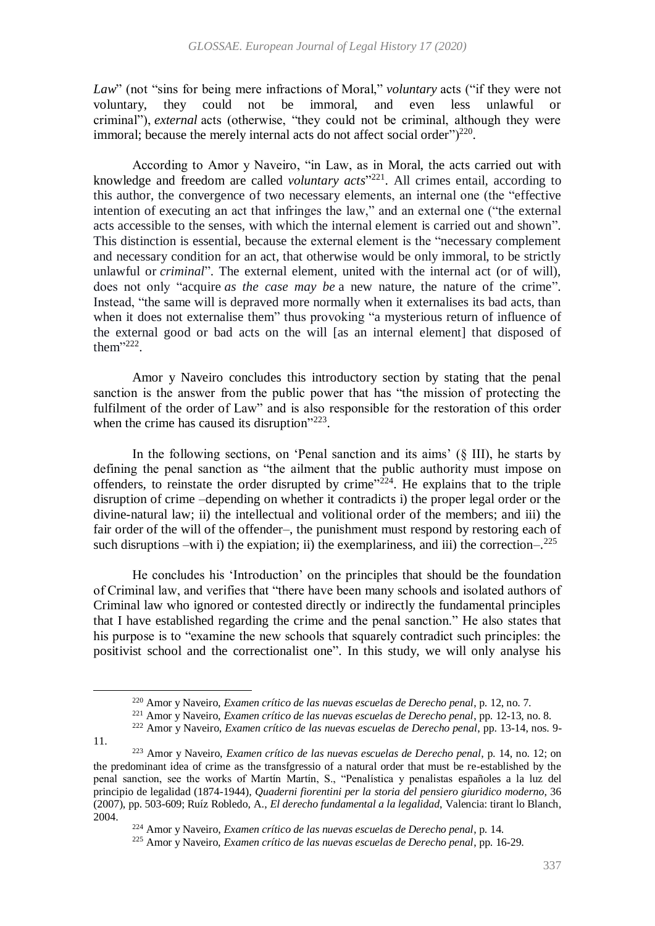*Law*" (not "sins for being mere infractions of Moral," *voluntary* acts ("if they were not voluntary, they could not be immoral, and even less unlawful or criminal"), *external* acts (otherwise, "they could not be criminal, although they were immoral; because the merely internal acts do not affect social order" $)^{220}$ .

According to Amor y Naveiro, "in Law, as in Moral, the acts carried out with knowledge and freedom are called *voluntary acts*<sup>"221</sup>. All crimes entail, according to this author, the convergence of two necessary elements, an internal one (the "effective intention of executing an act that infringes the law," and an external one ("the external acts accessible to the senses, with which the internal element is carried out and shown". This distinction is essential, because the external element is the "necessary complement and necessary condition for an act, that otherwise would be only immoral, to be strictly unlawful or *criminal*". The external element, united with the internal act (or of will), does not only "acquire *as the case may be* a new nature, the nature of the crime". Instead, "the same will is depraved more normally when it externalises its bad acts, than when it does not externalise them" thus provoking "a mysterious return of influence of the external good or bad acts on the will [as an internal element] that disposed of them<sup>",222</sup>.

Amor y Naveiro concludes this introductory section by stating that the penal sanction is the answer from the public power that has "the mission of protecting the fulfilment of the order of Law" and is also responsible for the restoration of this order when the crime has caused its disruption"<sup>223</sup>.

In the following sections, on 'Penal sanction and its aims' (§ III), he starts by defining the penal sanction as "the ailment that the public authority must impose on offenders, to reinstate the order disrupted by crime"<sup>224</sup>. He explains that to the triple disruption of crime –depending on whether it contradicts i) the proper legal order or the divine-natural law; ii) the intellectual and volitional order of the members; and iii) the fair order of the will of the offender–, the punishment must respond by restoring each of such disruptions –with i) the expiation; ii) the exemplariness, and iii) the correction– $.225$ 

He concludes his 'Introduction' on the principles that should be the foundation of Criminal law, and verifies that "there have been many schools and isolated authors of Criminal law who ignored or contested directly or indirectly the fundamental principles that I have established regarding the crime and the penal sanction." He also states that his purpose is to "examine the new schools that squarely contradict such principles: the positivist school and the correctionalist one". In this study, we will only analyse his

11.

<sup>220</sup> Amor y Naveiro, *Examen crítico de las nuevas escuelas de Derecho penal*, p. 12, no. 7.

<sup>221</sup> Amor y Naveiro, *Examen crítico de las nuevas escuelas de Derecho penal*, pp. 12-13, no. 8.

<sup>222</sup> Amor y Naveiro, *Examen crítico de las nuevas escuelas de Derecho penal*, pp. 13-14, nos. 9-

<sup>223</sup> Amor y Naveiro, *Examen crítico de las nuevas escuelas de Derecho penal*, p. 14, no. 12; on the predominant idea of crime as the transfgressio of a natural order that must be re-established by the penal sanction, see the works of Martín Martín, S., "Penalística y penalistas españoles a la luz del principio de legalidad (1874-1944), *Quaderni fiorentini per la storia del pensiero giuridico moderno*, 36 (2007), pp. 503-609; Ruíz Robledo, A., *El derecho fundamental a la legalidad*, Valencia: tirant lo Blanch, 2004.

<sup>224</sup> Amor y Naveiro, *Examen crítico de las nuevas escuelas de Derecho penal*, p. 14.

<sup>225</sup> Amor y Naveiro, *Examen crítico de las nuevas escuelas de Derecho penal*, pp. 16-29.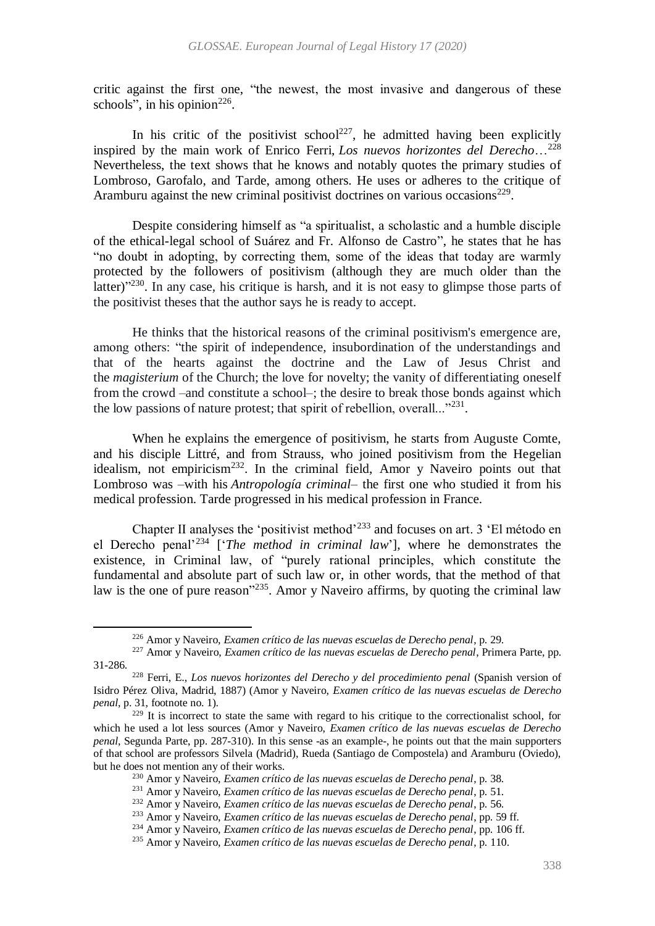critic against the first one, "the newest, the most invasive and dangerous of these schools", in his opinion $^{226}$ .

In his critic of the positivist school<sup>227</sup>, he admitted having been explicitly inspired by the main work of Enrico Ferri, *Los nuevos horizontes del Derecho*…<sup>228</sup> Nevertheless, the text shows that he knows and notably quotes the primary studies of Lombroso, Garofalo, and Tarde, among others. He uses or adheres to the critique of Aramburu against the new criminal positivist doctrines on various occasions<sup>229</sup>.

Despite considering himself as "a spiritualist, a scholastic and a humble disciple of the ethical-legal school of Suárez and Fr. Alfonso de Castro", he states that he has "no doubt in adopting, by correcting them, some of the ideas that today are warmly protected by the followers of positivism (although they are much older than the latter) $1230$ . In any case, his critique is harsh, and it is not easy to glimpse those parts of the positivist theses that the author says he is ready to accept.

He thinks that the historical reasons of the criminal positivism's emergence are, among others: "the spirit of independence, insubordination of the understandings and that of the hearts against the doctrine and the Law of Jesus Christ and the *magisterium* of the Church; the love for novelty; the vanity of differentiating oneself from the crowd –and constitute a school–; the desire to break those bonds against which the low passions of nature protest; that spirit of rebellion, overall..."<sup>231</sup>.

When he explains the emergence of positivism, he starts from Auguste Comte, and his disciple Littré, and from Strauss, who joined positivism from the Hegelian idealism, not empiricism<sup>232</sup>. In the criminal field, Amor y Naveiro points out that Lombroso was –with his *Antropología criminal*– the first one who studied it from his medical profession. Tarde progressed in his medical profession in France.

Chapter II analyses the 'positivist method'<sup>233</sup> and focuses on art. 3 'El método en el Derecho penal'<sup>234</sup> ['*The method in criminal law*'], where he demonstrates the existence, in Criminal law, of "purely rational principles, which constitute the fundamental and absolute part of such law or, in other words, that the method of that law is the one of pure reason<sup>"235</sup>. Amor y Naveiro affirms, by quoting the criminal law

<sup>226</sup> Amor y Naveiro, *Examen crítico de las nuevas escuelas de Derecho penal*, p. 29.

<sup>227</sup> Amor y Naveiro, *Examen crítico de las nuevas escuelas de Derecho penal*, Primera Parte, pp. 31-286.

<sup>228</sup> Ferri, E., *Los nuevos horizontes del Derecho y del procedimiento penal* (Spanish version of Isidro Pérez Oliva, Madrid, 1887) (Amor y Naveiro, *Examen crítico de las nuevas escuelas de Derecho penal*, p. 31, footnote no. 1).

<sup>&</sup>lt;sup>229</sup> It is incorrect to state the same with regard to his critique to the correctionalist school, for which he used a lot less sources (Amor y Naveiro, *Examen crítico de las nuevas escuelas de Derecho penal*, Segunda Parte, pp. 287-310). In this sense -as an example-, he points out that the main supporters of that school are professors Silvela (Madrid), Rueda (Santiago de Compostela) and Aramburu (Oviedo), but he does not mention any of their works.

<sup>230</sup> Amor y Naveiro, *Examen crítico de las nuevas escuelas de Derecho penal*, p. 38.

<sup>231</sup> Amor y Naveiro, *Examen crítico de las nuevas escuelas de Derecho penal*, p. 51.

<sup>232</sup> Amor y Naveiro, *Examen crítico de las nuevas escuelas de Derecho penal*, p. 56.

<sup>233</sup> Amor y Naveiro, *Examen crítico de las nuevas escuelas de Derecho penal*, pp. 59 ff.

<sup>234</sup> Amor y Naveiro, *Examen crítico de las nuevas escuelas de Derecho penal*, pp. 106 ff.

<sup>235</sup> Amor y Naveiro, *Examen crítico de las nuevas escuelas de Derecho penal*, p. 110.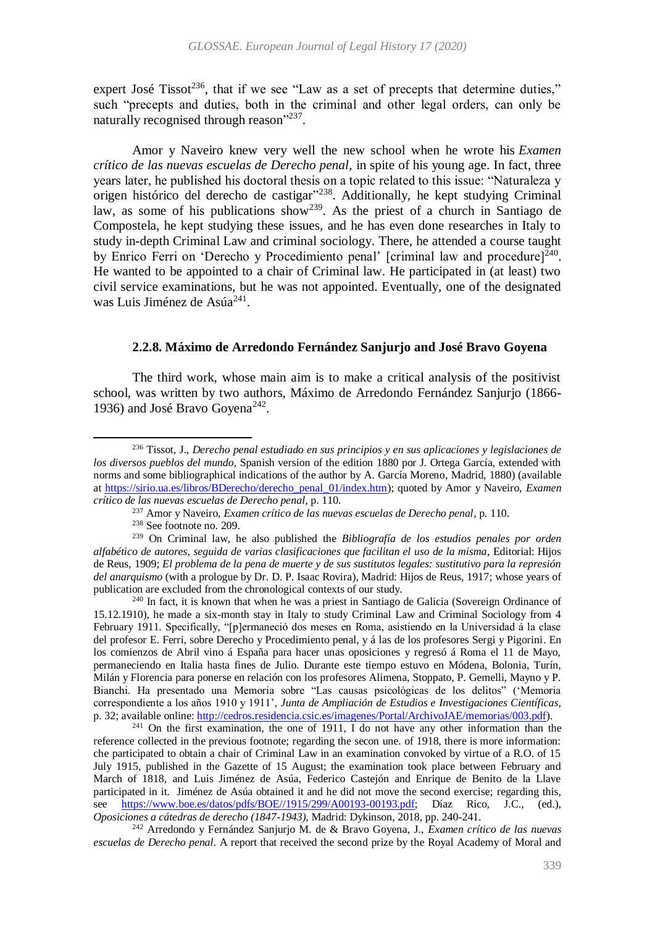expert José Tissot<sup>236</sup>, that if we see "Law as a set of precepts that determine duties," such "precepts and duties, both in the criminal and other legal orders, can only be naturally recognised through reason"<sup>237</sup>.

Amor y Naveiro knew very well the new school when he wrote his *Examen crítico de las nuevas escuelas de Derecho penal*, in spite of his young age. In fact, three years later, he published his doctoral thesis on a topic related to this issue: "Naturaleza y origen histórico del derecho de castigar"<sup>238</sup>. Additionally, he kept studying Criminal law, as some of his publications show<sup>239</sup>. As the priest of a church in Santiago de Compostela, he kept studying these issues, and he has even done researches in Italy to study in-depth Criminal Law and criminal sociology. There, he attended a course taught by Enrico Ferri on 'Derecho y Procedimiento penal' [criminal law and procedure]<sup>240</sup>. He wanted to be appointed to a chair of Criminal law. He participated in (at least) two civil service examinations, but he was not appointed. Eventually, one of the designated was Luis Jiménez de Asúa<sup>241</sup>.

### **2.2.8. Máximo de Arredondo Fernández Sanjurjo and José Bravo Goyena**

The third work, whose main aim is to make a critical analysis of the positivist school, was written by two authors, Máximo de Arredondo Fernández Sanjurjo (1866- 1936) and José Bravo Goyena<sup>242</sup>.

 $\overline{a}$ 

<sup>240</sup> In fact, it is known that when he was a priest in Santiago de Galicia (Sovereign Ordinance of 15.12.1910), he made a six-month stay in Italy to study Criminal Law and Criminal Sociology from 4 February 1911. Specifically, "[p]ermaneció dos meses en Roma, asistiendo en la Universidad á la clase del profesor E. Ferri, sobre Derecho y Procedimiento penal, y á las de los profesores Sergi y Pigorini. En los comienzos de Abril vino á España para hacer unas oposiciones y regresó á Roma el 11 de Mayo, permaneciendo en Italia hasta fines de Julio. Durante este tiempo estuvo en Módena, Bolonia, Turín, Milán y Florencia para ponerse en relación con los profesores Alimena, Stoppato, P. Gemelli, Mayno y P. Bianchi. Ha presentado una Memoria sobre "Las causas psicológicas de los delitos" ('Memoria correspondiente a los años 1910 y 1911', *Junta de Ampliación de Estudios e Investigaciones Científicas*, p. 32; available online: [http://cedros.residencia.csic.es/imagenes/Portal/ArchivoJAE/memorias/003.pdf\)](http://cedros.residencia.csic.es/imagenes/Portal/ArchivoJAE/memorias/003.pdf).

 $241$  On the first examination, the one of 1911, I do not have any other information than the reference collected in the previous footnote; regarding the secon une. of 1918, there is more information: che participated to obtain a chair of Criminal Law in an examination convoked by virtue of a R.O. of 15 July 1915, published in the Gazette of 15 August; the examination took place between February and March of 1818, and Luis Jiménez de Asúa, Federico Castejón and Enrique de Benito de la Llave participated in it. Jiménez de Asúa obtained it and he did not move the second exercise; regarding this, see [https://www.boe.es/datos/pdfs/BOE//1915/299/A00193-00193.pdf;](https://www.boe.es/datos/pdfs/BOE/1915/299/A00193-00193.pdf) Díaz Rico, J.C., (ed.), *Oposiciones a cátedras de derecho (1847-1943)*, Madrid: Dykinson, 2018, pp. 240-241.

<sup>242</sup> Arredondo y Fernández Sanjurjo M. de & Bravo Goyena, J., *Examen crítico de las nuevas escuelas de Derecho penal*. A report that received the second prize by the Royal Academy of Moral and

<sup>236</sup> Tissot, J., *Derecho penal estudiado en sus principios y en sus aplicaciones y legislaciones de los diversos pueblos del mundo*, Spanish version of the edition 1880 por J. Ortega García, extended with norms and some bibliographical indications of the author by A. García Moreno, Madrid, 1880) (available at [https://sirio.ua.es/libros/BDerecho/derecho\\_penal\\_01/index.htm\)](https://sirio.ua.es/libros/BDerecho/derecho_penal_01/index.htm); quoted by Amor y Naveiro, *Examen crítico de las nuevas escuelas de Derecho penal*, p. 110.

<sup>237</sup> Amor y Naveiro, *Examen crítico de las nuevas escuelas de Derecho penal*, p. 110.

<sup>238</sup> See footnote no[. 209.](#page-32-0)

<sup>239</sup> On Criminal law, he also published the *Bibliografía de los estudios penales por orden alfabético de autores, seguida de varias clasificaciones que facilitan el uso de la misma*, Editorial: Hijos de Reus, 1909; *El problema de la pena de muerte y de sus sustitutos legales: sustitutivo para la represión del anarquismo* (with a prologue by Dr. D. P. Isaac Rovira), Madrid: Hijos de Reus, 1917; whose years of publication are excluded from the chronological contexts of our study.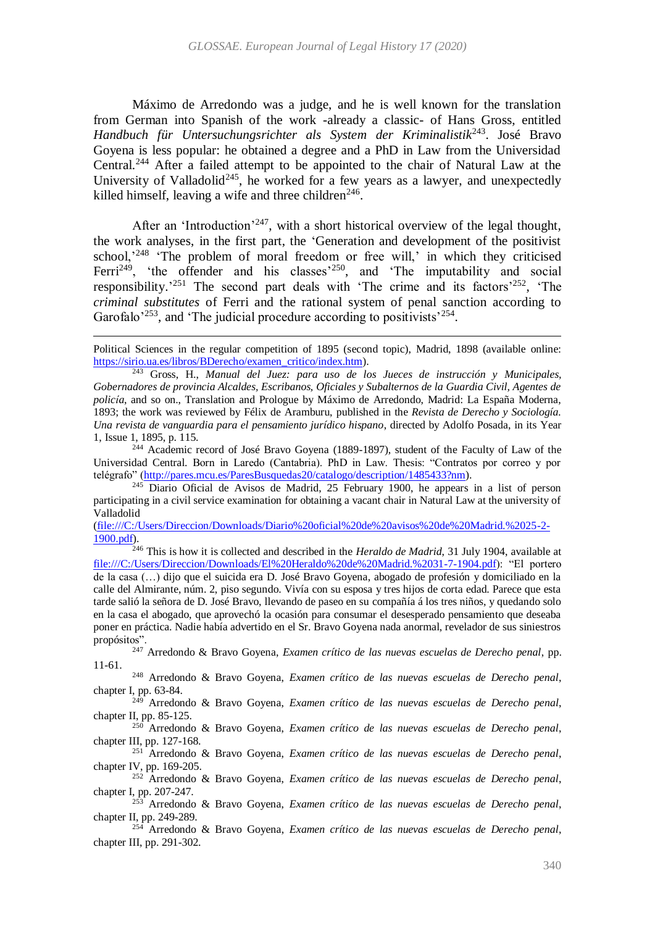Máximo de Arredondo was a judge, and he is well known for the translation from German into Spanish of the work -already a classic- of Hans Gross, entitled *Handbuch für Untersuchungsrichter als System der Kriminalistik*<sup>243</sup> . José Bravo Goyena is less popular: he obtained a degree and a PhD in Law from the Universidad Central.<sup>244</sup> After a failed attempt to be appointed to the chair of Natural Law at the University of Valladolid<sup>245</sup>, he worked for a few years as a lawyer, and unexpectedly killed himself, leaving a wife and three children<sup>246</sup>.

After an 'Introduction'<sup>247</sup>, with a short historical overview of the legal thought, the work analyses, in the first part, the 'Generation and development of the positivist school,<sup>248</sup> 'The problem of moral freedom or free will,' in which they criticised Ferri<sup>249</sup>, 'the offender and his classes<sup>250</sup>, and 'The imputability and social responsibility.<sup>251</sup> The second part deals with 'The crime and its factors<sup>252</sup>, 'The *criminal substitutes* of Ferri and the rational system of penal sanction according to Garofalo<sup>253</sup>, and 'The judicial procedure according to positivists<sup>254</sup>.

 $\overline{a}$ 

[\(file:///C:/Users/Direccion/Downloads/Diario%20oficial%20de%20avisos%20de%20Madrid.%2025-2-](file:///C:/Users/Direccion/Downloads/Diario%20oficial%20de%20avisos%20de%20Madrid.%2025-2-1900.pdf) [1900.pdf\)](file:///C:/Users/Direccion/Downloads/Diario%20oficial%20de%20avisos%20de%20Madrid.%2025-2-1900.pdf).

<sup>246</sup> This is how it is collected and described in the *Heraldo de Madrid*, 31 July 1904, available at [file:///C:/Users/Direccion/Downloads/El%20Heraldo%20de%20Madrid.%2031-7-1904.pdf\)](file:///C:/Users/Direccion/Downloads/El%20Heraldo%20de%20Madrid.%2031-7-1904.pdf): "El portero de la casa (…) dijo que el suicida era D. José Bravo Goyena, abogado de profesión y domiciliado en la calle del Almirante, núm. 2, piso segundo. Vivía con su esposa y tres hijos de corta edad. Parece que esta tarde salió la señora de D. José Bravo, llevando de paseo en su compañía á los tres niños, y quedando solo en la casa el abogado, que aprovechó la ocasión para consumar el desesperado pensamiento que deseaba poner en práctica. Nadie había advertido en el Sr. Bravo Goyena nada anormal, revelador de sus siniestros propósitos".

<sup>247</sup> Arredondo & Bravo Goyena, *Examen crítico de las nuevas escuelas de Derecho penal*, pp. 11-61.

<sup>248</sup> Arredondo & Bravo Goyena, *Examen crítico de las nuevas escuelas de Derecho penal*, chapter I, pp. 63-84.

<sup>249</sup> Arredondo & Bravo Goyena, *Examen crítico de las nuevas escuelas de Derecho penal*, chapter II, pp. 85-125.

<sup>250</sup> Arredondo & Bravo Goyena, *Examen crítico de las nuevas escuelas de Derecho penal*, chapter III, pp. 127-168.

<sup>251</sup> Arredondo & Bravo Goyena, *Examen crítico de las nuevas escuelas de Derecho penal*, chapter IV, pp. 169-205.

<sup>252</sup> Arredondo & Bravo Goyena, *Examen crítico de las nuevas escuelas de Derecho penal*, chapter I, pp. 207-247.

<sup>253</sup> Arredondo & Bravo Goyena, *Examen crítico de las nuevas escuelas de Derecho penal*, chapter II, pp. 249-289.

<sup>254</sup> Arredondo & Bravo Goyena, *Examen crítico de las nuevas escuelas de Derecho penal*, chapter III, pp. 291-302.

Political Sciences in the regular competition of 1895 (second topic), Madrid, 1898 (available online: [https://sirio.ua.es/libros/BDerecho/examen\\_critico/index.htm\)](https://sirio.ua.es/libros/BDerecho/examen_critico/index.htm).

<sup>243</sup> Gross, H., *Manual del Juez: para uso de los Jueces de instrucción y Municipales, Gobernadores de provincia Alcaldes, Escribanos, Oficiales y Subalternos de la Guardia Civil, Agentes de policía*, and so on., Translation and Prologue by Máximo de Arredondo, Madrid: La España Moderna, 1893; the work was reviewed by Félix de Aramburu, published in the *Revista de Derecho y Sociología. Una revista de vanguardia para el pensamiento jurídico hispano*, directed by Adolfo Posada, in its Year 1, Issue 1, 1895, p. 115.

<sup>&</sup>lt;sup>244</sup> Academic record of José Bravo Goyena (1889-1897), student of the Faculty of Law of the Universidad Central. Born in Laredo (Cantabria). PhD in Law. Thesis: "Contratos por correo y por telégrafo" [\(http://pares.mcu.es/ParesBusquedas20/catalogo/description/1485433?nm\)](http://pares.mcu.es/ParesBusquedas20/catalogo/description/1485433?nm).

<sup>&</sup>lt;sup>245</sup> Diario Oficial de Avisos de Madrid, 25 February 1900, he appears in a list of person participating in a civil service examination for obtaining a vacant chair in Natural Law at the university of Valladolid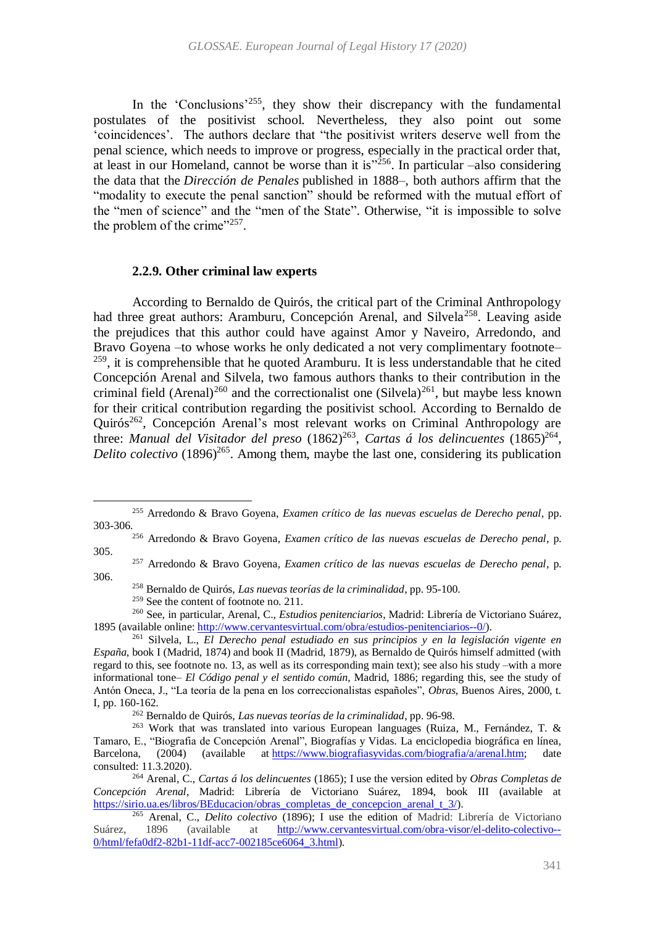In the 'Conclusions'<sup>255</sup>, they show their discrepancy with the fundamental postulates of the positivist school. Nevertheless, they also point out some 'coincidences'. The authors declare that "the positivist writers deserve well from the penal science, which needs to improve or progress, especially in the practical order that, at least in our Homeland, cannot be worse than it is $^{3256}$ . In particular  $-$ also considering the data that the *Dirección de Penales* published in 1888–, both authors affirm that the "modality to execute the penal sanction" should be reformed with the mutual effort of the "men of science" and the "men of the State". Otherwise, "it is impossible to solve the problem of the crime" $257$ .

#### **2.2.9. Other criminal law experts**

According to Bernaldo de Quirós, the critical part of the Criminal Anthropology had three great authors: Aramburu, Concepción Arenal, and Silvela<sup>258</sup>. Leaving aside the prejudices that this author could have against Amor y Naveiro, Arredondo, and Bravo Goyena –to whose works he only dedicated a not very complimentary footnote–  $259$ , it is comprehensible that he quoted Aramburu. It is less understandable that he cited Concepción Arenal and Silvela, two famous authors thanks to their contribution in the criminal field (Arenal)<sup>260</sup> and the correctionalist one (Silvela)<sup>261</sup>, but maybe less known for their critical contribution regarding the positivist school. According to Bernaldo de Quirós<sup>262</sup>, Concepción Arenal's most relevant works on Criminal Anthropology are three: *Manual del Visitador del preso* (1862)<sup>263</sup>, Cartas á los delincuentes (1865)<sup>264</sup>, Delito colectivo (1896)<sup>265</sup>. Among them, maybe the last one, considering its publication

<sup>255</sup> Arredondo & Bravo Goyena, *Examen crítico de las nuevas escuelas de Derecho penal*, pp. 303-306.

<sup>256</sup> Arredondo & Bravo Goyena, *Examen crítico de las nuevas escuelas de Derecho penal*, p. 305.

<sup>257</sup> Arredondo & Bravo Goyena, *Examen crítico de las nuevas escuelas de Derecho penal*, p. 306.

<sup>258</sup> Bernaldo de Quirós, *Las nuevas teorías de la criminalidad*, pp. 95-100.

<sup>&</sup>lt;sup>259</sup> See the content of footnote no. [211.](#page-32-1)

<sup>260</sup> See, in particular, Arenal, C., *Estudios penitenciarios*, Madrid: Librería de Victoriano Suárez, 1895 (available online[: http://www.cervantesvirtual.com/obra/estudios-penitenciarios--0/\)](http://www.cervantesvirtual.com/obra/estudios-penitenciarios--0/).

<sup>261</sup> Silvela, L., *El Derecho penal estudiado en sus principios y en la legislación vigente en España*, book I (Madrid, 1874) and book II (Madrid, 1879), as Bernaldo de Quirós himself admitted (with regard to this, see footnote no[. 13,](#page-4-0) as well as its corresponding main text); see also his study –with a more informational tone– *El Código penal y el sentido común*, Madrid, 1886; regarding this, see the study of Antón Oneca, J., "La teoría de la pena en los correccionalistas españoles", *Obras*, Buenos Aires, 2000, t. I, pp. 160-162.

<sup>262</sup> Bernaldo de Quirós, *Las nuevas teorías de la criminalidad*, pp. 96-98.

<sup>263</sup> Work that was translated into various European languages (Ruiza, M., Fernández, T. & Tamaro, E., "Biografia de Concepción Arenal", Biografías y Vidas. La enciclopedia biográfica en línea,<br>Barcelona, (2004) (available at https://www.biografiasyvidas.com/biografia/a/arenal.htm: date Barcelona, (2004) (available at [https://www.biografiasyvidas.com/biografia/a/arenal.htm;](https://www.biografiasyvidas.com/biografia/a/arenal.htm) consulted: 11.3.2020).

<sup>264</sup> Arenal, C., *Cartas á los delincuentes* (1865); I use the version edited by *Obras Completas de Concepción Arenal*, Madrid: Librería de Victoriano Suárez, 1894, book III (available at [https://sirio.ua.es/libros/BEducacion/obras\\_completas\\_de\\_concepcion\\_arenal\\_t\\_3/\)](https://sirio.ua.es/libros/BEducacion/obras_completas_de_concepcion_arenal_t_3/).

<sup>265</sup> Arenal, C., *Delito colectivo* (1896); I use the edition of Madrid: Librería de Victoriano Suárez, 1896 (available at [http://www.cervantesvirtual.com/obra-visor/el-delito-colectivo--](http://www.cervantesvirtual.com/obra-visor/el-delito-colectivo--0/html/fefa0df2-82b1-11df-acc7-002185ce6064_3.html) [0/html/fefa0df2-82b1-11df-acc7-002185ce6064\\_3.html\)](http://www.cervantesvirtual.com/obra-visor/el-delito-colectivo--0/html/fefa0df2-82b1-11df-acc7-002185ce6064_3.html).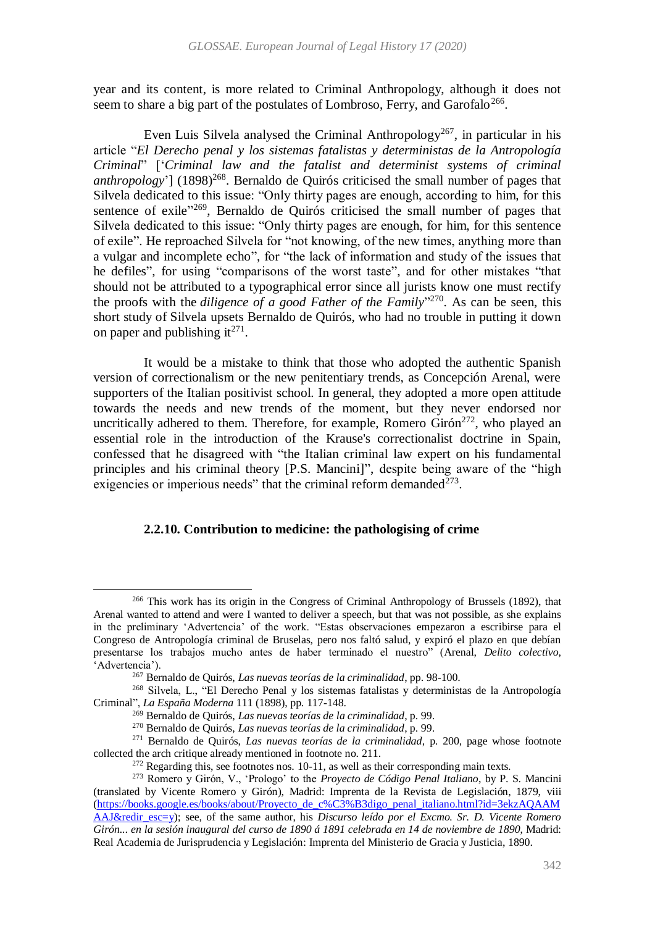year and its content, is more related to Criminal Anthropology, although it does not seem to share a big part of the postulates of Lombroso, Ferry, and Garofalo<sup>266</sup>.

Even Luis Silvela analysed the Criminal Anthropology<sup>267</sup>, in particular in his article "*El Derecho penal y los sistemas fatalistas y deterministas de la Antropología Criminal*" ['*Criminal law and the fatalist and determinist systems of criminal*  anthropology'] (1898)<sup>268</sup>. Bernaldo de Quirós criticised the small number of pages that Silvela dedicated to this issue: "Only thirty pages are enough, according to him, for this sentence of exile<sup>3269</sup>, Bernaldo de Quirós criticised the small number of pages that Silvela dedicated to this issue: "Only thirty pages are enough, for him, for this sentence of exile". He reproached Silvela for "not knowing, of the new times, anything more than a vulgar and incomplete echo", for "the lack of information and study of the issues that he defiles", for using "comparisons of the worst taste", and for other mistakes "that should not be attributed to a typographical error since all jurists know one must rectify the proofs with the *diligence of a good Father of the Family*"<sup>270</sup>. As can be seen, this short study of Silvela upsets Bernaldo de Quirós, who had no trouble in putting it down on paper and publishing it<sup>271</sup>.

It would be a mistake to think that those who adopted the authentic Spanish version of correctionalism or the new penitentiary trends, as Concepción Arenal, were supporters of the Italian positivist school. In general, they adopted a more open attitude towards the needs and new trends of the moment, but they never endorsed nor uncritically adhered to them. Therefore, for example, Romero Girón $^{272}$ , who played an essential role in the introduction of the Krause's correctionalist doctrine in Spain, confessed that he disagreed with "the Italian criminal law expert on his fundamental principles and his criminal theory [P.S. Mancini]", despite being aware of the "high exigencies or imperious needs" that the criminal reform demanded $^{273}$ .

## **2.2.10. Contribution to medicine: the pathologising of crime**

 $\overline{a}$ <sup>266</sup> This work has its origin in the Congress of Criminal Anthropology of Brussels (1892), that Arenal wanted to attend and were I wanted to deliver a speech, but that was not possible, as she explains in the preliminary 'Advertencia' of the work. "Estas observaciones empezaron a escribirse para el Congreso de Antropología criminal de Bruselas, pero nos faltó salud, y expiró el plazo en que debían presentarse los trabajos mucho antes de haber terminado el nuestro" (Arenal, *Delito colectivo*, 'Advertencia').

<sup>267</sup> Bernaldo de Quirós, *Las nuevas teorías de la criminalidad*, pp. 98-100.

<sup>268</sup> Silvela, L., "El Derecho Penal y los sistemas fatalistas y deterministas de la Antropología Criminal", *La España Moderna* 111 (1898), pp. 117-148.

<sup>269</sup> Bernaldo de Quirós, *Las nuevas teorías de la criminalidad*, p. 99.

<sup>270</sup> Bernaldo de Quirós, *Las nuevas teorías de la criminalidad*, p. 99.

<sup>271</sup> Bernaldo de Quirós, *Las nuevas teorías de la criminalidad*, p. 200, page whose footnote collected the arch critique already mentioned in footnote no. [211.](#page-32-1)

 $272$  Regarding this, see footnotes nos. [10](#page-3-1)[-11,](#page-3-2) as well as their corresponding main texts.

<sup>273</sup> Romero y Girón, V., 'Prologo' to the *Proyecto de Código Penal Italiano*, by P. S. Mancini (translated by Vicente Romero y Girón), Madrid: Imprenta de la Revista de Legislación, 1879, viii [\(https://books.google.es/books/about/Proyecto\\_de\\_c%C3%B3digo\\_penal\\_italiano.html?id=3ekzAQAAM](https://books.google.es/books/about/Proyecto_de_código_penal_italiano.html?id=3ekzAQAAMAAJ&redir_esc=y) [AAJ&redir\\_esc=y\)](https://books.google.es/books/about/Proyecto_de_código_penal_italiano.html?id=3ekzAQAAMAAJ&redir_esc=y); see, of the same author, his *Discurso leído por el Excmo. Sr. D. Vicente Romero Girón... en la sesión inaugural del curso de 1890 á 1891 celebrada en 14 de noviembre de 1890*, Madrid: Real Academia de Jurisprudencia y Legislación: Imprenta del Ministerio de Gracia y Justicia, 1890.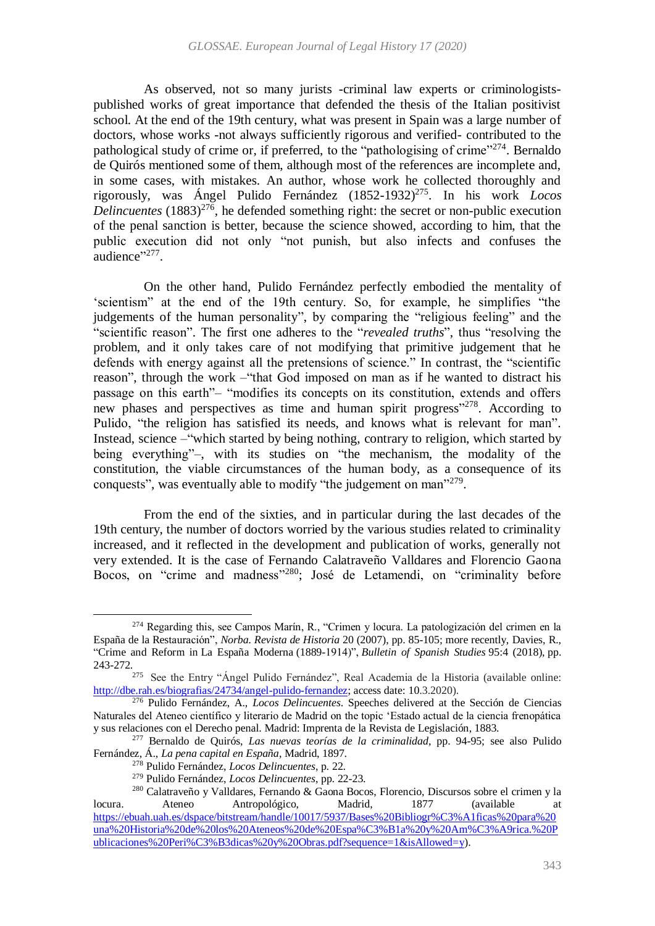As observed, not so many jurists -criminal law experts or criminologistspublished works of great importance that defended the thesis of the Italian positivist school. At the end of the 19th century, what was present in Spain was a large number of doctors, whose works -not always sufficiently rigorous and verified- contributed to the pathological study of crime or, if preferred, to the "pathologising of crime"<sup>274</sup>. Bernaldo de Quirós mentioned some of them, although most of the references are incomplete and, in some cases, with mistakes. An author, whose work he collected thoroughly and rigorously, was Ángel Pulido Fernández (1852-1932)<sup>275</sup> . In his work *Locos*  Delincuentes (1883)<sup>276</sup>, he defended something right: the secret or non-public execution of the penal sanction is better, because the science showed, according to him, that the public execution did not only "not punish, but also infects and confuses the audience"<sup>277</sup>.

On the other hand, Pulido Fernández perfectly embodied the mentality of 'scientism" at the end of the 19th century. So, for example, he simplifies "the judgements of the human personality", by comparing the "religious feeling" and the "scientific reason". The first one adheres to the "*revealed truths*", thus "resolving the problem, and it only takes care of not modifying that primitive judgement that he defends with energy against all the pretensions of science." In contrast, the "scientific reason", through the work –"that God imposed on man as if he wanted to distract his passage on this earth"– "modifies its concepts on its constitution, extends and offers new phases and perspectives as time and human spirit progress"<sup>278</sup>. According to Pulido, "the religion has satisfied its needs, and knows what is relevant for man". Instead, science –"which started by being nothing, contrary to religion, which started by being everything"–, with its studies on "the mechanism, the modality of the constitution, the viable circumstances of the human body, as a consequence of its conquests", was eventually able to modify "the judgement on man"<sup>279</sup>.

From the end of the sixties, and in particular during the last decades of the 19th century, the number of doctors worried by the various studies related to criminality increased, and it reflected in the development and publication of works, generally not very extended. It is the case of Fernando Calatraveño Valldares and Florencio Gaona Bocos, on "crime and madness"<sup>280</sup>; José de Letamendi, on "criminality before

<sup>274</sup> Regarding this, see Campos Marín, R., "Crimen y locura. La patologización del crimen en la España de la Restauración", *Norba. Revista de Historia* 20 (2007), pp. 85-105; more recently, Davies, R., "Crime and Reform in La España Moderna (1889-1914)", *Bulletin of Spanish Studies* 95:4 (2018), pp. 243-272.

<sup>275</sup> See the Entry "Ángel Pulido Fernández", Real Academia de la Historia (available online: [http://dbe.rah.es/biografias/24734/angel-pulido-fernandez;](http://dbe.rah.es/biografias/24734/angel-pulido-fernandez) access date: 10.3.2020).

<sup>276</sup> Pulido Fernández, A., *Locos Delincuentes*. Speeches delivered at the Sección de Ciencias Naturales del Ateneo científico y literario de Madrid on the topic 'Estado actual de la ciencia frenopática y sus relaciones con el Derecho penal. Madrid: Imprenta de la Revista de Legislación, 1883.

<sup>277</sup> Bernaldo de Quirós, *Las nuevas teorías de la criminalidad*, pp. 94-95; see also Pulido Fernández, Á., *La pena capital en España*, Madrid, 1897.

<sup>278</sup> Pulido Fernández, *Locos Delincuentes*, p. 22.

<sup>279</sup> Pulido Fernández, *Locos Delincuentes*, pp. 22-23.

<sup>&</sup>lt;sup>280</sup> Calatraveño y Valldares, Fernando & Gaona Bocos, Florencio, Discursos sobre el crimen y la Ateneo Antropológico, Madrid,  $1877$  (available at locura. Ateneo Antropológico, Madrid, 1877 (available at [https://ebuah.uah.es/dspace/bitstream/handle/10017/5937/Bases%20Bibliogr%C3%A1ficas%20para%20](https://ebuah.uah.es/dspace/bitstream/handle/10017/5937/Bases%20Bibliográficas%20para%20una%20Historia%20de%20los%20Ateneos%20de%20España%20y%20América.%20Publicaciones%20Periódicas%20y%20Obras.pdf?sequence=1&isAllowed=y) [una%20Historia%20de%20los%20Ateneos%20de%20Espa%C3%B1a%20y%20Am%C3%A9rica.%20P](https://ebuah.uah.es/dspace/bitstream/handle/10017/5937/Bases%20Bibliográficas%20para%20una%20Historia%20de%20los%20Ateneos%20de%20España%20y%20América.%20Publicaciones%20Periódicas%20y%20Obras.pdf?sequence=1&isAllowed=y) [ublicaciones%20Peri%C3%B3dicas%20y%20Obras.pdf?sequence=1&isAllowed=y\)](https://ebuah.uah.es/dspace/bitstream/handle/10017/5937/Bases%20Bibliográficas%20para%20una%20Historia%20de%20los%20Ateneos%20de%20España%20y%20América.%20Publicaciones%20Periódicas%20y%20Obras.pdf?sequence=1&isAllowed=y).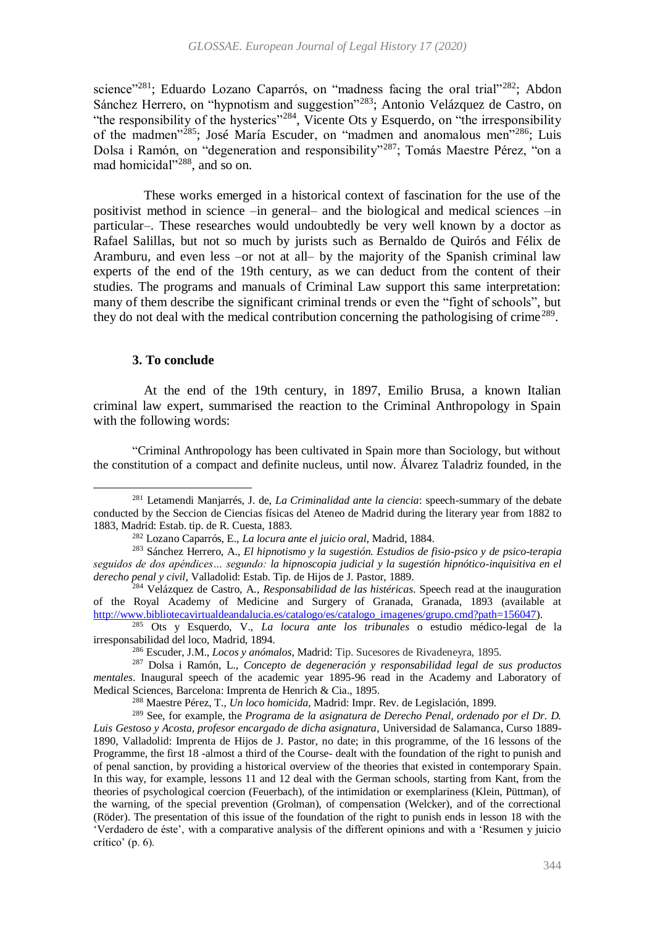science"<sup>281</sup>; Eduardo Lozano Caparrós, on "madness facing the oral trial"<sup>282</sup>; Abdon Sánchez Herrero, on "hypnotism and suggestion"<sup>283</sup>; Antonio Velázquez de Castro, on "the responsibility of the hysterics"<sup>284</sup>, Vicente Ots y Esquerdo, on "the irresponsibility of the madmen"<sup>285</sup>; José María Escuder, on "madmen and anomalous men"<sup>286</sup>; Luis Dolsa i Ramón, on "degeneration and responsibility"<sup>287</sup>; Tomás Maestre Pérez, "on a mad homicidal"<sup>288</sup>, and so on.

These works emerged in a historical context of fascination for the use of the positivist method in science –in general– and the biological and medical sciences –in particular–. These researches would undoubtedly be very well known by a doctor as Rafael Salillas, but not so much by jurists such as Bernaldo de Quirós and Félix de Aramburu, and even less –or not at all– by the majority of the Spanish criminal law experts of the end of the 19th century, as we can deduct from the content of their studies. The programs and manuals of Criminal Law support this same interpretation: many of them describe the significant criminal trends or even the "fight of schools", but they do not deal with the medical contribution concerning the pathologising of crime<sup>289</sup>.

### **3. To conclude**

 $\overline{a}$ 

At the end of the 19th century, in 1897, Emilio Brusa, a known Italian criminal law expert, summarised the reaction to the Criminal Anthropology in Spain with the following words:

"Criminal Anthropology has been cultivated in Spain more than Sociology, but without the constitution of a compact and definite nucleus, until now. Álvarez Taladriz founded, in the

<sup>281</sup> Letamendi Manjarrés, J. de, *La Criminalidad ante la ciencia*: speech-summary of the debate conducted by the Seccion de Ciencias físicas del Ateneo de Madrid during the literary year from 1882 to 1883, Madrid: Estab. tip. de R. Cuesta, 1883.

<sup>282</sup> Lozano Caparrós, E., *La locura ante el juicio oral*, Madrid, 1884.

<sup>283</sup> Sánchez Herrero, A., *El hipnotismo y la sugestión. Estudios de fisio-psico y de psico-terapia seguidos de dos apéndices… segundo: la hipnoscopia judicial y la sugestión hipnótico-inquisitiva en el derecho penal y civil*, Valladolid: Estab. Tip. de Hijos de J. Pastor, 1889.

<sup>284</sup> Velázquez de Castro, A., *Responsabilidad de las histéricas*. Speech read at the inauguration of the Royal Academy of Medicine and Surgery of Granada, Granada, 1893 (available at [http://www.bibliotecavirtualdeandalucia.es/catalogo/es/catalogo\\_imagenes/grupo.cmd?path=156047\)](http://www.bibliotecavirtualdeandalucia.es/catalogo/es/catalogo_imagenes/grupo.cmd?path=156047).

<sup>285</sup> Ots y Esquerdo, V., *La locura ante los tribunales* o estudio médico-legal de la irresponsabilidad del loco, Madrid, 1894.

<sup>286</sup> Escuder, J.M., *Locos y anómalos*, Madrid: Tip. Sucesores de Rivadeneyra, 1895.

<sup>287</sup> Dolsa i Ramón, L., *Concepto de degeneración y responsabilidad legal de sus productos mentales*. Inaugural speech of the academic year 1895-96 read in the Academy and Laboratory of Medical Sciences, Barcelona: Imprenta de Henrich & Cia., 1895.

<sup>288</sup> Maestre Pérez, T., *Un loco homicida,* Madrid: Impr. Rev. de Legislación, 1899.

<sup>289</sup> See, for example, the *Programa de la asignatura de Derecho Penal, ordenado por el Dr. D. Luis Gestoso y Acosta, profesor encargado de dicha asignatura*, Universidad de Salamanca, Curso 1889- 1890, Valladolid: Imprenta de Hijos de J. Pastor, no date; in this programme, of the 16 lessons of the Programme, the first 18 -almost a third of the Course- dealt with the foundation of the right to punish and of penal sanction, by providing a historical overview of the theories that existed in contemporary Spain. In this way, for example, lessons 11 and 12 deal with the German schools, starting from Kant, from the theories of psychological coercion (Feuerbach), of the intimidation or exemplariness (Klein, Püttman), of the warning, of the special prevention (Grolman), of compensation (Welcker), and of the correctional (Röder). The presentation of this issue of the foundation of the right to punish ends in lesson 18 with the 'Verdadero de éste', with a comparative analysis of the different opinions and with a 'Resumen y juicio crítico' (p. 6).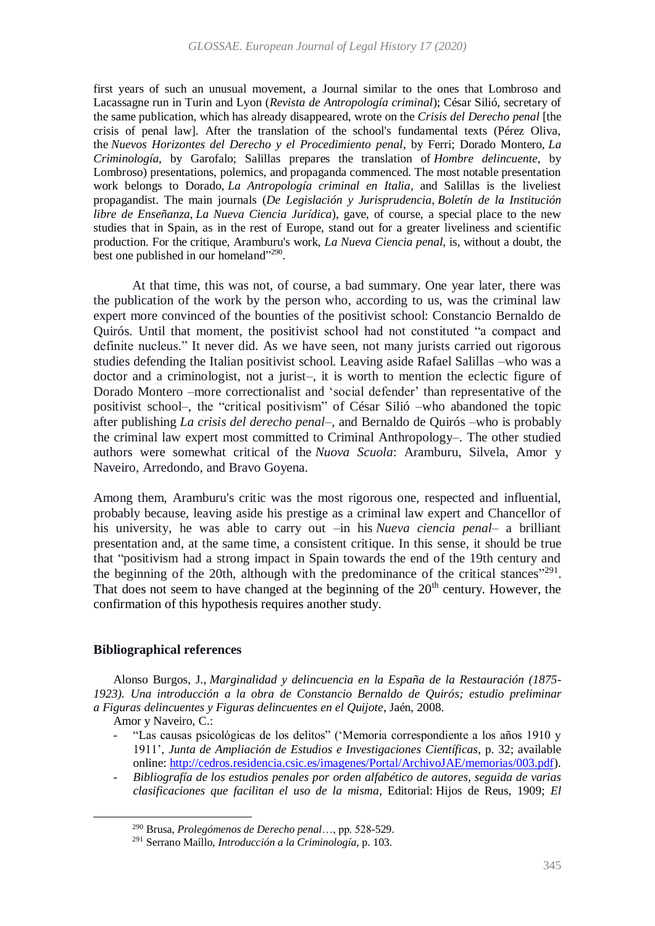first years of such an unusual movement, a Journal similar to the ones that Lombroso and Lacassagne run in Turin and Lyon (*Revista de Antropología criminal*); César Silió, secretary of the same publication, which has already disappeared, wrote on the *Crisis del Derecho penal* [the crisis of penal law]. After the translation of the school's fundamental texts (Pérez Oliva, the *Nuevos Horizontes del Derecho y el Procedimiento penal*, by Ferri; Dorado Montero, *La Criminología*, by Garofalo; Salillas prepares the translation of *Hombre delincuente*, by Lombroso) presentations, polemics, and propaganda commenced. The most notable presentation work belongs to Dorado, *La Antropología criminal en Italia*, and Salillas is the liveliest propagandist. The main journals (*De Legislación y Jurisprudencia*, *Boletín de la Institución libre de Enseñanza*, *La Nueva Ciencia Jurídica*), gave, of course, a special place to the new studies that in Spain, as in the rest of Europe, stand out for a greater liveliness and scientific production. For the critique, Aramburu's work, *La Nueva Ciencia penal*, is, without a doubt, the best one published in our homeland"<sup>290</sup>.

At that time, this was not, of course, a bad summary. One year later, there was the publication of the work by the person who, according to us, was the criminal law expert more convinced of the bounties of the positivist school: Constancio Bernaldo de Quirós. Until that moment, the positivist school had not constituted "a compact and definite nucleus." It never did. As we have seen, not many jurists carried out rigorous studies defending the Italian positivist school. Leaving aside Rafael Salillas –who was a doctor and a criminologist, not a jurist–, it is worth to mention the eclectic figure of Dorado Montero –more correctionalist and 'social defender' than representative of the positivist school–, the "critical positivism" of César Silió –who abandoned the topic after publishing *La crisis del derecho penal*–, and Bernaldo de Quirós –who is probably the criminal law expert most committed to Criminal Anthropology–. The other studied authors were somewhat critical of the *Nuova Scuola*: Aramburu, Silvela, Amor y Naveiro, Arredondo, and Bravo Goyena.

Among them, Aramburu's critic was the most rigorous one, respected and influential, probably because, leaving aside his prestige as a criminal law expert and Chancellor of his university, he was able to carry out –in his *Nueva ciencia penal*– a brilliant presentation and, at the same time, a consistent critique. In this sense, it should be true that "positivism had a strong impact in Spain towards the end of the 19th century and the beginning of the 20th, although with the predominance of the critical stances"<sup>291</sup>. That does not seem to have changed at the beginning of the  $20<sup>th</sup>$  century. However, the confirmation of this hypothesis requires another study.

## **Bibliographical references**

Alonso Burgos, J., *Marginalidad y delincuencia en la España de la Restauración (1875- 1923). Una introducción a la obra de Constancio Bernaldo de Quirós; estudio preliminar a Figuras delincuentes y Figuras delincuentes en el Quijote*, Jaén, 2008.

Amor y Naveiro, C.:

- *-* "Las causas psicológicas de los delitos" ('Memoria correspondiente a los años 1910 y 1911', *Junta de Ampliación de Estudios e Investigaciones Científicas*, p. 32; available online: [http://cedros.residencia.csic.es/imagenes/Portal/ArchivoJAE/memorias/003.pdf\)](http://cedros.residencia.csic.es/imagenes/Portal/ArchivoJAE/memorias/003.pdf).
- *- Bibliografía de los estudios penales por orden alfabético de autores, seguida de varias clasificaciones que facilitan el uso de la misma*, Editorial: Hijos de Reus, 1909; *El*

<sup>290</sup> Brusa, *Prolegómenos de Derecho penal*…, pp. 528-529.

<sup>291</sup> Serrano Maíllo, *Introducción a la Criminología*, p. 103.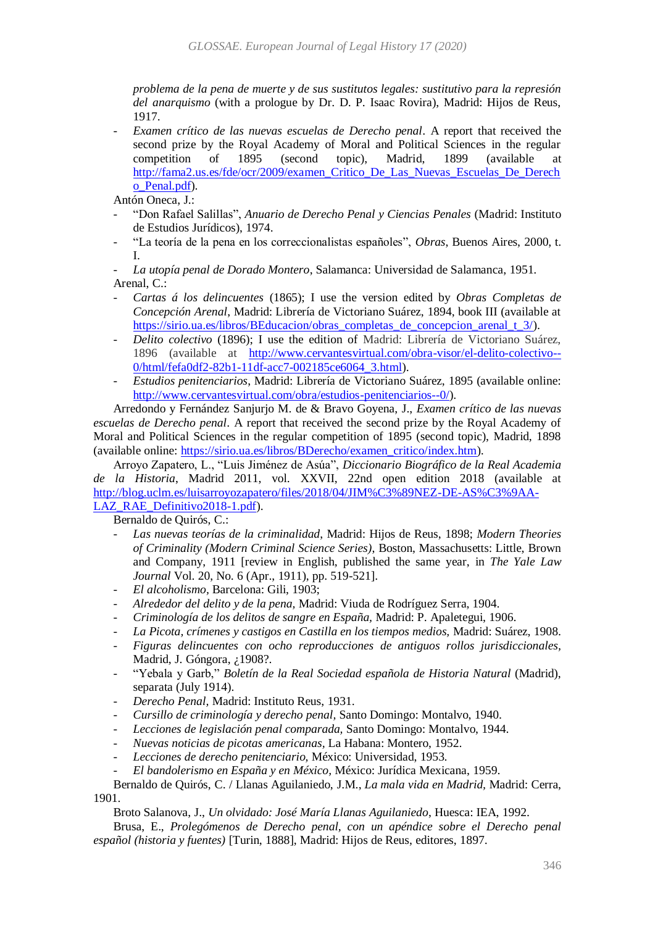*problema de la pena de muerte y de sus sustitutos legales: sustitutivo para la represión del anarquismo* (with a prologue by Dr. D. P. Isaac Rovira), Madrid: Hijos de Reus, 1917.

*Examen crítico de las nuevas escuelas de Derecho penal.* A report that received the second prize by the Royal Academy of Moral and Political Sciences in the regular competition of 1895 (second topic), Madrid, 1899 (available at [http://fama2.us.es/fde/ocr/2009/examen\\_Critico\\_De\\_Las\\_Nuevas\\_Escuelas\\_De\\_Derech](http://fama2.us.es/fde/ocr/2009/examen_Critico_De_Las_Nuevas_Escuelas_De_Derecho_Penal.pdf) [o\\_Penal.pdf\)](http://fama2.us.es/fde/ocr/2009/examen_Critico_De_Las_Nuevas_Escuelas_De_Derecho_Penal.pdf).

Antón Oneca, J.:

- *-* "Don Rafael Salillas", *Anuario de Derecho Penal y Ciencias Penales* (Madrid: Instituto de Estudios Jurídicos), 1974.
- *-* "La teoría de la pena en los correccionalistas españoles", *Obras*, Buenos Aires, 2000, t. I.

*- La utopía penal de Dorado Montero*, Salamanca: Universidad de Salamanca, 1951. Arenal, C.:

- *- Cartas á los delincuentes* (1865); I use the version edited by *Obras Completas de Concepción Arenal*, Madrid: Librería de Victoriano Suárez, 1894, book III (available at [https://sirio.ua.es/libros/BEducacion/obras\\_completas\\_de\\_concepcion\\_arenal\\_t\\_3/\)](https://sirio.ua.es/libros/BEducacion/obras_completas_de_concepcion_arenal_t_3/).
- *- Delito colectivo* (1896); I use the edition of Madrid: Librería de Victoriano Suárez, 1896 (available at [http://www.cervantesvirtual.com/obra-visor/el-delito-colectivo--](http://www.cervantesvirtual.com/obra-visor/el-delito-colectivo--0/html/fefa0df2-82b1-11df-acc7-002185ce6064_3.html) [0/html/fefa0df2-82b1-11df-acc7-002185ce6064\\_3.html\)](http://www.cervantesvirtual.com/obra-visor/el-delito-colectivo--0/html/fefa0df2-82b1-11df-acc7-002185ce6064_3.html).
- *- Estudios penitenciarios*, Madrid: Librería de Victoriano Suárez, 1895 (available online: [http://www.cervantesvirtual.com/obra/estudios-penitenciarios--0/\)](http://www.cervantesvirtual.com/obra/estudios-penitenciarios--0/).

Arredondo y Fernández Sanjurjo M. de & Bravo Goyena, J., *Examen crítico de las nuevas escuelas de Derecho penal*. A report that received the second prize by the Royal Academy of Moral and Political Sciences in the regular competition of 1895 (second topic), Madrid, 1898 (available online: [https://sirio.ua.es/libros/BDerecho/examen\\_critico/index.htm\)](https://sirio.ua.es/libros/BDerecho/examen_critico/index.htm).

Arroyo Zapatero, L., "Luis Jiménez de Asúa", *Diccionario Biográfico de la Real Academia de la Historia*, Madrid 2011, vol. XXVII, 22nd open edition 2018 (available at [http://blog.uclm.es/luisarroyozapatero/files/2018/04/JIM%C3%89NEZ-DE-AS%C3%9AA-](http://blog.uclm.es/luisarroyozapatero/files/2018/04/JIMÉNEZ-DE-ASÚA-LAZ_RAE_Definitivo2018-1.pdf)[LAZ\\_RAE\\_Definitivo2018-1.pdf\)](http://blog.uclm.es/luisarroyozapatero/files/2018/04/JIMÉNEZ-DE-ASÚA-LAZ_RAE_Definitivo2018-1.pdf).

Bernaldo de Quirós, C.:

- *- Las nuevas teorías de la criminalidad*, Madrid: Hijos de Reus, 1898; *Modern Theories of Criminality (Modern Criminal Science Series)*, Boston, Massachusetts: Little, Brown and Company, 1911 [review in English, published the same year, in *The Yale Law Journal* Vol. 20, No. 6 (Apr., 1911), pp. 519-521].
- *- El alcoholismo,* Barcelona: Gili, 1903;
- *- Alrededor del delito y de la pena,* Madrid: Viuda de Rodríguez Serra, 1904.
- *- Criminología de los delitos de sangre en España,* Madrid: P. Apaletegui, 1906.
- *- La Picota, crímenes y castigos en Castilla en los tiempos medios,* Madrid: Suárez, 1908.
- *- Figuras delincuentes con ocho reproducciones de antiguos rollos jurisdiccionales,*  Madrid, J. Góngora, ¿1908?.
- *-* "Yebala y Garb," *Boletín de la Real Sociedad española de Historia Natural* (Madrid), separata (July 1914).
- *- Derecho Penal,* Madrid: Instituto Reus, 1931.
- *- Cursillo de criminología y derecho penal,* Santo Domingo: Montalvo, 1940.
- *- Lecciones de legislación penal comparada,* Santo Domingo: Montalvo, 1944.
- *- Nuevas noticias de picotas americanas,* La Habana: Montero, 1952.
- *- Lecciones de derecho penitenciario,* México: Universidad, 1953.
- *- El bandolerismo en España y en México,* México: Jurídica Mexicana, 1959.

### Bernaldo de Quirós, C. / Llanas Aguilaniedo, J.M., *La mala vida en Madrid,* Madrid: Cerra, 1901.

Broto Salanova, J., *Un olvidado: José María Llanas Aguilaniedo*, Huesca: IEA, 1992.

Brusa, E., *Prolegómenos de Derecho penal, con un apéndice sobre el Derecho penal español (historia y fuentes)* [Turin, 1888], Madrid: Hijos de Reus, editores, 1897.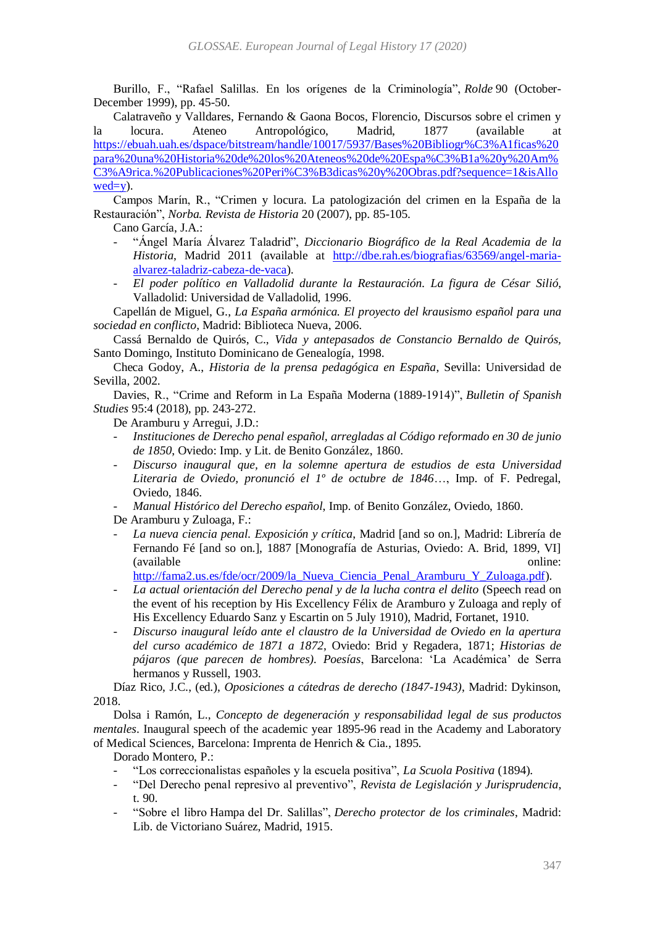Burillo, F., "Rafael Salillas. En los orígenes de la Criminología", *Rolde* 90 (October-December 1999), pp. 45-50.

Calatraveño y Valldares, Fernando & Gaona Bocos, Florencio, Discursos sobre el crimen y la locura. Ateneo Antropológico, Madrid, 1877 (available at [https://ebuah.uah.es/dspace/bitstream/handle/10017/5937/Bases%20Bibliogr%C3%A1ficas%20](https://ebuah.uah.es/dspace/bitstream/handle/10017/5937/Bases%20Bibliográficas%20para%20una%20Historia%20de%20los%20Ateneos%20de%20España%20y%20América.%20Publicaciones%20Periódicas%20y%20Obras.pdf?sequence=1&isAllowed=y) [para%20una%20Historia%20de%20los%20Ateneos%20de%20Espa%C3%B1a%20y%20Am%](https://ebuah.uah.es/dspace/bitstream/handle/10017/5937/Bases%20Bibliográficas%20para%20una%20Historia%20de%20los%20Ateneos%20de%20España%20y%20América.%20Publicaciones%20Periódicas%20y%20Obras.pdf?sequence=1&isAllowed=y) [C3%A9rica.%20Publicaciones%20Peri%C3%B3dicas%20y%20Obras.pdf?sequence=1&isAllo](https://ebuah.uah.es/dspace/bitstream/handle/10017/5937/Bases%20Bibliográficas%20para%20una%20Historia%20de%20los%20Ateneos%20de%20España%20y%20América.%20Publicaciones%20Periódicas%20y%20Obras.pdf?sequence=1&isAllowed=y)  $wed=y$ .

Campos Marín, R., "Crimen y locura. La patologización del crimen en la España de la Restauración", *Norba. Revista de Historia* 20 (2007), pp. 85-105.

Cano García, J.A.:

- *-* "Ángel María Álvarez Taladrid", *Diccionario Biográfico de la Real Academia de la Historia*, Madrid 2011 (available at [http://dbe.rah.es/biografias/63569/angel-maria](http://dbe.rah.es/biografias/63569/angel-maria-alvarez-taladriz-cabeza-de-vaca)[alvarez-taladriz-cabeza-de-vaca\)](http://dbe.rah.es/biografias/63569/angel-maria-alvarez-taladriz-cabeza-de-vaca).
- *- El poder político en Valladolid durante la Restauración. La figura de César Silió*, Valladolid: Universidad de Valladolid, 1996.

Capellán de Miguel, G., *La España armónica. El proyecto del krausismo español para una sociedad en conflicto*, Madrid: Biblioteca Nueva, 2006.

Cassá Bernaldo de Quirós, C., *Vida y antepasados de Constancio Bernaldo de Quirós,*  Santo Domingo, Instituto Dominicano de Genealogía, 1998.

Checa Godoy, A., *Historia de la prensa pedagógica en España*, Sevilla: Universidad de Sevilla, 2002.

Davies, R., "Crime and Reform in La España Moderna (1889-1914)", *Bulletin of Spanish Studies* 95:4 (2018), pp. 243-272.

De Aramburu y Arregui, J.D.:

- *- Instituciones de Derecho penal español, arregladas al Código reformado en 30 de junio de 1850*, Oviedo: Imp. y Lit. de Benito González, 1860.
- *- Discurso inaugural que, en la solemne apertura de estudios de esta Universidad Literaria de Oviedo, pronunció el 1º de octubre de 1846*…, Imp. of F. Pedregal, Oviedo, 1846.
- *- Manual Histórico del Derecho español*, Imp. of Benito González, Oviedo, 1860.

De Aramburu y Zuloaga, F.:

*- La nueva ciencia penal. Exposición y crítica*, Madrid [and so on.], Madrid: Librería de Fernando Fé [and so on.], 1887 [Monografía de Asturias, Oviedo: A. Brid, 1899, VI] (available online:

[http://fama2.us.es/fde/ocr/2009/la\\_Nueva\\_Ciencia\\_Penal\\_Aramburu\\_Y\\_Zuloaga.pdf\)](http://fama2.us.es/fde/ocr/2009/la_Nueva_Ciencia_Penal_Aramburu_Y_Zuloaga.pdf).

- *- La actual orientación del Derecho penal y de la lucha contra el delito* (Speech read on the event of his reception by His Excellency Félix de Aramburo y Zuloaga and reply of His Excellency Eduardo Sanz y Escartin on 5 July 1910), Madrid, Fortanet, 1910.
- *- Discurso inaugural leído ante el claustro de la Universidad de Oviedo en la apertura del curso académico de 1871 a 1872*, Oviedo: Brid y Regadera, 1871; *Historias de pájaros (que parecen de hombres). Poesías*, Barcelona: 'La Académica' de Serra hermanos y Russell, 1903.

Díaz Rico, J.C., (ed.), *Oposiciones a cátedras de derecho (1847-1943)*, Madrid: Dykinson, 2018.

Dolsa i Ramón, L., *Concepto de degeneración y responsabilidad legal de sus productos mentales*. Inaugural speech of the academic year 1895-96 read in the Academy and Laboratory of Medical Sciences, Barcelona: Imprenta de Henrich & Cia., 1895.

Dorado Montero, P.:

- *-* "Los correccionalistas españoles y la escuela positiva", *La Scuola Positiva* (1894).
- *-* "Del Derecho penal represivo al preventivo", *Revista de Legislación y Jurisprudencia*, t. 90.
- *-* "Sobre el libro Hampa del Dr. Salillas", *Derecho protector de los criminales*, Madrid: Lib. de Victoriano Suárez, Madrid, 1915.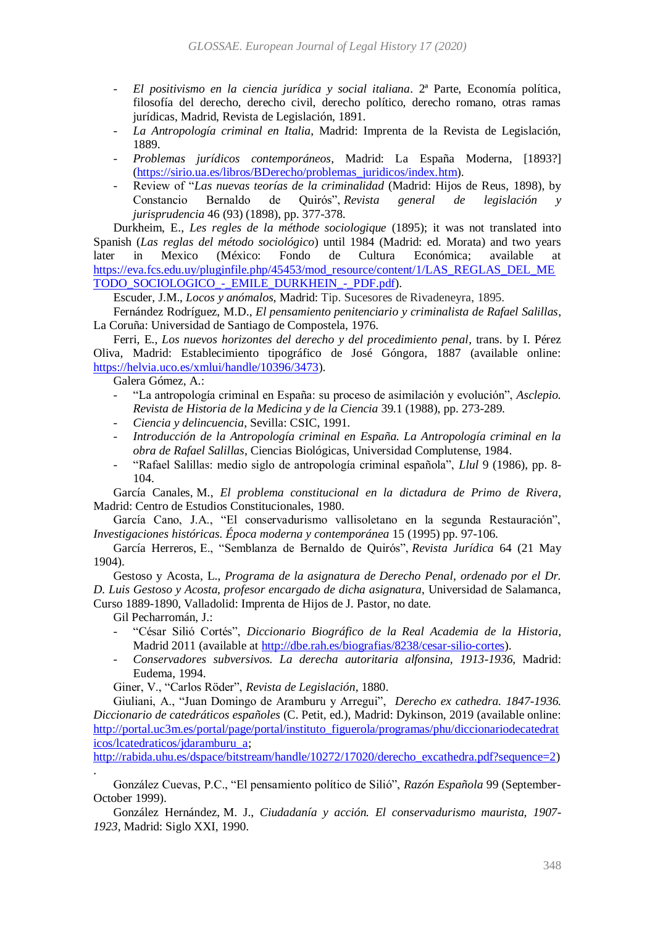- *- El positivismo en la ciencia jurídica y social italiana*. 2ª Parte, Economía política, filosofía del derecho, derecho civil, derecho político, derecho romano, otras ramas jurídicas, Madrid, Revista de Legislación, 1891.
- *- La Antropología criminal en Italia*, Madrid: Imprenta de la Revista de Legislación, 1889.
- *- Problemas jurídicos contemporáneos*, Madrid: La España Moderna, [1893?] [\(https://sirio.ua.es/libros/BDerecho/problemas\\_juridicos/index.htm\)](https://sirio.ua.es/libros/BDerecho/problemas_juridicos/index.htm).
- *-* Review of "*Las nuevas teorías de la criminalidad* (Madrid: Hijos de Reus, 1898), by Constancio Bernaldo de Quirós", *Revista general de legislación y jurisprudencia* 46 (93) (1898), pp. 377-378.

Durkheim, E., *Les regles de la méthode sociologique* (1895); it was not translated into Spanish (*Las reglas del método sociológico*) until 1984 (Madrid: ed. Morata) and two years later in Mexico (México: Fondo de Cultura Económica; available at [https://eva.fcs.edu.uy/pluginfile.php/45453/mod\\_resource/content/1/LAS\\_REGLAS\\_DEL\\_ME](https://eva.fcs.edu.uy/pluginfile.php/45453/mod_resource/content/1/LAS_REGLAS_DEL_METODO_SOCIOLOGICO_-_EMILE_DURKHEIN_-_PDF.pdf) [TODO\\_SOCIOLOGICO\\_-\\_EMILE\\_DURKHEIN\\_-\\_PDF.pdf\)](https://eva.fcs.edu.uy/pluginfile.php/45453/mod_resource/content/1/LAS_REGLAS_DEL_METODO_SOCIOLOGICO_-_EMILE_DURKHEIN_-_PDF.pdf).

Escuder, J.M., *Locos y anómalos*, Madrid: Tip. Sucesores de Rivadeneyra, 1895.

Fernández Rodríguez, M.D., *El pensamiento penitenciario y criminalista de Rafael Salillas*, La Coruña: Universidad de Santiago de Compostela, 1976.

Ferri, E., *Los nuevos horizontes del derecho y del procedimiento penal*, trans. by I. Pérez Oliva, Madrid: Establecimiento tipográfico de José Góngora, 1887 (available online: [https://helvia.uco.es/xmlui/handle/10396/3473\)](https://helvia.uco.es/xmlui/handle/10396/3473).

Galera Gómez, A.:

- *-* "La antropología criminal en España: su proceso de asimilación y evolución", *Asclepio. Revista de Historia de la Medicina y de la Ciencia* 39.1 (1988), pp. 273-289.
- *- Ciencia y delincuencia*, Sevilla: CSIC, 1991.
- *- Introducción de la Antropología criminal en España. La Antropología criminal en la obra de Rafael Salillas*, Ciencias Biológicas, Universidad Complutense, 1984.
- *-* "Rafael Salillas: medio siglo de antropología criminal española", *Llul* 9 (1986), pp. 8- 104.

García Canales, M., *El problema constitucional en la dictadura de Primo de Rivera*, Madrid: Centro de Estudios Constitucionales, 1980.

García Cano, J.A., "El conservadurismo vallisoletano en la segunda Restauración", *Investigaciones históricas. Época moderna y contemporánea* 15 (1995) pp. 97-106.

García Herreros, E., "Semblanza de Bernaldo de Quirós", *Revista Jurídica* 64 (21 May 1904).

Gestoso y Acosta, L., *Programa de la asignatura de Derecho Penal, ordenado por el Dr. D. Luis Gestoso y Acosta, profesor encargado de dicha asignatura*, Universidad de Salamanca, Curso 1889-1890, Valladolid: Imprenta de Hijos de J. Pastor, no date.

Gil Pecharromán, J.:

.

- *-* "César Silió Cortés", *Diccionario Biográfico de la Real Academia de la Historia*, Madrid 2011 (available at [http://dbe.rah.es/biografias/8238/cesar-silio-cortes\)](http://dbe.rah.es/biografias/8238/cesar-silio-cortes).
- *- Conservadores subversivos. La derecha autoritaria alfonsina, 1913-1936*, Madrid: Eudema, 1994.

Giner, V., "Carlos Röder", *Revista de Legislación*, 1880.

Giuliani, A., "Juan Domingo de Aramburu y Arregui", *Derecho ex cathedra. 1847-1936. Diccionario de catedráticos españoles* (C. Petit, ed.), Madrid: Dykinson, 2019 (available online: [http://portal.uc3m.es/portal/page/portal/instituto\\_figuerola/programas/phu/diccionariodecatedrat](http://portal.uc3m.es/portal/page/portal/instituto_figuerola/programas/phu/diccionariodecatedraticos/lcatedraticos/jdaramburu_a) [icos/lcatedraticos/jdaramburu\\_a;](http://portal.uc3m.es/portal/page/portal/instituto_figuerola/programas/phu/diccionariodecatedraticos/lcatedraticos/jdaramburu_a)

[http://rabida.uhu.es/dspace/bitstream/handle/10272/17020/derecho\\_excathedra.pdf?sequence=2\)](http://rabida.uhu.es/dspace/bitstream/handle/10272/17020/derecho_excathedra.pdf?sequence=2)

González Cuevas, P.C., "El pensamiento político de Silió", *Razón Española* 99 (September-October 1999).

González Hernández, M. J., *Ciudadanía y acción. El conservadurismo maurista, 1907- 1923*, Madrid: Siglo XXI, 1990.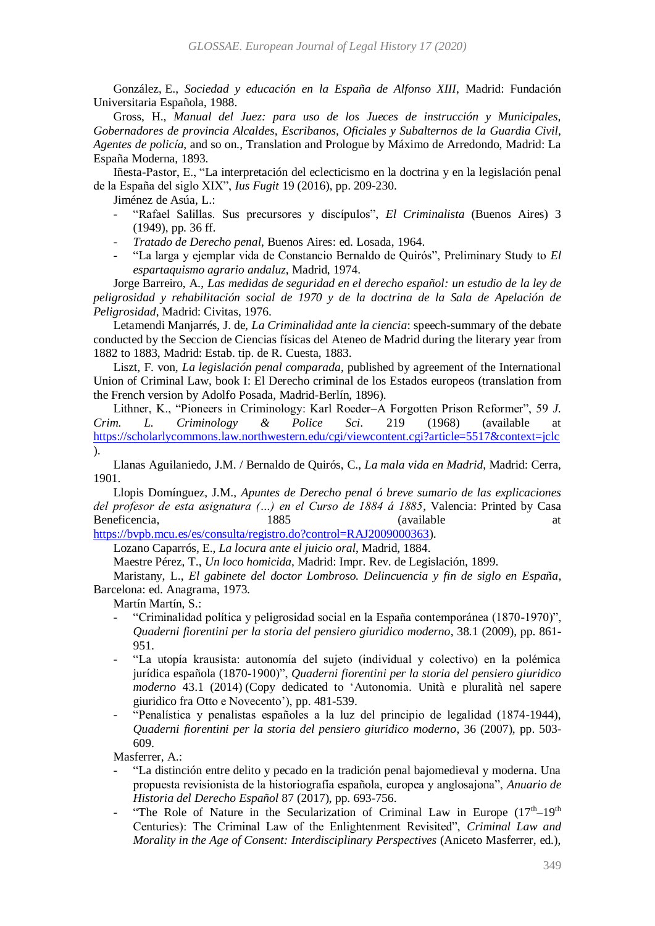González, E., *Sociedad y educación en la España de Alfonso XIII*, Madrid: Fundación Universitaria Española, 1988.

Gross, H., *Manual del Juez: para uso de los Jueces de instrucción y Municipales, Gobernadores de provincia Alcaldes, Escribanos, Oficiales y Subalternos de la Guardia Civil, Agentes de policía*, and so on., Translation and Prologue by Máximo de Arredondo, Madrid: La España Moderna, 1893.

Iñesta-Pastor, E., "La interpretación del eclecticismo en la doctrina y en la legislación penal de la España del siglo XIX", *Ius Fugit* 19 (2016), pp. 209-230.

Jiménez de Asúa, L.:

- *-* "Rafael Salillas. Sus precursores y discípulos", *El Criminalista* (Buenos Aires) 3 (1949), pp. 36 ff.
- *- Tratado de Derecho penal*, Buenos Aires: ed. Losada, 1964.
- *-* "La larga y ejemplar vida de Constancio Bernaldo de Quirós", Preliminary Study to *El espartaquismo agrario andaluz*, Madrid, 1974.

Jorge Barreiro, A., *Las medidas de seguridad en el derecho español: un estudio de la ley de peligrosidad y rehabilitación social de 1970 y de la doctrina de la Sala de Apelación de Peligrosidad*, Madrid: Civitas, 1976.

Letamendi Manjarrés, J. de, *La Criminalidad ante la ciencia*: speech-summary of the debate conducted by the Seccion de Ciencias físicas del Ateneo de Madrid during the literary year from 1882 to 1883, Madrid: Estab. tip. de R. Cuesta, 1883.

Liszt, F. von, *La legislación penal comparada*, published by agreement of the International Union of Criminal Law, book I: El Derecho criminal de los Estados europeos (translation from the French version by Adolfo Posada, Madrid-Berlín, 1896).

Lithner, K., "Pioneers in Criminology: Karl Roeder–A Forgotten Prison Reformer", 59 *J. Crim. L. Criminology & Police Sci.* 219 (1968) (available at <https://scholarlycommons.law.northwestern.edu/cgi/viewcontent.cgi?article=5517&context=jclc> ).

Llanas Aguilaniedo, J.M. / Bernaldo de Quirós, C., *La mala vida en Madrid*, Madrid: Cerra, 1901.

Llopis Domínguez, J.M., *Apuntes de Derecho penal ó breve sumario de las explicaciones del profesor de esta asignatura (…) en el Curso de 1884 á 1885*, Valencia: Printed by Casa Beneficencia, 1885 (available at at at a series at a series at a series at a series at a series at a series at a series at a series at a series at a series at a series at a series at a series at a series at a series at a s

[https://bvpb.mcu.es/es/consulta/registro.do?control=RAJ2009000363\)](https://bvpb.mcu.es/es/consulta/registro.do?control=RAJ2009000363).

Lozano Caparrós, E., *La locura ante el juicio oral*, Madrid, 1884.

Maestre Pérez, T., *Un loco homicida,* Madrid: Impr. Rev. de Legislación, 1899.

Maristany, L., *El gabinete del doctor Lombroso. Delincuencia y fin de siglo en España*, Barcelona: ed. Anagrama, 1973.

Martín Martín, S.:

- *-* "Criminalidad política y peligrosidad social en la España contemporánea (1870-1970)", *Quaderni fiorentini per la storia del pensiero giuridico moderno*, 38.1 (2009), pp. 861- 951.
- *-* "La utopía krausista: autonomía del sujeto (individual y colectivo) en la polémica jurídica española (1870-1900)", *Quaderni fiorentini per la storia del pensiero giuridico moderno* 43.1 (2014) (Copy dedicated to 'Autonomia. Unità e pluralità nel sapere giuridico fra Otto e Novecento'), pp. 481-539.
- *-* "Penalística y penalistas españoles a la luz del principio de legalidad (1874-1944), *Quaderni fiorentini per la storia del pensiero giuridico moderno*, 36 (2007), pp. 503- 609.

Masferrer, A.:

- *-* "La distinción entre delito y pecado en la tradición penal bajomedieval y moderna. Una propuesta revisionista de la historiografía española, europea y anglosajona", *Anuario de Historia del Derecho Español* 87 (2017), pp. 693-756.
- <sup>-</sup> "The Role of Nature in the Secularization of Criminal Law in Europe (17<sup>th</sup>–19<sup>th</sup> Centuries): The Criminal Law of the Enlightenment Revisited", *Criminal Law and Morality in the Age of Consent: Interdisciplinary Perspectives* (Aniceto Masferrer, ed.),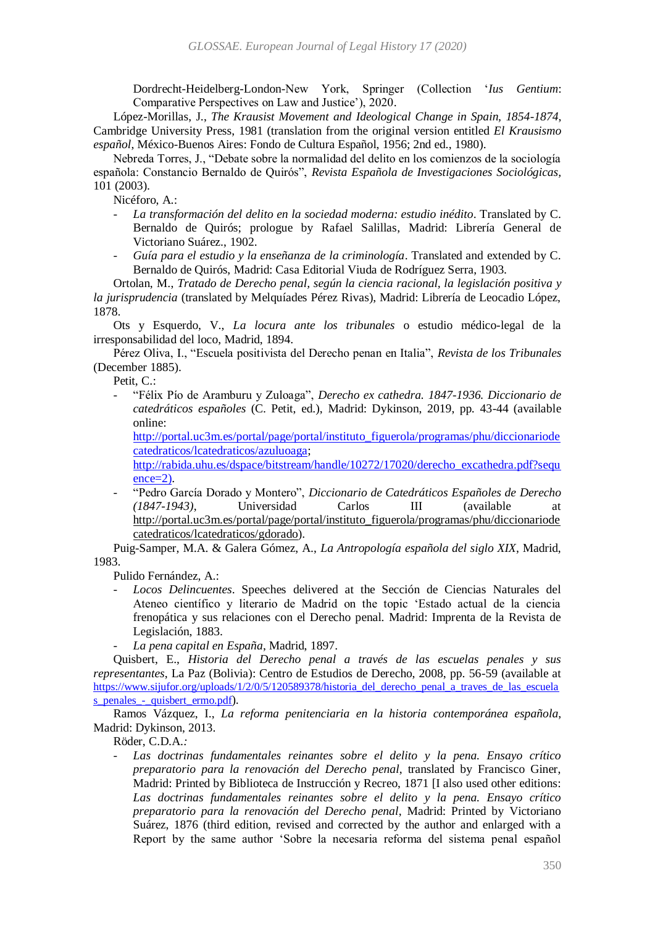Dordrecht-Heidelberg-London-New York, Springer (Collection '*Ius Gentium*: Comparative Perspectives on Law and Justice'), 2020.

López-Morillas, J., *The Krausist Movement and Ideological Change in Spain, 1854-1874*, Cambridge University Press, 1981 (translation from the original version entitled *El Krausismo español*, México-Buenos Aires: Fondo de Cultura Español, 1956; 2nd ed., 1980).

Nebreda Torres, J., "Debate sobre la normalidad del delito en los comienzos de la sociología española: Constancio Bernaldo de Quirós", *Revista Española de Investigaciones Sociológicas,*  101 (2003).

Nicéforo, A.:

- *- La transformación del delito en la sociedad moderna: estudio inédito*. Translated by C. Bernaldo de Quirós; prologue by Rafael Salillas, Madrid: Librería General de Victoriano Suárez., 1902.
- *- Guía para el estudio y la enseñanza de la criminología*. Translated and extended by C. Bernaldo de Quirós, Madrid: Casa Editorial Viuda de Rodríguez Serra, 1903.

Ortolan, M., *Tratado de Derecho penal, según la ciencia racional, la legislación positiva y la jurisprudencia* (translated by Melquíades Pérez Rivas), Madrid: Librería de Leocadio López, 1878.

Ots y Esquerdo, V., *La locura ante los tribunales* o estudio médico-legal de la irresponsabilidad del loco, Madrid, 1894.

Pérez Oliva, I., "Escuela positivista del Derecho penan en Italia", *Revista de los Tribunales* (December 1885).

Petit, C.:

*-* "Félix Pío de Aramburu y Zuloaga", *Derecho ex cathedra. 1847-1936. Diccionario de catedráticos españoles* (C. Petit, ed.), Madrid: Dykinson, 2019, pp. 43-44 (available online:

[http://portal.uc3m.es/portal/page/portal/instituto\\_figuerola/programas/phu/diccionariode](http://portal.uc3m.es/portal/page/portal/instituto_figuerola/programas/phu/diccionariodecatedraticos/lcatedraticos/azuluoaga) [catedraticos/lcatedraticos/azuluoaga;](http://portal.uc3m.es/portal/page/portal/instituto_figuerola/programas/phu/diccionariodecatedraticos/lcatedraticos/azuluoaga)

[http://rabida.uhu.es/dspace/bitstream/handle/10272/17020/derecho\\_excathedra.pdf?sequ](http://rabida.uhu.es/dspace/bitstream/handle/10272/17020/derecho_excathedra.pdf?sequence=2)  $ence=2$ ).

*-* "Pedro García Dorado y Montero", *Diccionario de Catedráticos Españoles de Derecho (1847-1943)*, Universidad Carlos III (available at [http://portal.uc3m.es/portal/page/portal/instituto\\_figuerola/programas/phu/diccionariode](http://portal.uc3m.es/portal/page/portal/instituto_figuerola/programas/phu/diccionariodecatedraticos/lcatedraticos/gdorado) [catedraticos/lcatedraticos/gdorado\)](http://portal.uc3m.es/portal/page/portal/instituto_figuerola/programas/phu/diccionariodecatedraticos/lcatedraticos/gdorado).

Puig-Samper, M.A. & Galera Gómez, A., *La Antropología española del siglo XIX*, Madrid, 1983.

Pulido Fernández, A.:

- *- Locos Delincuentes*. Speeches delivered at the Sección de Ciencias Naturales del Ateneo científico y literario de Madrid on the topic 'Estado actual de la ciencia frenopática y sus relaciones con el Derecho penal. Madrid: Imprenta de la Revista de Legislación, 1883.
- *- La pena capital en España*, Madrid, 1897.

Quisbert, E., *Historia del Derecho penal a través de las escuelas penales y sus representantes*, La Paz (Bolivia): Centro de Estudios de Derecho, 2008, pp. 56-59 (available at [https://www.sijufor.org/uploads/1/2/0/5/120589378/historia\\_del\\_derecho\\_penal\\_a\\_traves\\_de\\_las\\_escuela](https://www.sijufor.org/uploads/1/2/0/5/120589378/historia_del_derecho_penal_a_traves_de_las_escuelas_penales_-_quisbert_ermo.pdf) [s\\_penales\\_-\\_quisbert\\_ermo.pdf](https://www.sijufor.org/uploads/1/2/0/5/120589378/historia_del_derecho_penal_a_traves_de_las_escuelas_penales_-_quisbert_ermo.pdf)).

Ramos Vázquez, I., *La reforma penitenciaria en la historia contemporánea española*, Madrid: Dykinson, 2013.

Röder, C.D.A.*:*

*- Las doctrinas fundamentales reinantes sobre el delito y la pena. Ensayo crítico preparatorio para la renovación del Derecho penal*, translated by Francisco Giner, Madrid: Printed by Biblioteca de Instrucción y Recreo, 1871 [I also used other editions: *Las doctrinas fundamentales reinantes sobre el delito y la pena. Ensayo crítico preparatorio para la renovación del Derecho penal*, Madrid: Printed by Victoriano Suárez, 1876 (third edition, revised and corrected by the author and enlarged with a Report by the same author 'Sobre la necesaria reforma del sistema penal español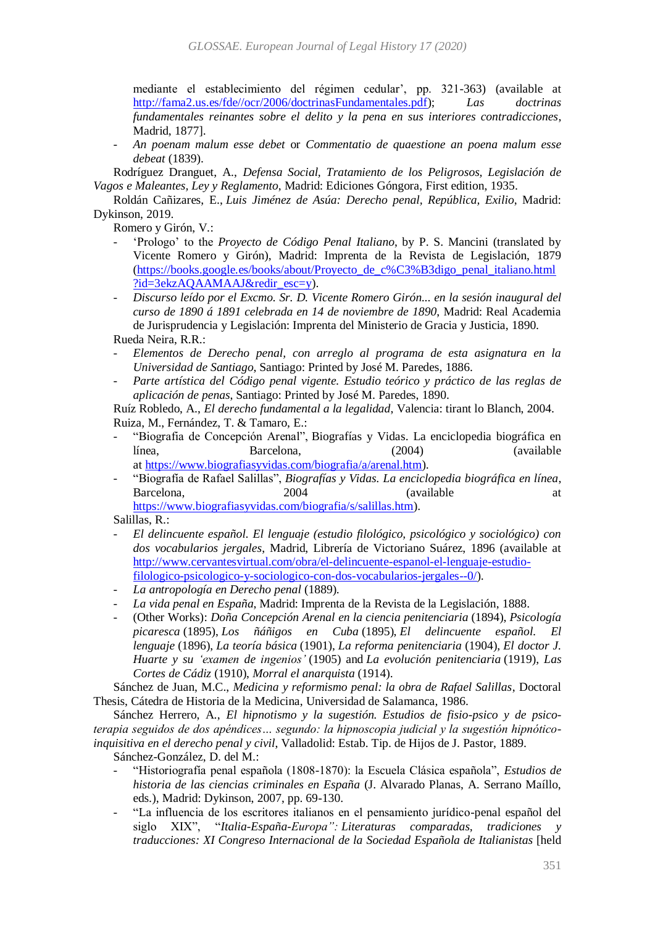mediante el establecimiento del régimen cedular', pp. 321-363) (available at [http://fama2.us.es/fde//ocr/2006/doctrinasFundamentales.pdf\)](http://fama2.us.es/fde/ocr/2006/doctrinasFundamentales.pdf); *Las doctrinas fundamentales reinantes sobre el delito y la pena en sus interiores contradicciones*, Madrid, 1877].

*- An poenam malum esse debet* or *Commentatio de quaestione an poena malum esse debeat* (1839).

Rodríguez Dranguet, A., *Defensa Social, Tratamiento de los Peligrosos, Legislación de Vagos e Maleantes, Ley y Reglamento*, Madrid: Ediciones Góngora, First edition, 1935.

Roldán Cañizares, E., *Luis Jiménez de Asúa: Derecho penal, República, Exilio*, Madrid: Dykinson, 2019.

Romero y Girón, V.:

- *-* 'Prologo' to the *Proyecto de Código Penal Italiano*, by P. S. Mancini (translated by Vicente Romero y Girón), Madrid: Imprenta de la Revista de Legislación, 1879 [\(https://books.google.es/books/about/Proyecto\\_de\\_c%C3%B3digo\\_penal\\_italiano.html](https://books.google.es/books/about/Proyecto_de_código_penal_italiano.html?id=3ekzAQAAMAAJ&redir_esc=y) [?id=3ekzAQAAMAAJ&redir\\_esc=y\)](https://books.google.es/books/about/Proyecto_de_código_penal_italiano.html?id=3ekzAQAAMAAJ&redir_esc=y).
- *- Discurso leído por el Excmo. Sr. D. Vicente Romero Girón... en la sesión inaugural del curso de 1890 á 1891 celebrada en 14 de noviembre de 1890*, Madrid: Real Academia de Jurisprudencia y Legislación: Imprenta del Ministerio de Gracia y Justicia, 1890. Rueda Neira, R.R.:
- *- Elementos de Derecho penal, con arreglo al programa de esta asignatura en la Universidad de Santiago*, Santiago: Printed by José M. Paredes, 1886.
- *- Parte artística del Código penal vigente. Estudio teórico y práctico de las reglas de aplicación de penas*, Santiago: Printed by José M. Paredes, 1890.

Ruíz Robledo, A., *El derecho fundamental a la legalidad*, Valencia: tirant lo Blanch, 2004. Ruiza, M., Fernández, T. & Tamaro, E.:

- *-* "Biografia de Concepción Arenal", Biografías y Vidas. La enciclopedia biográfica en línea, Barcelona, (2004) (available at [https://www.biografiasyvidas.com/biografia/a/arenal.htm\)](https://www.biografiasyvidas.com/biografia/a/arenal.htm).
- *-* "Biografía de Rafael Salillas", *Biografías y Vidas. La enciclopedia biográfica en línea*, Barcelona, 2004 (available at [https://www.biografiasyvidas.com/biografia/s/salillas.htm\)](https://www.biografiasyvidas.com/biografia/s/salillas.htm).

Salillas, R.:

- *- El delincuente español. El lenguaje (estudio filológico, psicológico y sociológico) con dos vocabularios jergales*, Madrid, Librería de Victoriano Suárez, 1896 (available at [http://www.cervantesvirtual.com/obra/el-delincuente-espanol-el-lenguaje-estudio](http://www.cervantesvirtual.com/obra/el-delincuente-espanol-el-lenguaje-estudio-filologico-psicologico-y-sociologico-con-dos-vocabularios-jergales--0/)[filologico-psicologico-y-sociologico-con-dos-vocabularios-jergales--0/\)](http://www.cervantesvirtual.com/obra/el-delincuente-espanol-el-lenguaje-estudio-filologico-psicologico-y-sociologico-con-dos-vocabularios-jergales--0/).
- *- La antropología en Derecho penal* (1889).
- *- La vida penal en España*, Madrid: Imprenta de la Revista de la Legislación, 1888.
- *-* (Other Works): *Doña Concepción Arenal en la ciencia penitenciaria* (1894), *Psicología picaresca* (1895), *Los ñáñigos en Cuba* (1895), *El delincuente español. El lenguaje* (1896), *La teoría básica* (1901), *La reforma penitenciaria* (1904), *El doctor J. Huarte y su 'examen de ingenios'* (1905) and *La evolución penitenciaria* (1919), *Las Cortes de Cádiz* (1910), *Morral el anarquista* (1914).

Sánchez de Juan, M.C., *Medicina y reformismo penal: la obra de Rafael Salillas*, Doctoral Thesis, Cátedra de Historia de la Medicina, Universidad de Salamanca, 1986.

Sánchez Herrero, A., *El hipnotismo y la sugestión. Estudios de fisio-psico y de psicoterapia seguidos de dos apéndices… segundo: la hipnoscopia judicial y la sugestión hipnóticoinquisitiva en el derecho penal y civil*, Valladolid: Estab. Tip. de Hijos de J. Pastor, 1889. Sánchez-González, D. del M.:

*-* "Historiografía penal española (1808-1870): la Escuela Clásica española", *Estudios de historia de las ciencias criminales en España* (J. Alvarado Planas, A. Serrano Maíllo, eds.), Madrid: Dykinson, 2007, pp. 69-130.

*-* "La influencia de los escritores italianos en el pensamiento jurídico-penal español del siglo XIX", "Italia-España-Europa": Literaturas comparadas, tradiciones *traducciones: XI Congreso Internacional de la Sociedad Española de Italianistas* [held